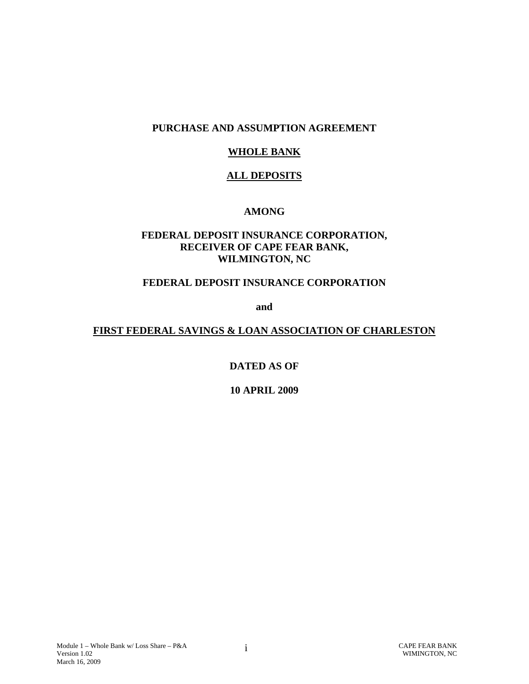### **PURCHASE AND ASSUMPTION AGREEMENT**

## **WHOLE BANK**

# **ALL DEPOSITS**

## **AMONG**

### **FEDERAL DEPOSIT INSURANCE CORPORATION, RECEIVER OF CAPE FEAR BANK, WILMINGTON, NC**

### **FEDERAL DEPOSIT INSURANCE CORPORATION**

**and** 

### **FIRST FEDERAL SAVINGS & LOAN ASSOCIATION OF CHARLESTON**

**DATED AS OF** 

**10 APRIL 2009**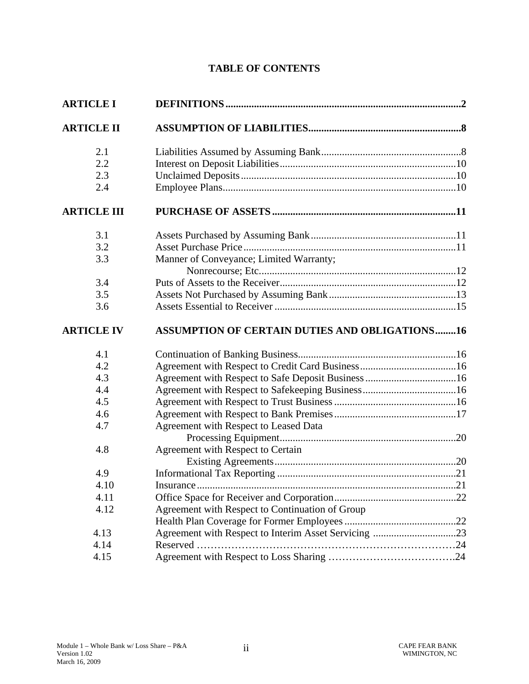# **TABLE OF CONTENTS**

| <b>ARTICLE I</b>   |                                                       |  |
|--------------------|-------------------------------------------------------|--|
| <b>ARTICLE II</b>  |                                                       |  |
| 2.1                |                                                       |  |
| 2.2                |                                                       |  |
| 2.3                |                                                       |  |
| 2.4                |                                                       |  |
| <b>ARTICLE III</b> |                                                       |  |
| 3.1                |                                                       |  |
| 3.2                |                                                       |  |
| 3.3                | Manner of Conveyance; Limited Warranty;               |  |
|                    |                                                       |  |
| 3.4                |                                                       |  |
| 3.5                |                                                       |  |
| 3.6                |                                                       |  |
| <b>ARTICLE IV</b>  | <b>ASSUMPTION OF CERTAIN DUTIES AND OBLIGATIONS16</b> |  |
| 4.1                |                                                       |  |
| 4.2                |                                                       |  |
| 4.3                |                                                       |  |
| 4.4                |                                                       |  |
| 4.5                |                                                       |  |
| 4.6                |                                                       |  |
| 4.7                | Agreement with Respect to Leased Data                 |  |
|                    |                                                       |  |
| 4.8                | Agreement with Respect to Certain                     |  |
|                    |                                                       |  |
| 4.9                |                                                       |  |
| 4.10               |                                                       |  |
| 4.11               |                                                       |  |
| 4.12               | Agreement with Respect to Continuation of Group       |  |
|                    |                                                       |  |
| 4.13               | Agreement with Respect to Interim Asset Servicing 23  |  |
| 4.14               | Reserved                                              |  |
| 4.15               |                                                       |  |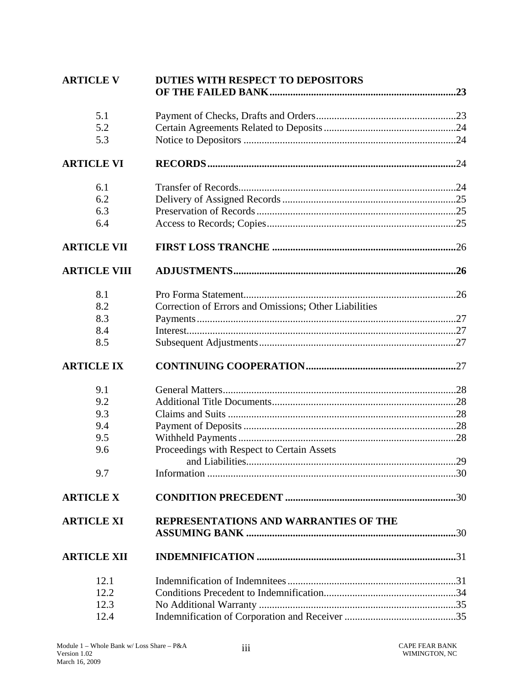| <b>ARTICLE V</b>    | <b>DUTIES WITH RESPECT TO DEPOSITORS</b>              |  |
|---------------------|-------------------------------------------------------|--|
|                     |                                                       |  |
| 5.1                 |                                                       |  |
| 5.2                 |                                                       |  |
| 5.3                 |                                                       |  |
| <b>ARTICLE VI</b>   |                                                       |  |
| 6.1                 |                                                       |  |
| 6.2                 |                                                       |  |
| 6.3                 |                                                       |  |
| 6.4                 |                                                       |  |
| <b>ARTICLE VII</b>  |                                                       |  |
| <b>ARTICLE VIII</b> |                                                       |  |
| 8.1                 |                                                       |  |
| 8.2                 | Correction of Errors and Omissions; Other Liabilities |  |
| 8.3                 |                                                       |  |
| 8.4                 |                                                       |  |
| 8.5                 |                                                       |  |
| <b>ARTICLE IX</b>   |                                                       |  |
| 9.1                 |                                                       |  |
| 9.2                 |                                                       |  |
| 9.3                 |                                                       |  |
| 9.4                 |                                                       |  |
| 9.5                 |                                                       |  |
| 9.6                 | Proceedings with Respect to Certain Assets            |  |
|                     |                                                       |  |
| 9.7                 |                                                       |  |
| <b>ARTICLE X</b>    |                                                       |  |
| <b>ARTICLE XI</b>   | <b>REPRESENTATIONS AND WARRANTIES OF THE</b>          |  |
| <b>ARTICLE XII</b>  |                                                       |  |
| 12.1                |                                                       |  |
| 12.2                |                                                       |  |
| 12.3                |                                                       |  |
| 12.4                |                                                       |  |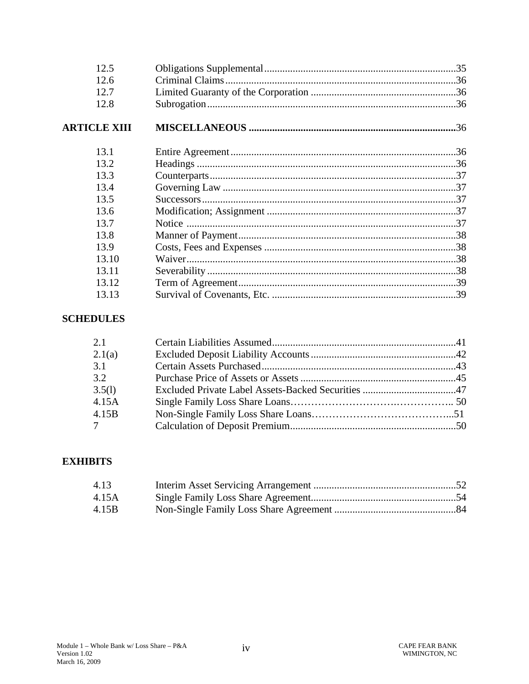| 12.5                |  |
|---------------------|--|
| 12.6                |  |
| 12.7                |  |
| 12.8                |  |
| <b>ARTICLE XIII</b> |  |
| 13.1                |  |
| 13.2                |  |
| 13.3                |  |
| 13.4                |  |
| 13.5                |  |
| 13.6                |  |
| 13.7                |  |
| 13.8                |  |
| 13.9                |  |
| 13.10               |  |
| 13.11               |  |
| 13.12               |  |
| 13.13               |  |

# **SCHEDULES**

| 2.1             |  |
|-----------------|--|
| 2.1(a)          |  |
| 3.1             |  |
| 3.2             |  |
| 3.5(l)          |  |
| 4.15A           |  |
| 4.15B           |  |
| $7\overline{ }$ |  |

# **EXHIBITS**

| 4.13  |  |
|-------|--|
| 4.15A |  |
| 4.15B |  |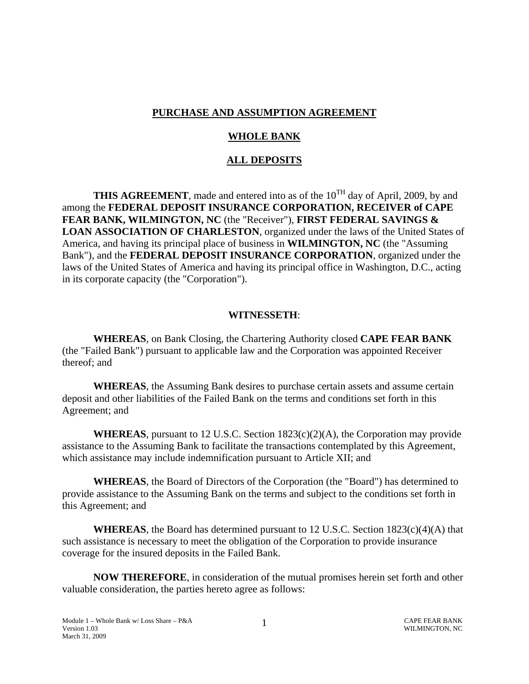### **PURCHASE AND ASSUMPTION AGREEMENT**

### **WHOLE BANK**

### **ALL DEPOSITS**

**THIS AGREEMENT**, made and entered into as of the 10<sup>TH</sup> day of April, 2009, by and among the **FEDERAL DEPOSIT INSURANCE CORPORATION, RECEIVER of CAPE FEAR BANK, WILMINGTON, NC** (the "Receiver"), **FIRST FEDERAL SAVINGS & LOAN ASSOCIATION OF CHARLESTON**, organized under the laws of the United States of America, and having its principal place of business in **WILMINGTON, NC** (the "Assuming Bank"), and the **FEDERAL DEPOSIT INSURANCE CORPORATION**, organized under the laws of the United States of America and having its principal office in Washington, D.C., acting in its corporate capacity (the "Corporation").

#### **WITNESSETH**:

**WHEREAS**, on Bank Closing, the Chartering Authority closed **CAPE FEAR BANK**  (the "Failed Bank") pursuant to applicable law and the Corporation was appointed Receiver thereof; and

 **WHEREAS**, the Assuming Bank desires to purchase certain assets and assume certain deposit and other liabilities of the Failed Bank on the terms and conditions set forth in this Agreement; and

**WHEREAS**, pursuant to 12 U.S.C. Section 1823(c)(2)(A), the Corporation may provide assistance to the Assuming Bank to facilitate the transactions contemplated by this Agreement, which assistance may include indemnification pursuant to Article XII; and

**WHEREAS**, the Board of Directors of the Corporation (the "Board") has determined to provide assistance to the Assuming Bank on the terms and subject to the conditions set forth in this Agreement; and

**WHEREAS**, the Board has determined pursuant to 12 U.S.C. Section  $1823(c)(4)(A)$  that such assistance is necessary to meet the obligation of the Corporation to provide insurance coverage for the insured deposits in the Failed Bank.

 **NOW THEREFORE**, in consideration of the mutual promises herein set forth and other valuable consideration, the parties hereto agree as follows: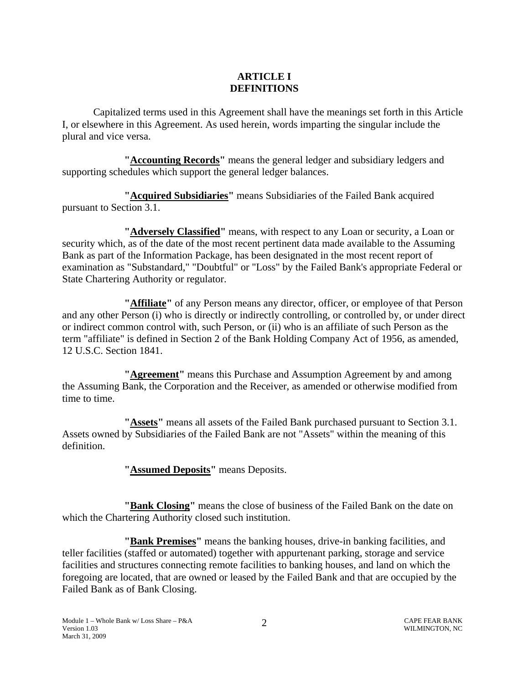## **ARTICLE I DEFINITIONS**

<span id="page-5-0"></span>Capitalized terms used in this Agreement shall have the meanings set forth in this Article I, or elsewhere in this Agreement. As used herein, words imparting the singular include the plural and vice versa.

**"Accounting Records"** means the general ledger and subsidiary ledgers and supporting schedules which support the general ledger balances.

**"Acquired Subsidiaries"** means Subsidiaries of the Failed Bank acquired pursuant to Section 3.1.

**"Adversely Classified"** means, with respect to any Loan or security, a Loan or security which, as of the date of the most recent pertinent data made available to the Assuming Bank as part of the Information Package, has been designated in the most recent report of examination as "Substandard," "Doubtful" or "Loss" by the Failed Bank's appropriate Federal or State Chartering Authority or regulator.

**"Affiliate"** of any Person means any director, officer, or employee of that Person and any other Person (i) who is directly or indirectly controlling, or controlled by, or under direct or indirect common control with, such Person, or (ii) who is an affiliate of such Person as the term "affiliate" is defined in Section 2 of the Bank Holding Company Act of 1956, as amended, 12 U.S.C. Section 1841.

**"Agreement"** means this Purchase and Assumption Agreement by and among the Assuming Bank, the Corporation and the Receiver, as amended or otherwise modified from time to time.

**"Assets"** means all assets of the Failed Bank purchased pursuant to Section 3.1. Assets owned by Subsidiaries of the Failed Bank are not "Assets" within the meaning of this definition.

**"Assumed Deposits"** means Deposits.

**"Bank Closing"** means the close of business of the Failed Bank on the date on which the Chartering Authority closed such institution.

**"Bank Premises"** means the banking houses, drive-in banking facilities, and teller facilities (staffed or automated) together with appurtenant parking, storage and service facilities and structures connecting remote facilities to banking houses, and land on which the foregoing are located, that are owned or leased by the Failed Bank and that are occupied by the Failed Bank as of Bank Closing.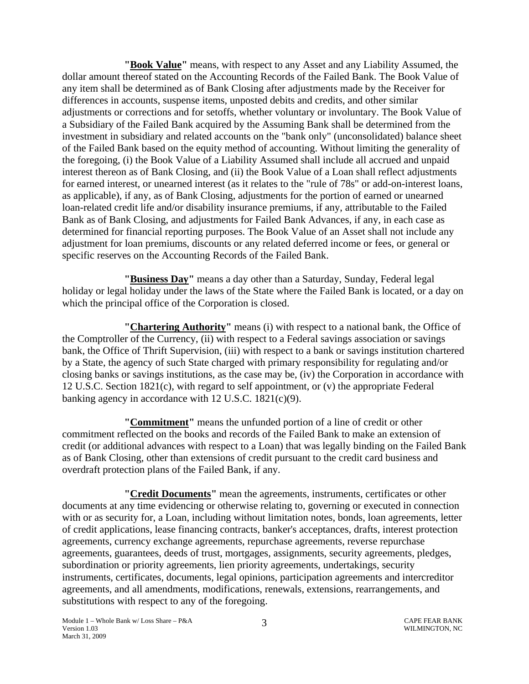**"Book Value"** means, with respect to any Asset and any Liability Assumed, the dollar amount thereof stated on the Accounting Records of the Failed Bank. The Book Value of any item shall be determined as of Bank Closing after adjustments made by the Receiver for differences in accounts, suspense items, unposted debits and credits, and other similar adjustments or corrections and for setoffs, whether voluntary or involuntary. The Book Value of a Subsidiary of the Failed Bank acquired by the Assuming Bank shall be determined from the investment in subsidiary and related accounts on the "bank only" (unconsolidated) balance sheet of the Failed Bank based on the equity method of accounting. Without limiting the generality of the foregoing, (i) the Book Value of a Liability Assumed shall include all accrued and unpaid interest thereon as of Bank Closing, and (ii) the Book Value of a Loan shall reflect adjustments for earned interest, or unearned interest (as it relates to the "rule of 78s" or add-on-interest loans, as applicable), if any, as of Bank Closing, adjustments for the portion of earned or unearned loan-related credit life and/or disability insurance premiums, if any, attributable to the Failed Bank as of Bank Closing, and adjustments for Failed Bank Advances, if any, in each case as determined for financial reporting purposes. The Book Value of an Asset shall not include any adjustment for loan premiums, discounts or any related deferred income or fees, or general or specific reserves on the Accounting Records of the Failed Bank.

**"Business Day"** means a day other than a Saturday, Sunday, Federal legal holiday or legal holiday under the laws of the State where the Failed Bank is located, or a day on which the principal office of the Corporation is closed.

**"Chartering Authority"** means (i) with respect to a national bank, the Office of the Comptroller of the Currency, (ii) with respect to a Federal savings association or savings bank, the Office of Thrift Supervision, (iii) with respect to a bank or savings institution chartered by a State, the agency of such State charged with primary responsibility for regulating and/or closing banks or savings institutions, as the case may be, (iv) the Corporation in accordance with 12 U.S.C. Section 1821(c), with regard to self appointment, or (v) the appropriate Federal banking agency in accordance with 12 U.S.C. 1821(c)(9).

**"Commitment"** means the unfunded portion of a line of credit or other commitment reflected on the books and records of the Failed Bank to make an extension of credit (or additional advances with respect to a Loan) that was legally binding on the Failed Bank as of Bank Closing, other than extensions of credit pursuant to the credit card business and overdraft protection plans of the Failed Bank, if any.

**"Credit Documents"** mean the agreements, instruments, certificates or other documents at any time evidencing or otherwise relating to, governing or executed in connection with or as security for, a Loan, including without limitation notes, bonds, loan agreements, letter of credit applications, lease financing contracts, banker's acceptances, drafts, interest protection agreements, currency exchange agreements, repurchase agreements, reverse repurchase agreements, guarantees, deeds of trust, mortgages, assignments, security agreements, pledges, subordination or priority agreements, lien priority agreements, undertakings, security instruments, certificates, documents, legal opinions, participation agreements and intercreditor agreements, and all amendments, modifications, renewals, extensions, rearrangements, and substitutions with respect to any of the foregoing.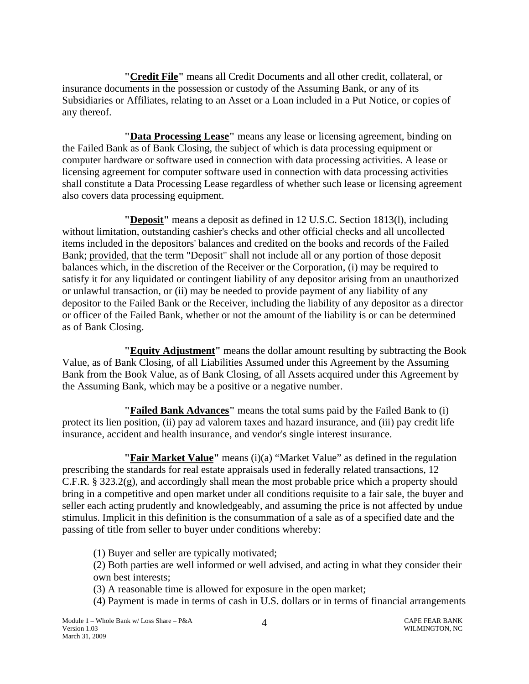**"Credit File"** means all Credit Documents and all other credit, collateral, or insurance documents in the possession or custody of the Assuming Bank, or any of its Subsidiaries or Affiliates, relating to an Asset or a Loan included in a Put Notice, or copies of any thereof.

**"Data Processing Lease"** means any lease or licensing agreement, binding on the Failed Bank as of Bank Closing, the subject of which is data processing equipment or computer hardware or software used in connection with data processing activities. A lease or licensing agreement for computer software used in connection with data processing activities shall constitute a Data Processing Lease regardless of whether such lease or licensing agreement also covers data processing equipment.

**"Deposit"** means a deposit as defined in 12 U.S.C. Section 1813(l), including without limitation, outstanding cashier's checks and other official checks and all uncollected items included in the depositors' balances and credited on the books and records of the Failed Bank; provided, that the term "Deposit" shall not include all or any portion of those deposit balances which, in the discretion of the Receiver or the Corporation, (i) may be required to satisfy it for any liquidated or contingent liability of any depositor arising from an unauthorized or unlawful transaction, or (ii) may be needed to provide payment of any liability of any depositor to the Failed Bank or the Receiver, including the liability of any depositor as a director or officer of the Failed Bank, whether or not the amount of the liability is or can be determined as of Bank Closing.

**"Equity Adjustment"** means the dollar amount resulting by subtracting the Book Value, as of Bank Closing, of all Liabilities Assumed under this Agreement by the Assuming Bank from the Book Value, as of Bank Closing, of all Assets acquired under this Agreement by the Assuming Bank, which may be a positive or a negative number.

**"Failed Bank Advances"** means the total sums paid by the Failed Bank to (i) protect its lien position, (ii) pay ad valorem taxes and hazard insurance, and (iii) pay credit life insurance, accident and health insurance, and vendor's single interest insurance.

**"Fair Market Value"** means (i)(a) "Market Value" as defined in the regulation prescribing the standards for real estate appraisals used in federally related transactions, 12 C.F.R. § 323.2(g), and accordingly shall mean the most probable price which a property should bring in a competitive and open market under all conditions requisite to a fair sale, the buyer and seller each acting prudently and knowledgeably, and assuming the price is not affected by undue stimulus. Implicit in this definition is the consummation of a sale as of a specified date and the passing of title from seller to buyer under conditions whereby:

(1) Buyer and seller are typically motivated;

(2) Both parties are well informed or well advised, and acting in what they consider their own best interests;

(3) A reasonable time is allowed for exposure in the open market;

(4) Payment is made in terms of cash in U.S. dollars or in terms of financial arrangements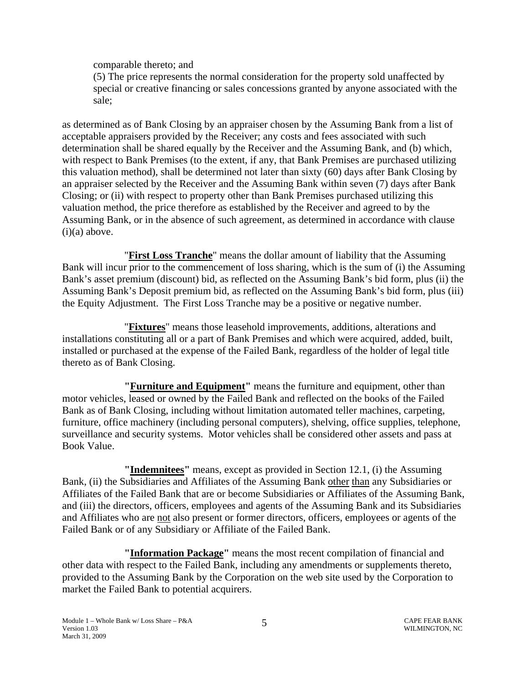comparable thereto; and

(5) The price represents the normal consideration for the property sold unaffected by special or creative financing or sales concessions granted by anyone associated with the sale;

as determined as of Bank Closing by an appraiser chosen by the Assuming Bank from a list of acceptable appraisers provided by the Receiver; any costs and fees associated with such determination shall be shared equally by the Receiver and the Assuming Bank, and (b) which, with respect to Bank Premises (to the extent, if any, that Bank Premises are purchased utilizing this valuation method), shall be determined not later than sixty (60) days after Bank Closing by an appraiser selected by the Receiver and the Assuming Bank within seven (7) days after Bank Closing; or (ii) with respect to property other than Bank Premises purchased utilizing this valuation method, the price therefore as established by the Receiver and agreed to by the Assuming Bank, or in the absence of such agreement, as determined in accordance with clause  $(i)(a)$  above.

"**First Loss Tranche**" means the dollar amount of liability that the Assuming Bank will incur prior to the commencement of loss sharing, which is the sum of (i) the Assuming Bank's asset premium (discount) bid, as reflected on the Assuming Bank's bid form, plus (ii) the Assuming Bank's Deposit premium bid, as reflected on the Assuming Bank's bid form, plus (iii) the Equity Adjustment. The First Loss Tranche may be a positive or negative number.

"**Fixtures**" means those leasehold improvements, additions, alterations and installations constituting all or a part of Bank Premises and which were acquired, added, built, installed or purchased at the expense of the Failed Bank, regardless of the holder of legal title thereto as of Bank Closing.

**"Furniture and Equipment"** means the furniture and equipment, other than motor vehicles, leased or owned by the Failed Bank and reflected on the books of the Failed Bank as of Bank Closing, including without limitation automated teller machines, carpeting, furniture, office machinery (including personal computers), shelving, office supplies, telephone, surveillance and security systems. Motor vehicles shall be considered other assets and pass at Book Value.

**"Indemnitees"** means, except as provided in Section 12.1, (i) the Assuming Bank, (ii) the Subsidiaries and Affiliates of the Assuming Bank other than any Subsidiaries or Affiliates of the Failed Bank that are or become Subsidiaries or Affiliates of the Assuming Bank, and (iii) the directors, officers, employees and agents of the Assuming Bank and its Subsidiaries and Affiliates who are not also present or former directors, officers, employees or agents of the Failed Bank or of any Subsidiary or Affiliate of the Failed Bank.

**"Information Package"** means the most recent compilation of financial and other data with respect to the Failed Bank, including any amendments or supplements thereto, provided to the Assuming Bank by the Corporation on the web site used by the Corporation to market the Failed Bank to potential acquirers.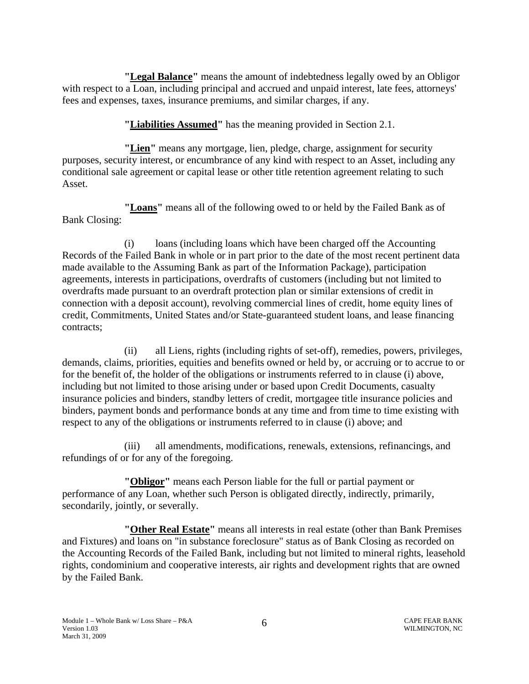**"Legal Balance"** means the amount of indebtedness legally owed by an Obligor with respect to a Loan, including principal and accrued and unpaid interest, late fees, attorneys' fees and expenses, taxes, insurance premiums, and similar charges, if any.

**"Liabilities Assumed"** has the meaning provided in Section 2.1.

**"Lien"** means any mortgage, lien, pledge, charge, assignment for security purposes, security interest, or encumbrance of any kind with respect to an Asset, including any conditional sale agreement or capital lease or other title retention agreement relating to such Asset.

**"Loans"** means all of the following owed to or held by the Failed Bank as of Bank Closing:

(i) loans (including loans which have been charged off the Accounting Records of the Failed Bank in whole or in part prior to the date of the most recent pertinent data made available to the Assuming Bank as part of the Information Package), participation agreements, interests in participations, overdrafts of customers (including but not limited to overdrafts made pursuant to an overdraft protection plan or similar extensions of credit in connection with a deposit account), revolving commercial lines of credit, home equity lines of credit, Commitments, United States and/or State-guaranteed student loans, and lease financing contracts;

(ii) all Liens, rights (including rights of set-off), remedies, powers, privileges, demands, claims, priorities, equities and benefits owned or held by, or accruing or to accrue to or for the benefit of, the holder of the obligations or instruments referred to in clause (i) above, including but not limited to those arising under or based upon Credit Documents, casualty insurance policies and binders, standby letters of credit, mortgagee title insurance policies and binders, payment bonds and performance bonds at any time and from time to time existing with respect to any of the obligations or instruments referred to in clause (i) above; and

(iii) all amendments, modifications, renewals, extensions, refinancings, and refundings of or for any of the foregoing.

**"Obligor"** means each Person liable for the full or partial payment or performance of any Loan, whether such Person is obligated directly, indirectly, primarily, secondarily, jointly, or severally.

**"Other Real Estate"** means all interests in real estate (other than Bank Premises and Fixtures) and loans on "in substance foreclosure" status as of Bank Closing as recorded on the Accounting Records of the Failed Bank, including but not limited to mineral rights, leasehold rights, condominium and cooperative interests, air rights and development rights that are owned by the Failed Bank.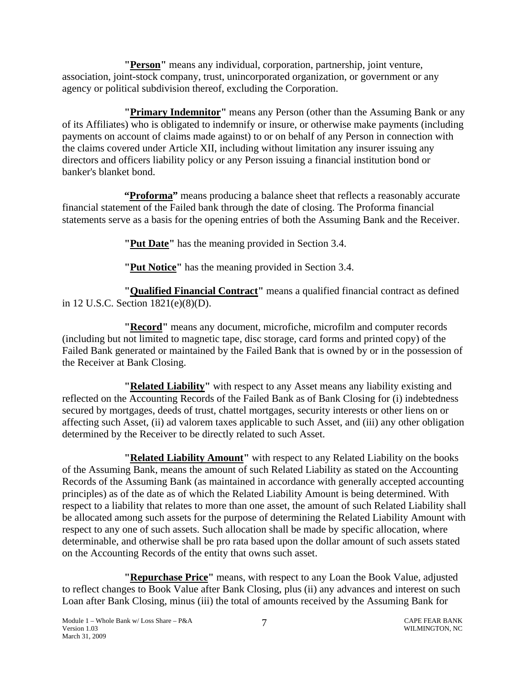**"Person"** means any individual, corporation, partnership, joint venture, association, joint-stock company, trust, unincorporated organization, or government or any agency or political subdivision thereof, excluding the Corporation.

**"Primary Indemnitor"** means any Person (other than the Assuming Bank or any of its Affiliates) who is obligated to indemnify or insure, or otherwise make payments (including payments on account of claims made against) to or on behalf of any Person in connection with the claims covered under Article XII, including without limitation any insurer issuing any directors and officers liability policy or any Person issuing a financial institution bond or banker's blanket bond.

**"Proforma"** means producing a balance sheet that reflects a reasonably accurate financial statement of the Failed bank through the date of closing. The Proforma financial statements serve as a basis for the opening entries of both the Assuming Bank and the Receiver.

**"Put Date"** has the meaning provided in Section 3.4.

**"Put Notice"** has the meaning provided in Section 3.4.

**"Qualified Financial Contract"** means a qualified financial contract as defined in 12 U.S.C. Section 1821(e)(8)(D).

**"Record"** means any document, microfiche, microfilm and computer records (including but not limited to magnetic tape, disc storage, card forms and printed copy) of the Failed Bank generated or maintained by the Failed Bank that is owned by or in the possession of the Receiver at Bank Closing.

**"Related Liability"** with respect to any Asset means any liability existing and reflected on the Accounting Records of the Failed Bank as of Bank Closing for (i) indebtedness secured by mortgages, deeds of trust, chattel mortgages, security interests or other liens on or affecting such Asset, (ii) ad valorem taxes applicable to such Asset, and (iii) any other obligation determined by the Receiver to be directly related to such Asset.

**"Related Liability Amount"** with respect to any Related Liability on the books of the Assuming Bank, means the amount of such Related Liability as stated on the Accounting Records of the Assuming Bank (as maintained in accordance with generally accepted accounting principles) as of the date as of which the Related Liability Amount is being determined. With respect to a liability that relates to more than one asset, the amount of such Related Liability shall be allocated among such assets for the purpose of determining the Related Liability Amount with respect to any one of such assets. Such allocation shall be made by specific allocation, where determinable, and otherwise shall be pro rata based upon the dollar amount of such assets stated on the Accounting Records of the entity that owns such asset.

 **"Repurchase Price"** means, with respect to any Loan the Book Value, adjusted to reflect changes to Book Value after Bank Closing, plus (ii) any advances and interest on such Loan after Bank Closing, minus (iii) the total of amounts received by the Assuming Bank for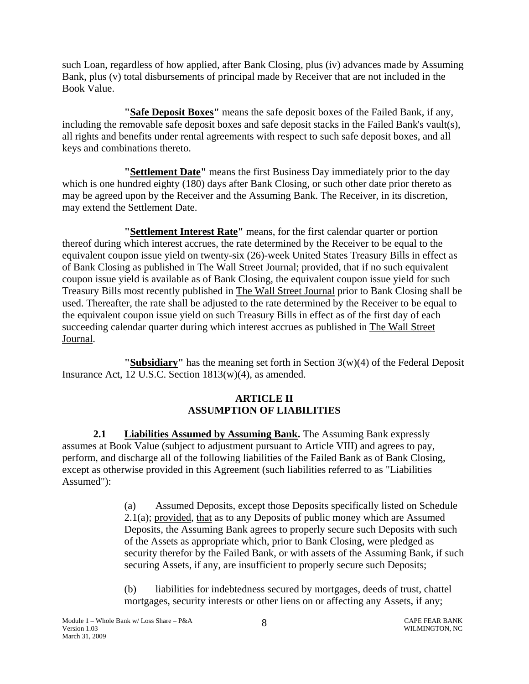<span id="page-11-0"></span>such Loan, regardless of how applied, after Bank Closing, plus (iv) advances made by Assuming Bank, plus (v) total disbursements of principal made by Receiver that are not included in the Book Value.

**"Safe Deposit Boxes"** means the safe deposit boxes of the Failed Bank, if any, including the removable safe deposit boxes and safe deposit stacks in the Failed Bank's vault(s), all rights and benefits under rental agreements with respect to such safe deposit boxes, and all keys and combinations thereto.

**"Settlement Date"** means the first Business Day immediately prior to the day which is one hundred eighty (180) days after Bank Closing, or such other date prior thereto as may be agreed upon by the Receiver and the Assuming Bank. The Receiver, in its discretion, may extend the Settlement Date.

**"Settlement Interest Rate"** means, for the first calendar quarter or portion thereof during which interest accrues, the rate determined by the Receiver to be equal to the equivalent coupon issue yield on twenty-six (26)-week United States Treasury Bills in effect as of Bank Closing as published in The Wall Street Journal; provided, that if no such equivalent coupon issue yield is available as of Bank Closing, the equivalent coupon issue yield for such Treasury Bills most recently published in The Wall Street Journal prior to Bank Closing shall be used. Thereafter, the rate shall be adjusted to the rate determined by the Receiver to be equal to the equivalent coupon issue yield on such Treasury Bills in effect as of the first day of each succeeding calendar quarter during which interest accrues as published in The Wall Street Journal.

**"Subsidiary"** has the meaning set forth in Section 3(w)(4) of the Federal Deposit Insurance Act, 12 U.S.C. Section 1813(w)(4), as amended.

## **ARTICLE II ASSUMPTION OF LIABILITIES**

 **2.1 Liabilities Assumed by Assuming Bank.** The Assuming Bank expressly assumes at Book Value (subject to adjustment pursuant to Article VIII) and agrees to pay, perform, and discharge all of the following liabilities of the Failed Bank as of Bank Closing, except as otherwise provided in this Agreement (such liabilities referred to as "Liabilities Assumed"):

> (a) Assumed Deposits, except those Deposits specifically listed on Schedule 2.1(a); provided, that as to any Deposits of public money which are Assumed Deposits, the Assuming Bank agrees to properly secure such Deposits with such of the Assets as appropriate which, prior to Bank Closing, were pledged as security therefor by the Failed Bank, or with assets of the Assuming Bank, if such securing Assets, if any, are insufficient to properly secure such Deposits;

(b) liabilities for indebtedness secured by mortgages, deeds of trust, chattel mortgages, security interests or other liens on or affecting any Assets, if any;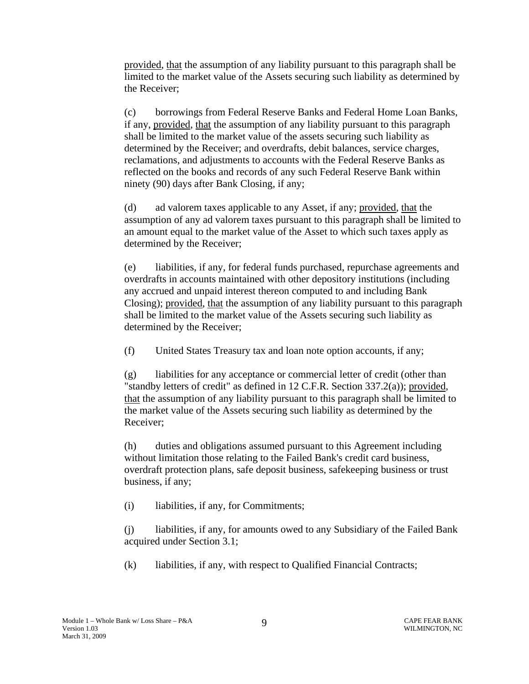provided, that the assumption of any liability pursuant to this paragraph shall be limited to the market value of the Assets securing such liability as determined by the Receiver;

(c) borrowings from Federal Reserve Banks and Federal Home Loan Banks, if any, provided, that the assumption of any liability pursuant to this paragraph shall be limited to the market value of the assets securing such liability as determined by the Receiver; and overdrafts, debit balances, service charges, reclamations, and adjustments to accounts with the Federal Reserve Banks as reflected on the books and records of any such Federal Reserve Bank within ninety (90) days after Bank Closing, if any;

(d) ad valorem taxes applicable to any Asset, if any; provided, that the assumption of any ad valorem taxes pursuant to this paragraph shall be limited to an amount equal to the market value of the Asset to which such taxes apply as determined by the Receiver;

(e) liabilities, if any, for federal funds purchased, repurchase agreements and overdrafts in accounts maintained with other depository institutions (including any accrued and unpaid interest thereon computed to and including Bank Closing); provided, that the assumption of any liability pursuant to this paragraph shall be limited to the market value of the Assets securing such liability as determined by the Receiver;

(f) United States Treasury tax and loan note option accounts, if any;

(g) liabilities for any acceptance or commercial letter of credit (other than "standby letters of credit" as defined in 12 C.F.R. Section 337.2(a)); provided, that the assumption of any liability pursuant to this paragraph shall be limited to the market value of the Assets securing such liability as determined by the Receiver;

(h) duties and obligations assumed pursuant to this Agreement including without limitation those relating to the Failed Bank's credit card business, overdraft protection plans, safe deposit business, safekeeping business or trust business, if any;

(i) liabilities, if any, for Commitments;

(j) liabilities, if any, for amounts owed to any Subsidiary of the Failed Bank acquired under Section 3.1;

(k) liabilities, if any, with respect to Qualified Financial Contracts;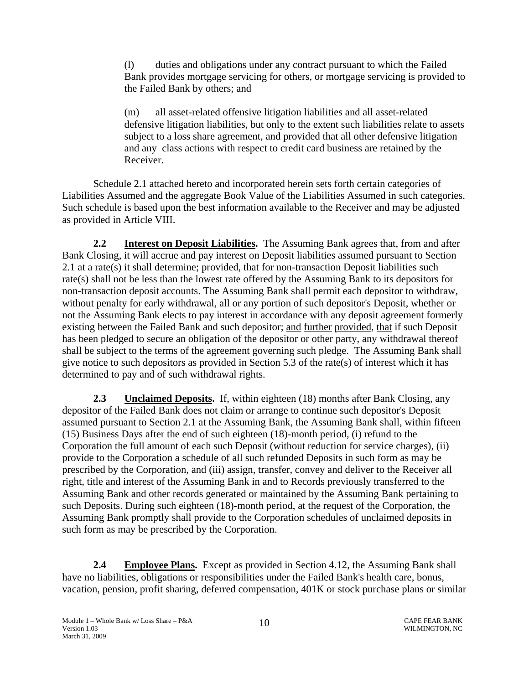<span id="page-13-0"></span>(l) duties and obligations under any contract pursuant to which the Failed Bank provides mortgage servicing for others, or mortgage servicing is provided to the Failed Bank by others; and

(m) all asset-related offensive litigation liabilities and all asset-related defensive litigation liabilities, but only to the extent such liabilities relate to assets subject to a loss share agreement, and provided that all other defensive litigation and any class actions with respect to credit card business are retained by the Receiver.

Schedule 2.1 attached hereto and incorporated herein sets forth certain categories of Liabilities Assumed and the aggregate Book Value of the Liabilities Assumed in such categories. Such schedule is based upon the best information available to the Receiver and may be adjusted as provided in Article VIII.

**2.2 Interest on Deposit Liabilities.** The Assuming Bank agrees that, from and after Bank Closing, it will accrue and pay interest on Deposit liabilities assumed pursuant to Section 2.1 at a rate(s) it shall determine; provided, that for non-transaction Deposit liabilities such rate(s) shall not be less than the lowest rate offered by the Assuming Bank to its depositors for non-transaction deposit accounts. The Assuming Bank shall permit each depositor to withdraw, without penalty for early withdrawal, all or any portion of such depositor's Deposit, whether or not the Assuming Bank elects to pay interest in accordance with any deposit agreement formerly existing between the Failed Bank and such depositor; and further provided, that if such Deposit has been pledged to secure an obligation of the depositor or other party, any withdrawal thereof shall be subject to the terms of the agreement governing such pledge. The Assuming Bank shall give notice to such depositors as provided in Section 5.3 of the rate(s) of interest which it has determined to pay and of such withdrawal rights.

**2.3 Unclaimed Deposits.** If, within eighteen (18) months after Bank Closing, any depositor of the Failed Bank does not claim or arrange to continue such depositor's Deposit assumed pursuant to Section 2.1 at the Assuming Bank, the Assuming Bank shall, within fifteen (15) Business Days after the end of such eighteen (18)-month period, (i) refund to the Corporation the full amount of each such Deposit (without reduction for service charges), (ii) provide to the Corporation a schedule of all such refunded Deposits in such form as may be prescribed by the Corporation, and (iii) assign, transfer, convey and deliver to the Receiver all right, title and interest of the Assuming Bank in and to Records previously transferred to the Assuming Bank and other records generated or maintained by the Assuming Bank pertaining to such Deposits. During such eighteen (18)-month period, at the request of the Corporation, the Assuming Bank promptly shall provide to the Corporation schedules of unclaimed deposits in such form as may be prescribed by the Corporation.

**2.4 Employee Plans.** Except as provided in Section 4.12, the Assuming Bank shall have no liabilities, obligations or responsibilities under the Failed Bank's health care, bonus, vacation, pension, profit sharing, deferred compensation, 401K or stock purchase plans or similar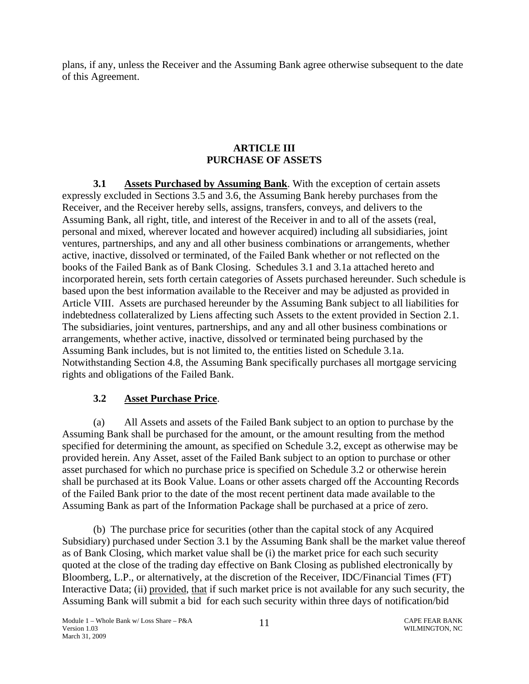<span id="page-14-0"></span>plans, if any, unless the Receiver and the Assuming Bank agree otherwise subsequent to the date of this Agreement.

#### **ARTICLE III PURCHASE OF ASSETS**

Assuming Bank includes, but is not limited to, the entities listed on Schedule 3.1a. **3.1** Assets Purchased by Assuming Bank. With the exception of certain assets expressly excluded in Sections 3.5 and 3.6, the Assuming Bank hereby purchases from the Receiver, and the Receiver hereby sells, assigns, transfers, conveys, and delivers to the Assuming Bank, all right, title, and interest of the Receiver in and to all of the assets (real, personal and mixed, wherever located and however acquired) including all subsidiaries, joint ventures, partnerships, and any and all other business combinations or arrangements, whether active, inactive, dissolved or terminated, of the Failed Bank whether or not reflected on the books of the Failed Bank as of Bank Closing. Schedules 3.1 and 3.1a attached hereto and incorporated herein, sets forth certain categories of Assets purchased hereunder. Such schedule is based upon the best information available to the Receiver and may be adjusted as provided in Article VIII. Assets are purchased hereunder by the Assuming Bank subject to all liabilities for indebtedness collateralized by Liens affecting such Assets to the extent provided in Section 2.1. The subsidiaries, joint ventures, partnerships, and any and all other business combinations or arrangements, whether active, inactive, dissolved or terminated being purchased by the Notwithstanding Section 4.8, the Assuming Bank specifically purchases all mortgage servicing rights and obligations of the Failed Bank.

### **3.2 Asset Purchase Price**.

(a) All Assets and assets of the Failed Bank subject to an option to purchase by the Assuming Bank shall be purchased for the amount, or the amount resulting from the method specified for determining the amount, as specified on Schedule 3.2, except as otherwise may be provided herein. Any Asset, asset of the Failed Bank subject to an option to purchase or other asset purchased for which no purchase price is specified on Schedule 3.2 or otherwise herein shall be purchased at its Book Value. Loans or other assets charged off the Accounting Records of the Failed Bank prior to the date of the most recent pertinent data made available to the Assuming Bank as part of the Information Package shall be purchased at a price of zero.

(b) The purchase price for securities (other than the capital stock of any Acquired Subsidiary) purchased under Section 3.1 by the Assuming Bank shall be the market value thereof as of Bank Closing, which market value shall be (i) the market price for each such security quoted at the close of the trading day effective on Bank Closing as published electronically by Bloomberg, L.P., or alternatively, at the discretion of the Receiver, IDC/Financial Times (FT) Interactive Data; (ii) provided, that if such market price is not available for any such security, the Assuming Bank will submit a bid for each such security within three days of notification/bid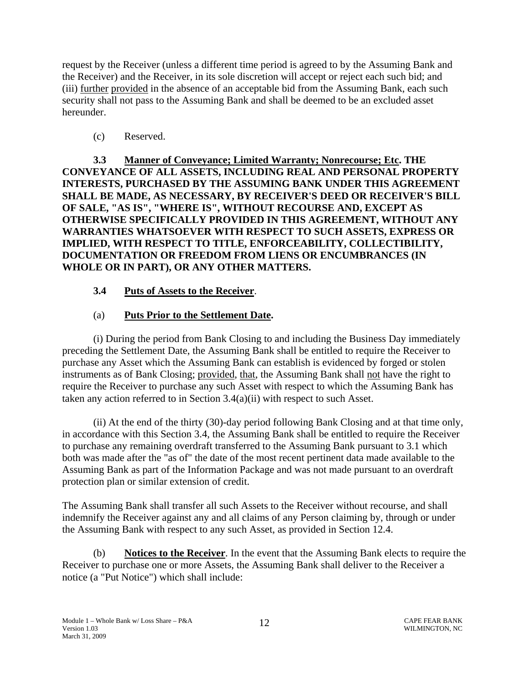<span id="page-15-0"></span>request by the Receiver (unless a different time period is agreed to by the Assuming Bank and the Receiver) and the Receiver, in its sole discretion will accept or reject each such bid; and (iii) further provided in the absence of an acceptable bid from the Assuming Bank, each such security shall not pass to the Assuming Bank and shall be deemed to be an excluded asset hereunder.

## (c) Reserved.

**3.3 Manner of Conveyance; Limited Warranty; Nonrecourse; Etc. THE CONVEYANCE OF ALL ASSETS, INCLUDING REAL AND PERSONAL PROPERTY INTERESTS, PURCHASED BY THE ASSUMING BANK UNDER THIS AGREEMENT SHALL BE MADE, AS NECESSARY, BY RECEIVER'S DEED OR RECEIVER'S BILL OF SALE, "AS IS", "WHERE IS", WITHOUT RECOURSE AND, EXCEPT AS OTHERWISE SPECIFICALLY PROVIDED IN THIS AGREEMENT, WITHOUT ANY WARRANTIES WHATSOEVER WITH RESPECT TO SUCH ASSETS, EXPRESS OR IMPLIED, WITH RESPECT TO TITLE, ENFORCEABILITY, COLLECTIBILITY, DOCUMENTATION OR FREEDOM FROM LIENS OR ENCUMBRANCES (IN WHOLE OR IN PART), OR ANY OTHER MATTERS.** 

## **3.4 Puts of Assets to the Receiver**.

## (a) **Puts Prior to the Settlement Date.**

(i) During the period from Bank Closing to and including the Business Day immediately preceding the Settlement Date, the Assuming Bank shall be entitled to require the Receiver to purchase any Asset which the Assuming Bank can establish is evidenced by forged or stolen instruments as of Bank Closing; provided, that, the Assuming Bank shall not have the right to require the Receiver to purchase any such Asset with respect to which the Assuming Bank has taken any action referred to in Section 3.4(a)(ii) with respect to such Asset.

(ii) At the end of the thirty (30)-day period following Bank Closing and at that time only, in accordance with this Section 3.4, the Assuming Bank shall be entitled to require the Receiver to purchase any remaining overdraft transferred to the Assuming Bank pursuant to 3.1 which both was made after the "as of" the date of the most recent pertinent data made available to the Assuming Bank as part of the Information Package and was not made pursuant to an overdraft protection plan or similar extension of credit.

The Assuming Bank shall transfer all such Assets to the Receiver without recourse, and shall indemnify the Receiver against any and all claims of any Person claiming by, through or under the Assuming Bank with respect to any such Asset, as provided in Section 12.4.

(b) **Notices to the Receiver**. In the event that the Assuming Bank elects to require the Receiver to purchase one or more Assets, the Assuming Bank shall deliver to the Receiver a notice (a "Put Notice") which shall include: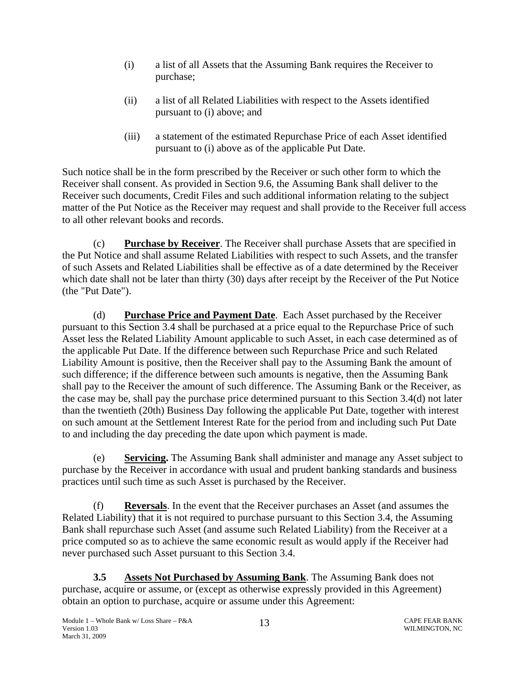- <span id="page-16-0"></span>(i) a list of all Assets that the Assuming Bank requires the Receiver to purchase;
- (ii) a list of all Related Liabilities with respect to the Assets identified pursuant to (i) above; and
- (iii) a statement of the estimated Repurchase Price of each Asset identified pursuant to (i) above as of the applicable Put Date.

Such notice shall be in the form prescribed by the Receiver or such other form to which the Receiver shall consent. As provided in Section 9.6, the Assuming Bank shall deliver to the Receiver such documents, Credit Files and such additional information relating to the subject matter of the Put Notice as the Receiver may request and shall provide to the Receiver full access to all other relevant books and records.

(c) **Purchase by Receiver**. The Receiver shall purchase Assets that are specified in the Put Notice and shall assume Related Liabilities with respect to such Assets, and the transfer of such Assets and Related Liabilities shall be effective as of a date determined by the Receiver which date shall not be later than thirty (30) days after receipt by the Receiver of the Put Notice (the "Put Date").

(d) **Purchase Price and Payment Date**. Each Asset purchased by the Receiver pursuant to this Section 3.4 shall be purchased at a price equal to the Repurchase Price of such Asset less the Related Liability Amount applicable to such Asset, in each case determined as of the applicable Put Date. If the difference between such Repurchase Price and such Related Liability Amount is positive, then the Receiver shall pay to the Assuming Bank the amount of such difference; if the difference between such amounts is negative, then the Assuming Bank shall pay to the Receiver the amount of such difference. The Assuming Bank or the Receiver, as the case may be, shall pay the purchase price determined pursuant to this Section 3.4(d) not later than the twentieth (20th) Business Day following the applicable Put Date, together with interest on such amount at the Settlement Interest Rate for the period from and including such Put Date to and including the day preceding the date upon which payment is made.

(e) **Servicing.** The Assuming Bank shall administer and manage any Asset subject to purchase by the Receiver in accordance with usual and prudent banking standards and business practices until such time as such Asset is purchased by the Receiver.

(f) **Reversals**. In the event that the Receiver purchases an Asset (and assumes the Related Liability) that it is not required to purchase pursuant to this Section 3.4, the Assuming Bank shall repurchase such Asset (and assume such Related Liability) from the Receiver at a price computed so as to achieve the same economic result as would apply if the Receiver had never purchased such Asset pursuant to this Section 3.4.

**3.5 Assets Not Purchased by Assuming Bank**. The Assuming Bank does not purchase, acquire or assume, or (except as otherwise expressly provided in this Agreement) obtain an option to purchase, acquire or assume under this Agreement: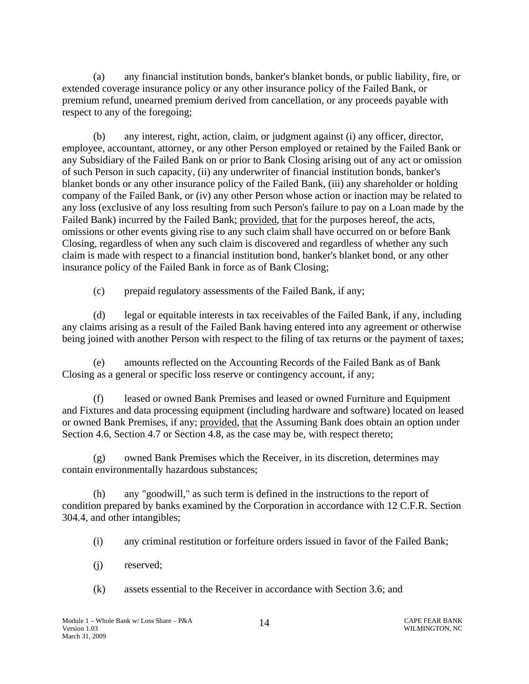(a) any financial institution bonds, banker's blanket bonds, or public liability, fire, or extended coverage insurance policy or any other insurance policy of the Failed Bank, or premium refund, unearned premium derived from cancellation, or any proceeds payable with respect to any of the foregoing;

(b) any interest, right, action, claim, or judgment against (i) any officer, director, employee, accountant, attorney, or any other Person employed or retained by the Failed Bank or any Subsidiary of the Failed Bank on or prior to Bank Closing arising out of any act or omission of such Person in such capacity, (ii) any underwriter of financial institution bonds, banker's blanket bonds or any other insurance policy of the Failed Bank, (iii) any shareholder or holding company of the Failed Bank, or (iv) any other Person whose action or inaction may be related to any loss (exclusive of any loss resulting from such Person's failure to pay on a Loan made by the Failed Bank) incurred by the Failed Bank; provided, that for the purposes hereof, the acts, omissions or other events giving rise to any such claim shall have occurred on or before Bank Closing, regardless of when any such claim is discovered and regardless of whether any such claim is made with respect to a financial institution bond, banker's blanket bond, or any other insurance policy of the Failed Bank in force as of Bank Closing;

(c) prepaid regulatory assessments of the Failed Bank, if any;

(d) legal or equitable interests in tax receivables of the Failed Bank, if any, including any claims arising as a result of the Failed Bank having entered into any agreement or otherwise being joined with another Person with respect to the filing of tax returns or the payment of taxes;

(e) amounts reflected on the Accounting Records of the Failed Bank as of Bank Closing as a general or specific loss reserve or contingency account, if any;

(f) leased or owned Bank Premises and leased or owned Furniture and Equipment and Fixtures and data processing equipment (including hardware and software) located on leased or owned Bank Premises, if any; provided, that the Assuming Bank does obtain an option under Section 4.6, Section 4.7 or Section 4.8, as the case may be, with respect thereto;

(g) owned Bank Premises which the Receiver, in its discretion, determines may contain environmentally hazardous substances;

(h) any "goodwill," as such term is defined in the instructions to the report of condition prepared by banks examined by the Corporation in accordance with 12 C.F.R. Section 304.4, and other intangibles;

(i) any criminal restitution or forfeiture orders issued in favor of the Failed Bank;

(j) reserved;

(k) assets essential to the Receiver in accordance with Section 3.6; and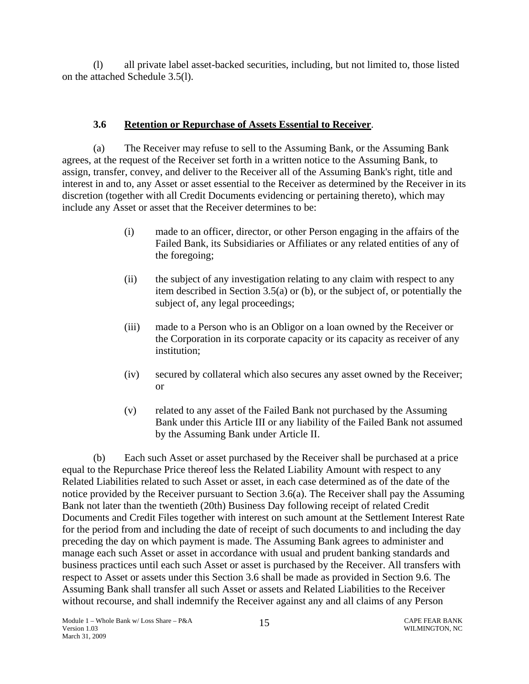<span id="page-18-0"></span>(l) all private label asset-backed securities, including, but not limited to, those listed on the attached Schedule 3.5(l).

## **3.6 Retention or Repurchase of Assets Essential to Receiver**.

(a) The Receiver may refuse to sell to the Assuming Bank, or the Assuming Bank agrees, at the request of the Receiver set forth in a written notice to the Assuming Bank, to assign, transfer, convey, and deliver to the Receiver all of the Assuming Bank's right, title and interest in and to, any Asset or asset essential to the Receiver as determined by the Receiver in its discretion (together with all Credit Documents evidencing or pertaining thereto), which may include any Asset or asset that the Receiver determines to be:

- (i) made to an officer, director, or other Person engaging in the affairs of the Failed Bank, its Subsidiaries or Affiliates or any related entities of any of the foregoing;
- (ii) the subject of any investigation relating to any claim with respect to any item described in Section 3.5(a) or (b), or the subject of, or potentially the subject of, any legal proceedings;
- (iii) made to a Person who is an Obligor on a loan owned by the Receiver or the Corporation in its corporate capacity or its capacity as receiver of any institution;
- (iv) secured by collateral which also secures any asset owned by the Receiver; or
- (v) related to any asset of the Failed Bank not purchased by the Assuming Bank under this Article III or any liability of the Failed Bank not assumed by the Assuming Bank under Article II.

(b) Each such Asset or asset purchased by the Receiver shall be purchased at a price equal to the Repurchase Price thereof less the Related Liability Amount with respect to any Related Liabilities related to such Asset or asset, in each case determined as of the date of the notice provided by the Receiver pursuant to Section 3.6(a). The Receiver shall pay the Assuming Bank not later than the twentieth (20th) Business Day following receipt of related Credit Documents and Credit Files together with interest on such amount at the Settlement Interest Rate for the period from and including the date of receipt of such documents to and including the day preceding the day on which payment is made. The Assuming Bank agrees to administer and manage each such Asset or asset in accordance with usual and prudent banking standards and business practices until each such Asset or asset is purchased by the Receiver. All transfers with respect to Asset or assets under this Section 3.6 shall be made as provided in Section 9.6. The Assuming Bank shall transfer all such Asset or assets and Related Liabilities to the Receiver without recourse, and shall indemnify the Receiver against any and all claims of any Person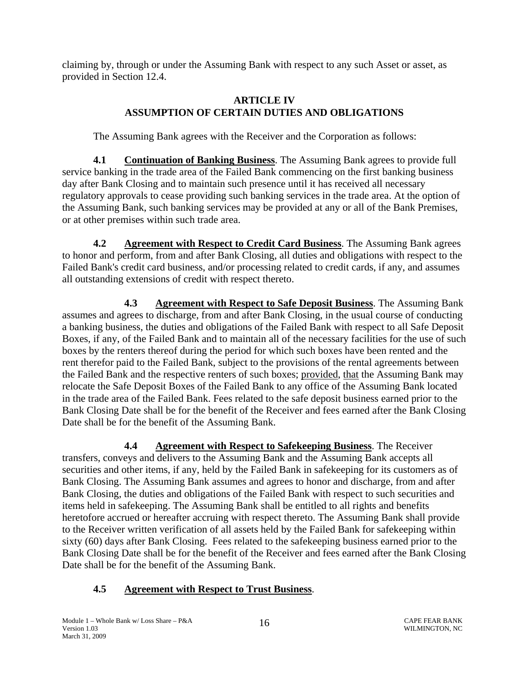<span id="page-19-0"></span>claiming by, through or under the Assuming Bank with respect to any such Asset or asset, as provided in Section 12.4.

## **ARTICLE IV ASSUMPTION OF CERTAIN DUTIES AND OBLIGATIONS**

The Assuming Bank agrees with the Receiver and the Corporation as follows:

**4.1 Continuation of Banking Business**. The Assuming Bank agrees to provide full service banking in the trade area of the Failed Bank commencing on the first banking business day after Bank Closing and to maintain such presence until it has received all necessary regulatory approvals to cease providing such banking services in the trade area. At the option of the Assuming Bank, such banking services may be provided at any or all of the Bank Premises, or at other premises within such trade area.

**4.2 Agreement with Respect to Credit Card Business**. The Assuming Bank agrees to honor and perform, from and after Bank Closing, all duties and obligations with respect to the Failed Bank's credit card business, and/or processing related to credit cards, if any, and assumes all outstanding extensions of credit with respect thereto.

**4.3 Agreement with Respect to Safe Deposit Business**. The Assuming Bank assumes and agrees to discharge, from and after Bank Closing, in the usual course of conducting a banking business, the duties and obligations of the Failed Bank with respect to all Safe Deposit Boxes, if any, of the Failed Bank and to maintain all of the necessary facilities for the use of such boxes by the renters thereof during the period for which such boxes have been rented and the rent therefor paid to the Failed Bank, subject to the provisions of the rental agreements between the Failed Bank and the respective renters of such boxes; provided, that the Assuming Bank may relocate the Safe Deposit Boxes of the Failed Bank to any office of the Assuming Bank located in the trade area of the Failed Bank. Fees related to the safe deposit business earned prior to the Bank Closing Date shall be for the benefit of the Receiver and fees earned after the Bank Closing Date shall be for the benefit of the Assuming Bank.

**4.4 Agreement with Respect to Safekeeping Business**. The Receiver transfers, conveys and delivers to the Assuming Bank and the Assuming Bank accepts all securities and other items, if any, held by the Failed Bank in safekeeping for its customers as of Bank Closing. The Assuming Bank assumes and agrees to honor and discharge, from and after Bank Closing, the duties and obligations of the Failed Bank with respect to such securities and items held in safekeeping. The Assuming Bank shall be entitled to all rights and benefits heretofore accrued or hereafter accruing with respect thereto. The Assuming Bank shall provide to the Receiver written verification of all assets held by the Failed Bank for safekeeping within sixty (60) days after Bank Closing. Fees related to the safekeeping business earned prior to the Bank Closing Date shall be for the benefit of the Receiver and fees earned after the Bank Closing Date shall be for the benefit of the Assuming Bank.

# **4.5 Agreement with Respect to Trust Business**.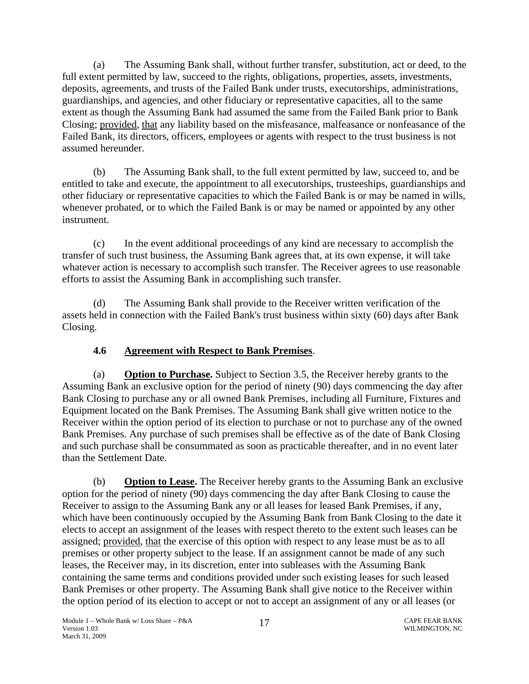<span id="page-20-0"></span>(a) The Assuming Bank shall, without further transfer, substitution, act or deed, to the full extent permitted by law, succeed to the rights, obligations, properties, assets, investments, deposits, agreements, and trusts of the Failed Bank under trusts, executorships, administrations, guardianships, and agencies, and other fiduciary or representative capacities, all to the same extent as though the Assuming Bank had assumed the same from the Failed Bank prior to Bank Closing; provided, that any liability based on the misfeasance, malfeasance or nonfeasance of the Failed Bank, its directors, officers, employees or agents with respect to the trust business is not assumed hereunder.

(b) The Assuming Bank shall, to the full extent permitted by law, succeed to, and be entitled to take and execute, the appointment to all executorships, trusteeships, guardianships and other fiduciary or representative capacities to which the Failed Bank is or may be named in wills, whenever probated, or to which the Failed Bank is or may be named or appointed by any other instrument.

(c) In the event additional proceedings of any kind are necessary to accomplish the transfer of such trust business, the Assuming Bank agrees that, at its own expense, it will take whatever action is necessary to accomplish such transfer. The Receiver agrees to use reasonable efforts to assist the Assuming Bank in accomplishing such transfer.

(d) The Assuming Bank shall provide to the Receiver written verification of the assets held in connection with the Failed Bank's trust business within sixty (60) days after Bank Closing.

# **4.6 Agreement with Respect to Bank Premises**.

(a) **Option to Purchase.** Subject to Section 3.5, the Receiver hereby grants to the Assuming Bank an exclusive option for the period of ninety (90) days commencing the day after Bank Closing to purchase any or all owned Bank Premises, including all Furniture, Fixtures and Equipment located on the Bank Premises. The Assuming Bank shall give written notice to the Receiver within the option period of its election to purchase or not to purchase any of the owned Bank Premises. Any purchase of such premises shall be effective as of the date of Bank Closing and such purchase shall be consummated as soon as practicable thereafter, and in no event later than the Settlement Date.

(b) **Option to Lease.** The Receiver hereby grants to the Assuming Bank an exclusive option for the period of ninety (90) days commencing the day after Bank Closing to cause the Receiver to assign to the Assuming Bank any or all leases for leased Bank Premises, if any, which have been continuously occupied by the Assuming Bank from Bank Closing to the date it elects to accept an assignment of the leases with respect thereto to the extent such leases can be assigned; provided, that the exercise of this option with respect to any lease must be as to all premises or other property subject to the lease. If an assignment cannot be made of any such leases, the Receiver may, in its discretion, enter into subleases with the Assuming Bank containing the same terms and conditions provided under such existing leases for such leased Bank Premises or other property. The Assuming Bank shall give notice to the Receiver within the option period of its election to accept or not to accept an assignment of any or all leases (or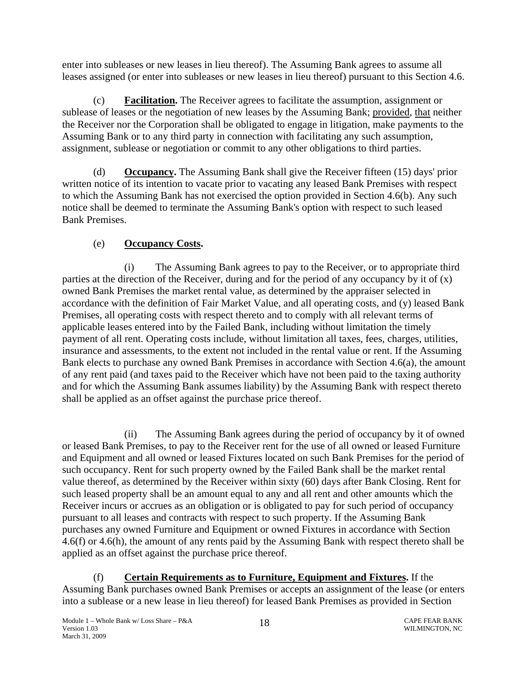enter into subleases or new leases in lieu thereof). The Assuming Bank agrees to assume all leases assigned (or enter into subleases or new leases in lieu thereof) pursuant to this Section 4.6.

(c) **Facilitation.** The Receiver agrees to facilitate the assumption, assignment or sublease of leases or the negotiation of new leases by the Assuming Bank; provided, that neither the Receiver nor the Corporation shall be obligated to engage in litigation, make payments to the Assuming Bank or to any third party in connection with facilitating any such assumption, assignment, sublease or negotiation or commit to any other obligations to third parties.

(d) **Occupancy.** The Assuming Bank shall give the Receiver fifteen (15) days' prior written notice of its intention to vacate prior to vacating any leased Bank Premises with respect to which the Assuming Bank has not exercised the option provided in Section 4.6(b). Any such notice shall be deemed to terminate the Assuming Bank's option with respect to such leased Bank Premises.

# (e) **Occupancy Costs.**

(i) The Assuming Bank agrees to pay to the Receiver, or to appropriate third parties at the direction of the Receiver, during and for the period of any occupancy by it of (x) owned Bank Premises the market rental value, as determined by the appraiser selected in accordance with the definition of Fair Market Value, and all operating costs, and (y) leased Bank Premises, all operating costs with respect thereto and to comply with all relevant terms of applicable leases entered into by the Failed Bank, including without limitation the timely payment of all rent. Operating costs include, without limitation all taxes, fees, charges, utilities, insurance and assessments, to the extent not included in the rental value or rent. If the Assuming Bank elects to purchase any owned Bank Premises in accordance with Section 4.6(a), the amount of any rent paid (and taxes paid to the Receiver which have not been paid to the taxing authority and for which the Assuming Bank assumes liability) by the Assuming Bank with respect thereto shall be applied as an offset against the purchase price thereof.

(ii) The Assuming Bank agrees during the period of occupancy by it of owned or leased Bank Premises, to pay to the Receiver rent for the use of all owned or leased Furniture and Equipment and all owned or leased Fixtures located on such Bank Premises for the period of such occupancy. Rent for such property owned by the Failed Bank shall be the market rental value thereof, as determined by the Receiver within sixty (60) days after Bank Closing. Rent for such leased property shall be an amount equal to any and all rent and other amounts which the Receiver incurs or accrues as an obligation or is obligated to pay for such period of occupancy pursuant to all leases and contracts with respect to such property. If the Assuming Bank purchases any owned Furniture and Equipment or owned Fixtures in accordance with Section 4.6(f) or 4.6(h), the amount of any rents paid by the Assuming Bank with respect thereto shall be applied as an offset against the purchase price thereof.

(f) **Certain Requirements as to Furniture, Equipment and Fixtures.** If the Assuming Bank purchases owned Bank Premises or accepts an assignment of the lease (or enters into a sublease or a new lease in lieu thereof) for leased Bank Premises as provided in Section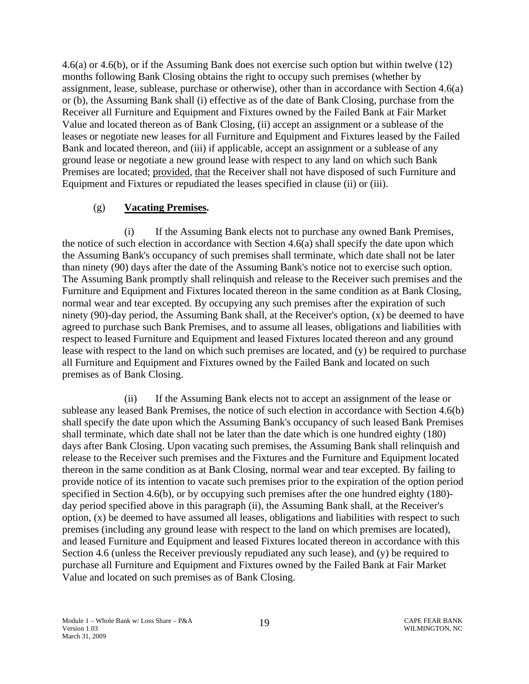4.6(a) or 4.6(b), or if the Assuming Bank does not exercise such option but within twelve (12) months following Bank Closing obtains the right to occupy such premises (whether by assignment, lease, sublease, purchase or otherwise), other than in accordance with Section 4.6(a) or (b), the Assuming Bank shall (i) effective as of the date of Bank Closing, purchase from the Receiver all Furniture and Equipment and Fixtures owned by the Failed Bank at Fair Market Value and located thereon as of Bank Closing, (ii) accept an assignment or a sublease of the leases or negotiate new leases for all Furniture and Equipment and Fixtures leased by the Failed Bank and located thereon, and (iii) if applicable, accept an assignment or a sublease of any ground lease or negotiate a new ground lease with respect to any land on which such Bank Premises are located; provided, that the Receiver shall not have disposed of such Furniture and Equipment and Fixtures or repudiated the leases specified in clause (ii) or (iii).

#### (g) **Vacating Premises.**

(i) If the Assuming Bank elects not to purchase any owned Bank Premises, the notice of such election in accordance with Section 4.6(a) shall specify the date upon which the Assuming Bank's occupancy of such premises shall terminate, which date shall not be later than ninety (90) days after the date of the Assuming Bank's notice not to exercise such option. The Assuming Bank promptly shall relinquish and release to the Receiver such premises and the Furniture and Equipment and Fixtures located thereon in the same condition as at Bank Closing, normal wear and tear excepted. By occupying any such premises after the expiration of such ninety (90)-day period, the Assuming Bank shall, at the Receiver's option, (x) be deemed to have agreed to purchase such Bank Premises, and to assume all leases, obligations and liabilities with respect to leased Furniture and Equipment and leased Fixtures located thereon and any ground lease with respect to the land on which such premises are located, and (y) be required to purchase all Furniture and Equipment and Fixtures owned by the Failed Bank and located on such premises as of Bank Closing.

(ii) If the Assuming Bank elects not to accept an assignment of the lease or sublease any leased Bank Premises, the notice of such election in accordance with Section 4.6(b) shall specify the date upon which the Assuming Bank's occupancy of such leased Bank Premises shall terminate, which date shall not be later than the date which is one hundred eighty (180) days after Bank Closing. Upon vacating such premises, the Assuming Bank shall relinquish and release to the Receiver such premises and the Fixtures and the Furniture and Equipment located thereon in the same condition as at Bank Closing, normal wear and tear excepted. By failing to provide notice of its intention to vacate such premises prior to the expiration of the option period specified in Section 4.6(b), or by occupying such premises after the one hundred eighty (180) day period specified above in this paragraph (ii), the Assuming Bank shall, at the Receiver's option, (x) be deemed to have assumed all leases, obligations and liabilities with respect to such premises (including any ground lease with respect to the land on which premises are located), and leased Furniture and Equipment and leased Fixtures located thereon in accordance with this Section 4.6 (unless the Receiver previously repudiated any such lease), and (y) be required to purchase all Furniture and Equipment and Fixtures owned by the Failed Bank at Fair Market Value and located on such premises as of Bank Closing.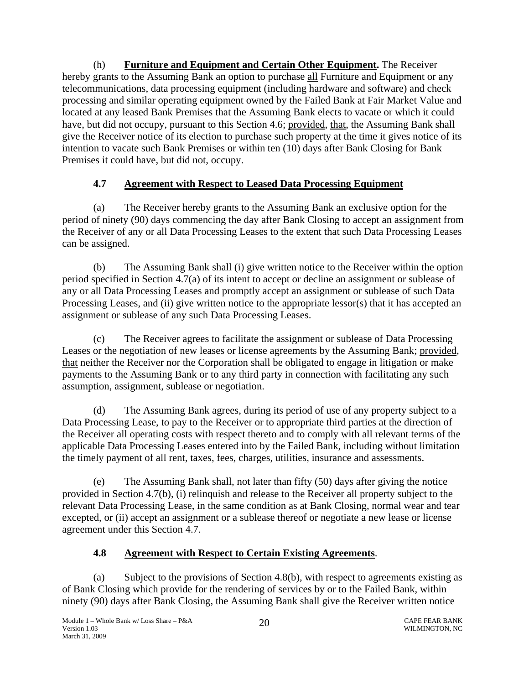<span id="page-23-0"></span> (h) **Furniture and Equipment and Certain Other Equipment.** The Receiver hereby grants to the Assuming Bank an option to purchase all Furniture and Equipment or any telecommunications, data processing equipment (including hardware and software) and check processing and similar operating equipment owned by the Failed Bank at Fair Market Value and located at any leased Bank Premises that the Assuming Bank elects to vacate or which it could have, but did not occupy, pursuant to this Section 4.6; provided, that, the Assuming Bank shall give the Receiver notice of its election to purchase such property at the time it gives notice of its intention to vacate such Bank Premises or within ten (10) days after Bank Closing for Bank Premises it could have, but did not, occupy.

# **4.7 Agreement with Respect to Leased Data Processing Equipment**

(a) The Receiver hereby grants to the Assuming Bank an exclusive option for the period of ninety (90) days commencing the day after Bank Closing to accept an assignment from the Receiver of any or all Data Processing Leases to the extent that such Data Processing Leases can be assigned.

(b) The Assuming Bank shall (i) give written notice to the Receiver within the option period specified in Section 4.7(a) of its intent to accept or decline an assignment or sublease of any or all Data Processing Leases and promptly accept an assignment or sublease of such Data Processing Leases, and (ii) give written notice to the appropriate lessor(s) that it has accepted an assignment or sublease of any such Data Processing Leases.

(c) The Receiver agrees to facilitate the assignment or sublease of Data Processing Leases or the negotiation of new leases or license agreements by the Assuming Bank; provided, that neither the Receiver nor the Corporation shall be obligated to engage in litigation or make payments to the Assuming Bank or to any third party in connection with facilitating any such assumption, assignment, sublease or negotiation.

(d) The Assuming Bank agrees, during its period of use of any property subject to a Data Processing Lease, to pay to the Receiver or to appropriate third parties at the direction of the Receiver all operating costs with respect thereto and to comply with all relevant terms of the applicable Data Processing Leases entered into by the Failed Bank, including without limitation the timely payment of all rent, taxes, fees, charges, utilities, insurance and assessments.

(e) The Assuming Bank shall, not later than fifty (50) days after giving the notice provided in Section 4.7(b), (i) relinquish and release to the Receiver all property subject to the relevant Data Processing Lease, in the same condition as at Bank Closing, normal wear and tear excepted, or (ii) accept an assignment or a sublease thereof or negotiate a new lease or license agreement under this Section 4.7.

# **4.8 Agreement with Respect to Certain Existing Agreements**.

(a) Subject to the provisions of Section 4.8(b), with respect to agreements existing as of Bank Closing which provide for the rendering of services by or to the Failed Bank, within ninety (90) days after Bank Closing, the Assuming Bank shall give the Receiver written notice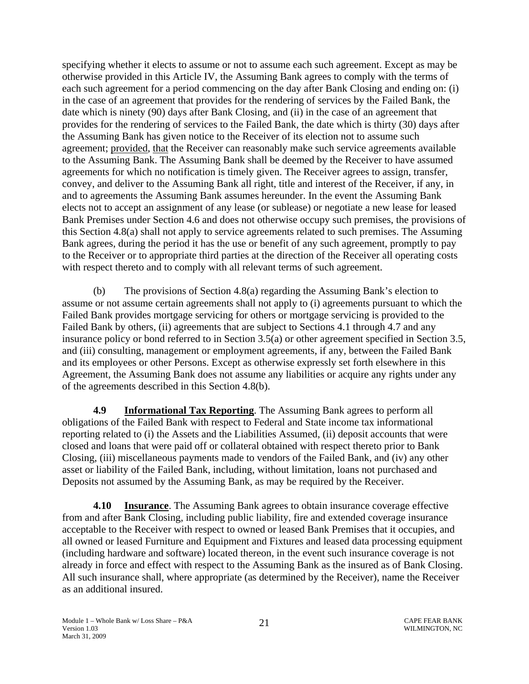<span id="page-24-0"></span>specifying whether it elects to assume or not to assume each such agreement. Except as may be otherwise provided in this Article IV, the Assuming Bank agrees to comply with the terms of each such agreement for a period commencing on the day after Bank Closing and ending on: (i) in the case of an agreement that provides for the rendering of services by the Failed Bank, the date which is ninety (90) days after Bank Closing, and (ii) in the case of an agreement that provides for the rendering of services to the Failed Bank, the date which is thirty (30) days after the Assuming Bank has given notice to the Receiver of its election not to assume such agreement; provided, that the Receiver can reasonably make such service agreements available to the Assuming Bank. The Assuming Bank shall be deemed by the Receiver to have assumed agreements for which no notification is timely given. The Receiver agrees to assign, transfer, convey, and deliver to the Assuming Bank all right, title and interest of the Receiver, if any, in and to agreements the Assuming Bank assumes hereunder. In the event the Assuming Bank elects not to accept an assignment of any lease (or sublease) or negotiate a new lease for leased Bank Premises under Section 4.6 and does not otherwise occupy such premises, the provisions of this Section 4.8(a) shall not apply to service agreements related to such premises. The Assuming Bank agrees, during the period it has the use or benefit of any such agreement, promptly to pay to the Receiver or to appropriate third parties at the direction of the Receiver all operating costs with respect thereto and to comply with all relevant terms of such agreement.

(b) The provisions of Section 4.8(a) regarding the Assuming Bank's election to assume or not assume certain agreements shall not apply to (i) agreements pursuant to which the Failed Bank provides mortgage servicing for others or mortgage servicing is provided to the Failed Bank by others, (ii) agreements that are subject to Sections 4.1 through 4.7 and any insurance policy or bond referred to in Section 3.5(a) or other agreement specified in Section 3.5, and (iii) consulting, management or employment agreements, if any, between the Failed Bank and its employees or other Persons. Except as otherwise expressly set forth elsewhere in this Agreement, the Assuming Bank does not assume any liabilities or acquire any rights under any of the agreements described in this Section 4.8(b).

**4.9 Informational Tax Reporting**. The Assuming Bank agrees to perform all obligations of the Failed Bank with respect to Federal and State income tax informational reporting related to (i) the Assets and the Liabilities Assumed, (ii) deposit accounts that were closed and loans that were paid off or collateral obtained with respect thereto prior to Bank Closing, (iii) miscellaneous payments made to vendors of the Failed Bank, and (iv) any other asset or liability of the Failed Bank, including, without limitation, loans not purchased and Deposits not assumed by the Assuming Bank, as may be required by the Receiver.

**4.10 Insurance**. The Assuming Bank agrees to obtain insurance coverage effective from and after Bank Closing, including public liability, fire and extended coverage insurance acceptable to the Receiver with respect to owned or leased Bank Premises that it occupies, and all owned or leased Furniture and Equipment and Fixtures and leased data processing equipment (including hardware and software) located thereon, in the event such insurance coverage is not already in force and effect with respect to the Assuming Bank as the insured as of Bank Closing. All such insurance shall, where appropriate (as determined by the Receiver), name the Receiver as an additional insured.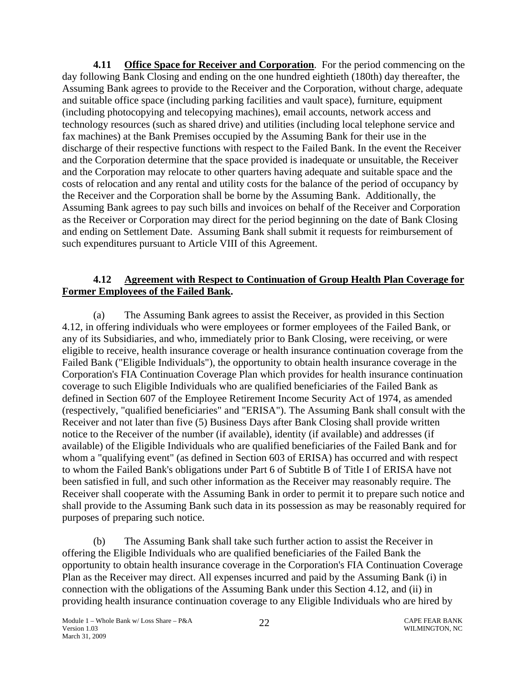<span id="page-25-0"></span>**4.11** Office Space for Receiver and Corporation. For the period commencing on the day following Bank Closing and ending on the one hundred eightieth (180th) day thereafter, the Assuming Bank agrees to provide to the Receiver and the Corporation, without charge, adequate and suitable office space (including parking facilities and vault space), furniture, equipment (including photocopying and telecopying machines), email accounts, network access and technology resources (such as shared drive) and utilities (including local telephone service and fax machines) at the Bank Premises occupied by the Assuming Bank for their use in the discharge of their respective functions with respect to the Failed Bank. In the event the Receiver and the Corporation determine that the space provided is inadequate or unsuitable, the Receiver and the Corporation may relocate to other quarters having adequate and suitable space and the costs of relocation and any rental and utility costs for the balance of the period of occupancy by the Receiver and the Corporation shall be borne by the Assuming Bank. Additionally, the Assuming Bank agrees to pay such bills and invoices on behalf of the Receiver and Corporation as the Receiver or Corporation may direct for the period beginning on the date of Bank Closing and ending on Settlement Date. Assuming Bank shall submit it requests for reimbursement of such expenditures pursuant to Article VIII of this Agreement.

### **4.12 Agreement with Respect to Continuation of Group Health Plan Coverage for Former Employees of the Failed Bank.**

(a) The Assuming Bank agrees to assist the Receiver, as provided in this Section 4.12, in offering individuals who were employees or former employees of the Failed Bank, or any of its Subsidiaries, and who, immediately prior to Bank Closing, were receiving, or were eligible to receive, health insurance coverage or health insurance continuation coverage from the Failed Bank ("Eligible Individuals"), the opportunity to obtain health insurance coverage in the Corporation's FIA Continuation Coverage Plan which provides for health insurance continuation coverage to such Eligible Individuals who are qualified beneficiaries of the Failed Bank as defined in Section 607 of the Employee Retirement Income Security Act of 1974, as amended (respectively, "qualified beneficiaries" and "ERISA"). The Assuming Bank shall consult with the Receiver and not later than five (5) Business Days after Bank Closing shall provide written notice to the Receiver of the number (if available), identity (if available) and addresses (if available) of the Eligible Individuals who are qualified beneficiaries of the Failed Bank and for whom a "qualifying event" (as defined in Section 603 of ERISA) has occurred and with respect to whom the Failed Bank's obligations under Part 6 of Subtitle B of Title I of ERISA have not been satisfied in full, and such other information as the Receiver may reasonably require. The Receiver shall cooperate with the Assuming Bank in order to permit it to prepare such notice and shall provide to the Assuming Bank such data in its possession as may be reasonably required for purposes of preparing such notice.

(b) The Assuming Bank shall take such further action to assist the Receiver in offering the Eligible Individuals who are qualified beneficiaries of the Failed Bank the opportunity to obtain health insurance coverage in the Corporation's FIA Continuation Coverage Plan as the Receiver may direct. All expenses incurred and paid by the Assuming Bank (i) in connection with the obligations of the Assuming Bank under this Section 4.12, and (ii) in providing health insurance continuation coverage to any Eligible Individuals who are hired by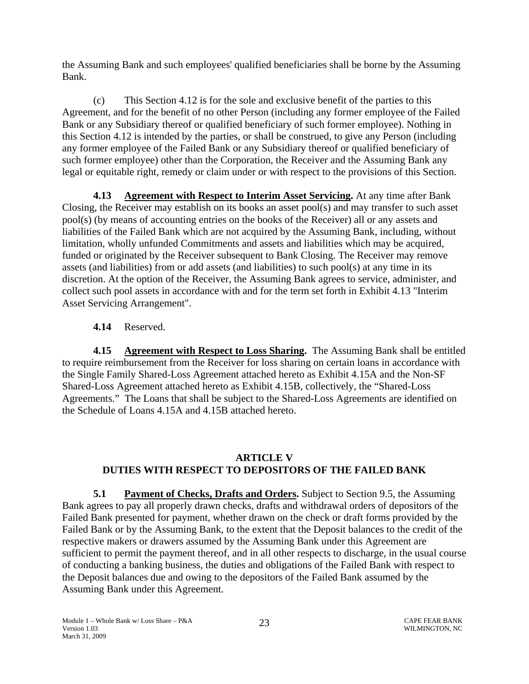<span id="page-26-0"></span>the Assuming Bank and such employees' qualified beneficiaries shall be borne by the Assuming Bank.

(c) This Section 4.12 is for the sole and exclusive benefit of the parties to this Agreement, and for the benefit of no other Person (including any former employee of the Failed Bank or any Subsidiary thereof or qualified beneficiary of such former employee). Nothing in this Section 4.12 is intended by the parties, or shall be construed, to give any Person (including any former employee of the Failed Bank or any Subsidiary thereof or qualified beneficiary of such former employee) other than the Corporation, the Receiver and the Assuming Bank any legal or equitable right, remedy or claim under or with respect to the provisions of this Section.

**4.13 Agreement with Respect to Interim Asset Servicing.** At any time after Bank Closing, the Receiver may establish on its books an asset pool(s) and may transfer to such asset pool(s) (by means of accounting entries on the books of the Receiver) all or any assets and liabilities of the Failed Bank which are not acquired by the Assuming Bank, including, without limitation, wholly unfunded Commitments and assets and liabilities which may be acquired, funded or originated by the Receiver subsequent to Bank Closing. The Receiver may remove assets (and liabilities) from or add assets (and liabilities) to such pool(s) at any time in its discretion. At the option of the Receiver, the Assuming Bank agrees to service, administer, and collect such pool assets in accordance with and for the term set forth in Exhibit 4.13 "Interim Asset Servicing Arrangement".

**4.14** Reserved.

**4.15 Agreement with Respect to Loss Sharing.** The Assuming Bank shall be entitled to require reimbursement from the Receiver for loss sharing on certain loans in accordance with the Single Family Shared-Loss Agreement attached hereto as Exhibit 4.15A and the Non-SF Shared-Loss Agreement attached hereto as Exhibit 4.15B, collectively, the "Shared-Loss Agreements." The Loans that shall be subject to the Shared-Loss Agreements are identified on the Schedule of Loans 4.15A and 4.15B attached hereto.

# **ARTICLE V DUTIES WITH RESPECT TO DEPOSITORS OF THE FAILED BANK**

 **5.1 Payment of Checks, Drafts and Orders.** Subject to Section 9.5, the Assuming Bank agrees to pay all properly drawn checks, drafts and withdrawal orders of depositors of the Failed Bank presented for payment, whether drawn on the check or draft forms provided by the Failed Bank or by the Assuming Bank, to the extent that the Deposit balances to the credit of the respective makers or drawers assumed by the Assuming Bank under this Agreement are sufficient to permit the payment thereof, and in all other respects to discharge, in the usual course of conducting a banking business, the duties and obligations of the Failed Bank with respect to the Deposit balances due and owing to the depositors of the Failed Bank assumed by the Assuming Bank under this Agreement.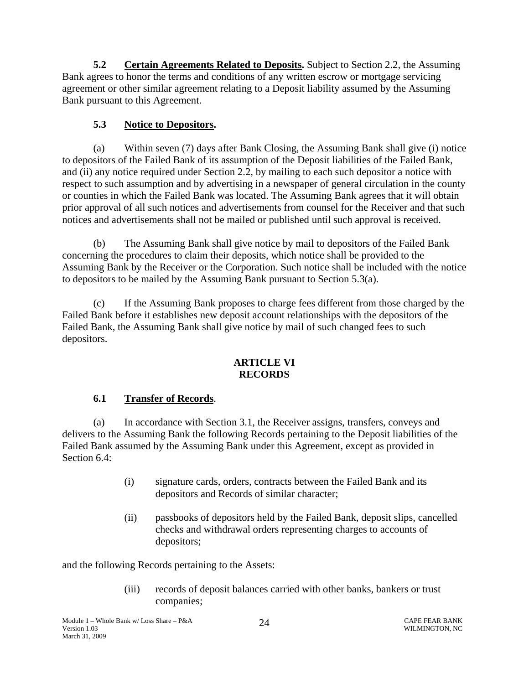<span id="page-27-0"></span>**5.2** Certain Agreements Related to Deposits. Subject to Section 2.2, the Assuming Bank agrees to honor the terms and conditions of any written escrow or mortgage servicing agreement or other similar agreement relating to a Deposit liability assumed by the Assuming Bank pursuant to this Agreement.

# **5.3 Notice to Depositors.**

(a) Within seven (7) days after Bank Closing, the Assuming Bank shall give (i) notice to depositors of the Failed Bank of its assumption of the Deposit liabilities of the Failed Bank, and (ii) any notice required under Section 2.2, by mailing to each such depositor a notice with respect to such assumption and by advertising in a newspaper of general circulation in the county or counties in which the Failed Bank was located. The Assuming Bank agrees that it will obtain prior approval of all such notices and advertisements from counsel for the Receiver and that such notices and advertisements shall not be mailed or published until such approval is received.

(b) The Assuming Bank shall give notice by mail to depositors of the Failed Bank concerning the procedures to claim their deposits, which notice shall be provided to the Assuming Bank by the Receiver or the Corporation. Such notice shall be included with the notice to depositors to be mailed by the Assuming Bank pursuant to Section 5.3(a).

(c) If the Assuming Bank proposes to charge fees different from those charged by the Failed Bank before it establishes new deposit account relationships with the depositors of the Failed Bank, the Assuming Bank shall give notice by mail of such changed fees to such depositors.

# **ARTICLE VI RECORDS**

# **6.1 Transfer of Records**.

(a) In accordance with Section 3.1, the Receiver assigns, transfers, conveys and delivers to the Assuming Bank the following Records pertaining to the Deposit liabilities of the Failed Bank assumed by the Assuming Bank under this Agreement, except as provided in Section 6.4:

- (i) signature cards, orders, contracts between the Failed Bank and its depositors and Records of similar character;
- (ii) passbooks of depositors held by the Failed Bank, deposit slips, cancelled checks and withdrawal orders representing charges to accounts of depositors;

and the following Records pertaining to the Assets:

(iii) records of deposit balances carried with other banks, bankers or trust companies;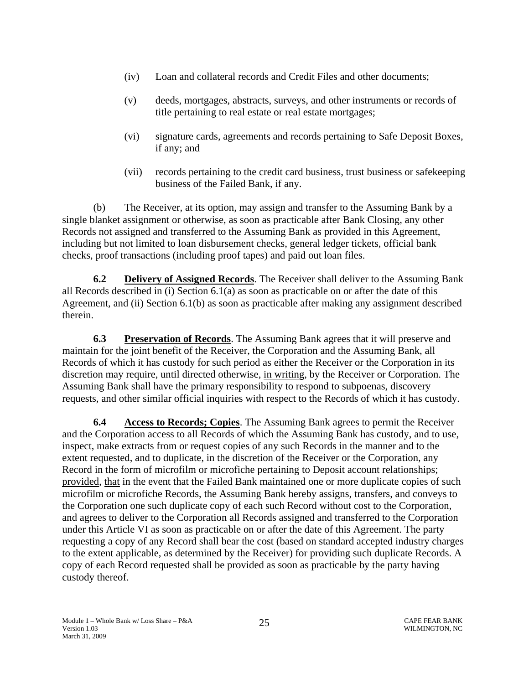- <span id="page-28-0"></span>(iv) Loan and collateral records and Credit Files and other documents;
- (v) deeds, mortgages, abstracts, surveys, and other instruments or records of title pertaining to real estate or real estate mortgages;
- (vi) signature cards, agreements and records pertaining to Safe Deposit Boxes, if any; and
- (vii) records pertaining to the credit card business, trust business or safekeeping business of the Failed Bank, if any.

(b) The Receiver, at its option, may assign and transfer to the Assuming Bank by a single blanket assignment or otherwise, as soon as practicable after Bank Closing, any other Records not assigned and transferred to the Assuming Bank as provided in this Agreement, including but not limited to loan disbursement checks, general ledger tickets, official bank checks, proof transactions (including proof tapes) and paid out loan files.

**6.2 Delivery of Assigned Records**. The Receiver shall deliver to the Assuming Bank all Records described in (i) Section 6.1(a) as soon as practicable on or after the date of this Agreement, and (ii) Section 6.1(b) as soon as practicable after making any assignment described therein.

**6.3 Preservation of Records**. The Assuming Bank agrees that it will preserve and maintain for the joint benefit of the Receiver, the Corporation and the Assuming Bank, all Records of which it has custody for such period as either the Receiver or the Corporation in its discretion may require, until directed otherwise, in writing, by the Receiver or Corporation. The Assuming Bank shall have the primary responsibility to respond to subpoenas, discovery requests, and other similar official inquiries with respect to the Records of which it has custody.

**6.4** Access to Records; Copies. The Assuming Bank agrees to permit the Receiver and the Corporation access to all Records of which the Assuming Bank has custody, and to use, inspect, make extracts from or request copies of any such Records in the manner and to the extent requested, and to duplicate, in the discretion of the Receiver or the Corporation, any Record in the form of microfilm or microfiche pertaining to Deposit account relationships; provided, that in the event that the Failed Bank maintained one or more duplicate copies of such microfilm or microfiche Records, the Assuming Bank hereby assigns, transfers, and conveys to the Corporation one such duplicate copy of each such Record without cost to the Corporation, and agrees to deliver to the Corporation all Records assigned and transferred to the Corporation under this Article VI as soon as practicable on or after the date of this Agreement. The party requesting a copy of any Record shall bear the cost (based on standard accepted industry charges to the extent applicable, as determined by the Receiver) for providing such duplicate Records. A copy of each Record requested shall be provided as soon as practicable by the party having custody thereof.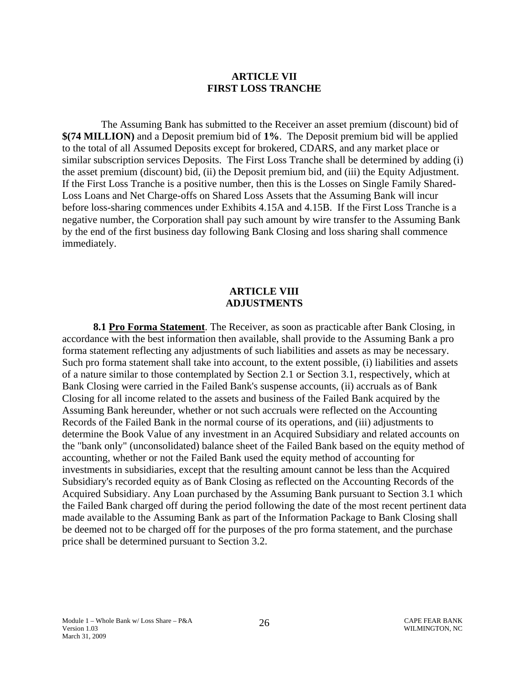#### **ARTICLE VII FIRST LOSS TRANCHE**

<span id="page-29-0"></span> The Assuming Bank has submitted to the Receiver an asset premium (discount) bid of **\$(74 MILLION)** and a Deposit premium bid of **1%**. The Deposit premium bid will be applied to the total of all Assumed Deposits except for brokered, CDARS, and any market place or similar subscription services Deposits. The First Loss Tranche shall be determined by adding (i) the asset premium (discount) bid, (ii) the Deposit premium bid, and (iii) the Equity Adjustment. If the First Loss Tranche is a positive number, then this is the Losses on Single Family Shared-Loss Loans and Net Charge-offs on Shared Loss Assets that the Assuming Bank will incur before loss-sharing commences under Exhibits 4.15A and 4.15B. If the First Loss Tranche is a negative number, the Corporation shall pay such amount by wire transfer to the Assuming Bank by the end of the first business day following Bank Closing and loss sharing shall commence immediately.

#### **ARTICLE VIII ADJUSTMENTS**

**8.1 Pro Forma Statement**. The Receiver, as soon as practicable after Bank Closing, in accordance with the best information then available, shall provide to the Assuming Bank a pro forma statement reflecting any adjustments of such liabilities and assets as may be necessary. Such pro forma statement shall take into account, to the extent possible, (i) liabilities and assets of a nature similar to those contemplated by Section 2.1 or Section 3.1, respectively, which at Bank Closing were carried in the Failed Bank's suspense accounts, (ii) accruals as of Bank Closing for all income related to the assets and business of the Failed Bank acquired by the Assuming Bank hereunder, whether or not such accruals were reflected on the Accounting Records of the Failed Bank in the normal course of its operations, and (iii) adjustments to determine the Book Value of any investment in an Acquired Subsidiary and related accounts on the "bank only" (unconsolidated) balance sheet of the Failed Bank based on the equity method of accounting, whether or not the Failed Bank used the equity method of accounting for investments in subsidiaries, except that the resulting amount cannot be less than the Acquired Subsidiary's recorded equity as of Bank Closing as reflected on the Accounting Records of the Acquired Subsidiary. Any Loan purchased by the Assuming Bank pursuant to Section 3.1 which the Failed Bank charged off during the period following the date of the most recent pertinent data made available to the Assuming Bank as part of the Information Package to Bank Closing shall be deemed not to be charged off for the purposes of the pro forma statement, and the purchase price shall be determined pursuant to Section 3.2.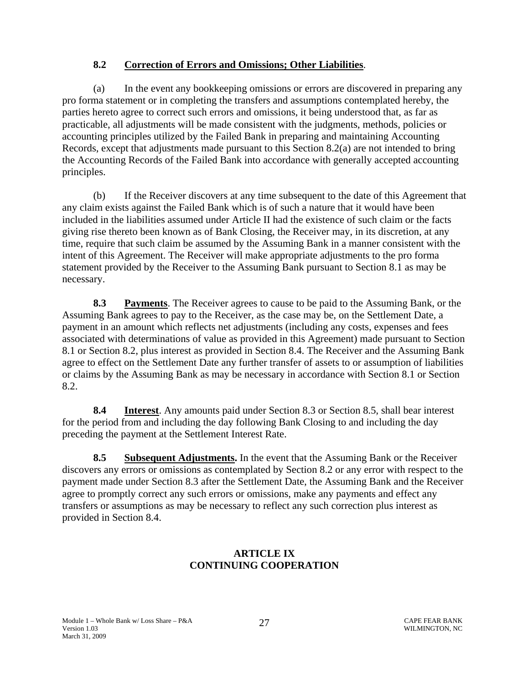# **8.2 Correction of Errors and Omissions; Other Liabilities**.

<span id="page-30-0"></span>(a) In the event any bookkeeping omissions or errors are discovered in preparing any pro forma statement or in completing the transfers and assumptions contemplated hereby, the parties hereto agree to correct such errors and omissions, it being understood that, as far as practicable, all adjustments will be made consistent with the judgments, methods, policies or accounting principles utilized by the Failed Bank in preparing and maintaining Accounting Records, except that adjustments made pursuant to this Section 8.2(a) are not intended to bring the Accounting Records of the Failed Bank into accordance with generally accepted accounting principles.

(b) If the Receiver discovers at any time subsequent to the date of this Agreement that any claim exists against the Failed Bank which is of such a nature that it would have been included in the liabilities assumed under Article II had the existence of such claim or the facts giving rise thereto been known as of Bank Closing, the Receiver may, in its discretion, at any time, require that such claim be assumed by the Assuming Bank in a manner consistent with the intent of this Agreement. The Receiver will make appropriate adjustments to the pro forma statement provided by the Receiver to the Assuming Bank pursuant to Section 8.1 as may be necessary.

**8.3 Payments**. The Receiver agrees to cause to be paid to the Assuming Bank, or the Assuming Bank agrees to pay to the Receiver, as the case may be, on the Settlement Date, a payment in an amount which reflects net adjustments (including any costs, expenses and fees associated with determinations of value as provided in this Agreement) made pursuant to Section 8.1 or Section 8.2, plus interest as provided in Section 8.4. The Receiver and the Assuming Bank agree to effect on the Settlement Date any further transfer of assets to or assumption of liabilities or claims by the Assuming Bank as may be necessary in accordance with Section 8.1 or Section 8.2.

**8.4 Interest**. Any amounts paid under Section 8.3 or Section 8.5, shall bear interest for the period from and including the day following Bank Closing to and including the day preceding the payment at the Settlement Interest Rate.

**8.5 Subsequent Adjustments.** In the event that the Assuming Bank or the Receiver discovers any errors or omissions as contemplated by Section 8.2 or any error with respect to the payment made under Section 8.3 after the Settlement Date, the Assuming Bank and the Receiver agree to promptly correct any such errors or omissions, make any payments and effect any transfers or assumptions as may be necessary to reflect any such correction plus interest as provided in Section 8.4.

# **ARTICLE IX CONTINUING COOPERATION**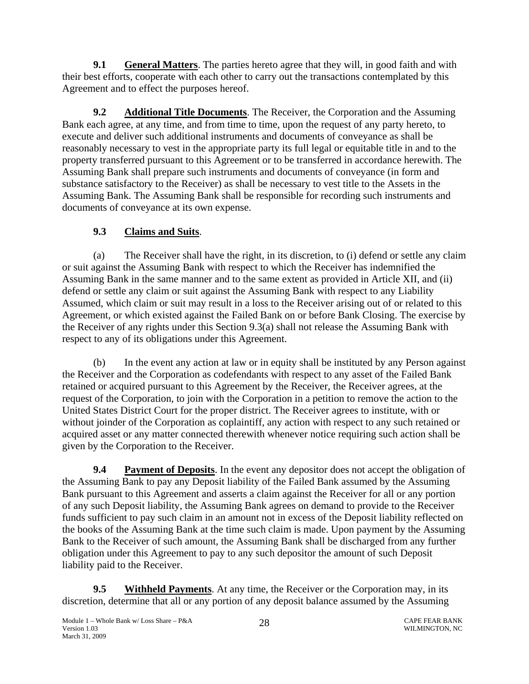<span id="page-31-0"></span>**9.1** General Matters. The parties hereto agree that they will, in good faith and with their best efforts, cooperate with each other to carry out the transactions contemplated by this Agreement and to effect the purposes hereof.

**9.2** Additional Title Documents. The Receiver, the Corporation and the Assuming Bank each agree, at any time, and from time to time, upon the request of any party hereto, to execute and deliver such additional instruments and documents of conveyance as shall be reasonably necessary to vest in the appropriate party its full legal or equitable title in and to the property transferred pursuant to this Agreement or to be transferred in accordance herewith. The Assuming Bank shall prepare such instruments and documents of conveyance (in form and substance satisfactory to the Receiver) as shall be necessary to vest title to the Assets in the Assuming Bank. The Assuming Bank shall be responsible for recording such instruments and documents of conveyance at its own expense.

# **9.3 Claims and Suits**.

(a) The Receiver shall have the right, in its discretion, to (i) defend or settle any claim or suit against the Assuming Bank with respect to which the Receiver has indemnified the Assuming Bank in the same manner and to the same extent as provided in Article XII, and (ii) defend or settle any claim or suit against the Assuming Bank with respect to any Liability Assumed, which claim or suit may result in a loss to the Receiver arising out of or related to this Agreement, or which existed against the Failed Bank on or before Bank Closing. The exercise by the Receiver of any rights under this Section 9.3(a) shall not release the Assuming Bank with respect to any of its obligations under this Agreement.

(b) In the event any action at law or in equity shall be instituted by any Person against the Receiver and the Corporation as codefendants with respect to any asset of the Failed Bank retained or acquired pursuant to this Agreement by the Receiver, the Receiver agrees, at the request of the Corporation, to join with the Corporation in a petition to remove the action to the United States District Court for the proper district. The Receiver agrees to institute, with or without joinder of the Corporation as coplaintiff, any action with respect to any such retained or acquired asset or any matter connected therewith whenever notice requiring such action shall be given by the Corporation to the Receiver.

**9.4** Payment of Deposits. In the event any depositor does not accept the obligation of the Assuming Bank to pay any Deposit liability of the Failed Bank assumed by the Assuming Bank pursuant to this Agreement and asserts a claim against the Receiver for all or any portion of any such Deposit liability, the Assuming Bank agrees on demand to provide to the Receiver funds sufficient to pay such claim in an amount not in excess of the Deposit liability reflected on the books of the Assuming Bank at the time such claim is made. Upon payment by the Assuming Bank to the Receiver of such amount, the Assuming Bank shall be discharged from any further obligation under this Agreement to pay to any such depositor the amount of such Deposit liability paid to the Receiver.

**9.5 Withheld Payments**. At any time, the Receiver or the Corporation may, in its discretion, determine that all or any portion of any deposit balance assumed by the Assuming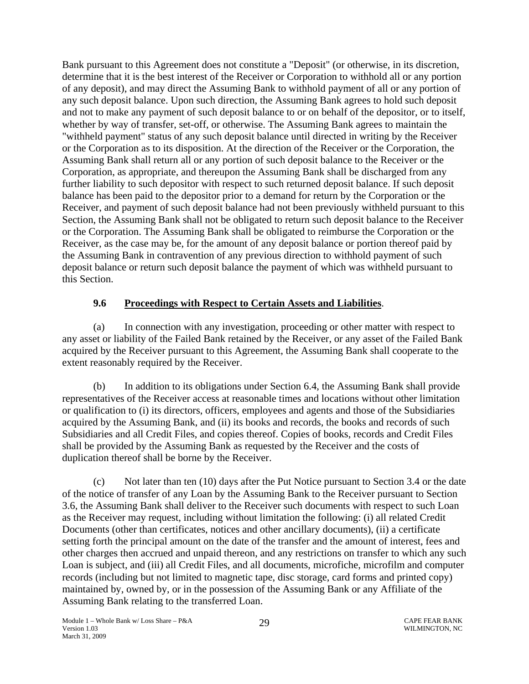<span id="page-32-0"></span>Bank pursuant to this Agreement does not constitute a "Deposit" (or otherwise, in its discretion, determine that it is the best interest of the Receiver or Corporation to withhold all or any portion of any deposit), and may direct the Assuming Bank to withhold payment of all or any portion of any such deposit balance. Upon such direction, the Assuming Bank agrees to hold such deposit and not to make any payment of such deposit balance to or on behalf of the depositor, or to itself, whether by way of transfer, set-off, or otherwise. The Assuming Bank agrees to maintain the "withheld payment" status of any such deposit balance until directed in writing by the Receiver or the Corporation as to its disposition. At the direction of the Receiver or the Corporation, the Assuming Bank shall return all or any portion of such deposit balance to the Receiver or the Corporation, as appropriate, and thereupon the Assuming Bank shall be discharged from any further liability to such depositor with respect to such returned deposit balance. If such deposit balance has been paid to the depositor prior to a demand for return by the Corporation or the Receiver, and payment of such deposit balance had not been previously withheld pursuant to this Section, the Assuming Bank shall not be obligated to return such deposit balance to the Receiver or the Corporation. The Assuming Bank shall be obligated to reimburse the Corporation or the Receiver, as the case may be, for the amount of any deposit balance or portion thereof paid by the Assuming Bank in contravention of any previous direction to withhold payment of such deposit balance or return such deposit balance the payment of which was withheld pursuant to this Section.

## **9.6 Proceedings with Respect to Certain Assets and Liabilities**.

(a) In connection with any investigation, proceeding or other matter with respect to any asset or liability of the Failed Bank retained by the Receiver, or any asset of the Failed Bank acquired by the Receiver pursuant to this Agreement, the Assuming Bank shall cooperate to the extent reasonably required by the Receiver.

(b) In addition to its obligations under Section 6.4, the Assuming Bank shall provide representatives of the Receiver access at reasonable times and locations without other limitation or qualification to (i) its directors, officers, employees and agents and those of the Subsidiaries acquired by the Assuming Bank, and (ii) its books and records, the books and records of such Subsidiaries and all Credit Files, and copies thereof. Copies of books, records and Credit Files shall be provided by the Assuming Bank as requested by the Receiver and the costs of duplication thereof shall be borne by the Receiver.

(c) Not later than ten (10) days after the Put Notice pursuant to Section 3.4 or the date of the notice of transfer of any Loan by the Assuming Bank to the Receiver pursuant to Section 3.6, the Assuming Bank shall deliver to the Receiver such documents with respect to such Loan as the Receiver may request, including without limitation the following: (i) all related Credit Documents (other than certificates, notices and other ancillary documents), (ii) a certificate setting forth the principal amount on the date of the transfer and the amount of interest, fees and other charges then accrued and unpaid thereon, and any restrictions on transfer to which any such Loan is subject, and (iii) all Credit Files, and all documents, microfiche, microfilm and computer records (including but not limited to magnetic tape, disc storage, card forms and printed copy) maintained by, owned by, or in the possession of the Assuming Bank or any Affiliate of the Assuming Bank relating to the transferred Loan.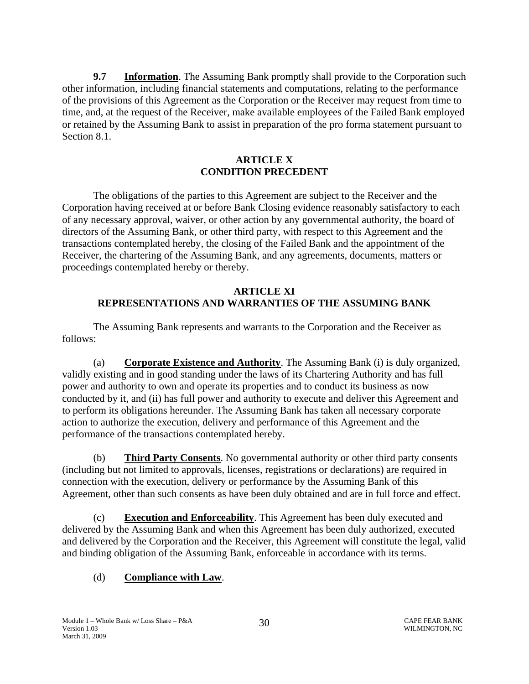<span id="page-33-0"></span>**9.7 Information**. The Assuming Bank promptly shall provide to the Corporation such other information, including financial statements and computations, relating to the performance of the provisions of this Agreement as the Corporation or the Receiver may request from time to time, and, at the request of the Receiver, make available employees of the Failed Bank employed or retained by the Assuming Bank to assist in preparation of the pro forma statement pursuant to Section 8.1.

### **ARTICLE X CONDITION PRECEDENT**

The obligations of the parties to this Agreement are subject to the Receiver and the Corporation having received at or before Bank Closing evidence reasonably satisfactory to each of any necessary approval, waiver, or other action by any governmental authority, the board of directors of the Assuming Bank, or other third party, with respect to this Agreement and the transactions contemplated hereby, the closing of the Failed Bank and the appointment of the Receiver, the chartering of the Assuming Bank, and any agreements, documents, matters or proceedings contemplated hereby or thereby.

### **ARTICLE XI REPRESENTATIONS AND WARRANTIES OF THE ASSUMING BANK**

The Assuming Bank represents and warrants to the Corporation and the Receiver as follows:

(a) **Corporate Existence and Authority**. The Assuming Bank (i) is duly organized, validly existing and in good standing under the laws of its Chartering Authority and has full power and authority to own and operate its properties and to conduct its business as now conducted by it, and (ii) has full power and authority to execute and deliver this Agreement and to perform its obligations hereunder. The Assuming Bank has taken all necessary corporate action to authorize the execution, delivery and performance of this Agreement and the performance of the transactions contemplated hereby.

(b) **Third Party Consents**. No governmental authority or other third party consents (including but not limited to approvals, licenses, registrations or declarations) are required in connection with the execution, delivery or performance by the Assuming Bank of this Agreement, other than such consents as have been duly obtained and are in full force and effect.

(c) **Execution and Enforceability**. This Agreement has been duly executed and delivered by the Assuming Bank and when this Agreement has been duly authorized, executed and delivered by the Corporation and the Receiver, this Agreement will constitute the legal, valid and binding obligation of the Assuming Bank, enforceable in accordance with its terms.

# (d) **Compliance with Law**.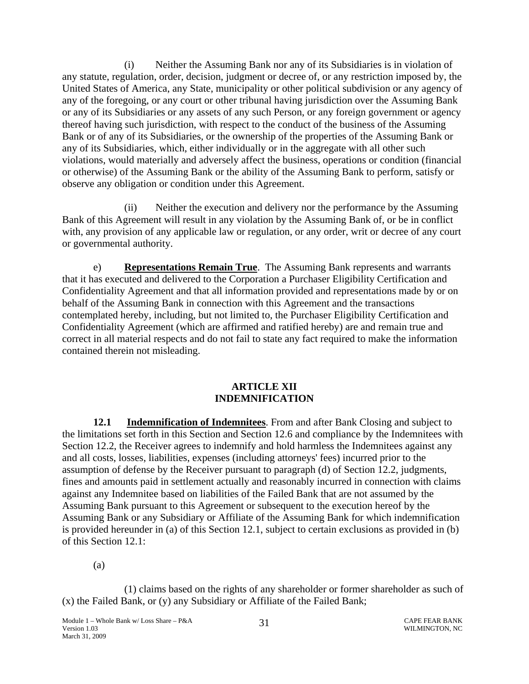<span id="page-34-0"></span> (i) Neither the Assuming Bank nor any of its Subsidiaries is in violation of any statute, regulation, order, decision, judgment or decree of, or any restriction imposed by, the United States of America, any State, municipality or other political subdivision or any agency of any of the foregoing, or any court or other tribunal having jurisdiction over the Assuming Bank or any of its Subsidiaries or any assets of any such Person, or any foreign government or agency thereof having such jurisdiction, with respect to the conduct of the business of the Assuming Bank or of any of its Subsidiaries, or the ownership of the properties of the Assuming Bank or any of its Subsidiaries, which, either individually or in the aggregate with all other such violations, would materially and adversely affect the business, operations or condition (financial or otherwise) of the Assuming Bank or the ability of the Assuming Bank to perform, satisfy or observe any obligation or condition under this Agreement.

(ii) Neither the execution and delivery nor the performance by the Assuming Bank of this Agreement will result in any violation by the Assuming Bank of, or be in conflict with, any provision of any applicable law or regulation, or any order, writ or decree of any court or governmental authority.

e) **Representations Remain True**. The Assuming Bank represents and warrants that it has executed and delivered to the Corporation a Purchaser Eligibility Certification and Confidentiality Agreement and that all information provided and representations made by or on behalf of the Assuming Bank in connection with this Agreement and the transactions contemplated hereby, including, but not limited to, the Purchaser Eligibility Certification and Confidentiality Agreement (which are affirmed and ratified hereby) are and remain true and correct in all material respects and do not fail to state any fact required to make the information contained therein not misleading.

#### **ARTICLE XII INDEMNIFICATION**

**12.1** Indemnification of Indemnitees. From and after Bank Closing and subject to the limitations set forth in this Section and Section 12.6 and compliance by the Indemnitees with Section 12.2, the Receiver agrees to indemnify and hold harmless the Indemnitees against any and all costs, losses, liabilities, expenses (including attorneys' fees) incurred prior to the assumption of defense by the Receiver pursuant to paragraph (d) of Section 12.2, judgments, fines and amounts paid in settlement actually and reasonably incurred in connection with claims against any Indemnitee based on liabilities of the Failed Bank that are not assumed by the Assuming Bank pursuant to this Agreement or subsequent to the execution hereof by the Assuming Bank or any Subsidiary or Affiliate of the Assuming Bank for which indemnification is provided hereunder in (a) of this Section 12.1, subject to certain exclusions as provided in (b) of this Section 12.1:

(a)

(1) claims based on the rights of any shareholder or former shareholder as such of (x) the Failed Bank, or (y) any Subsidiary or Affiliate of the Failed Bank;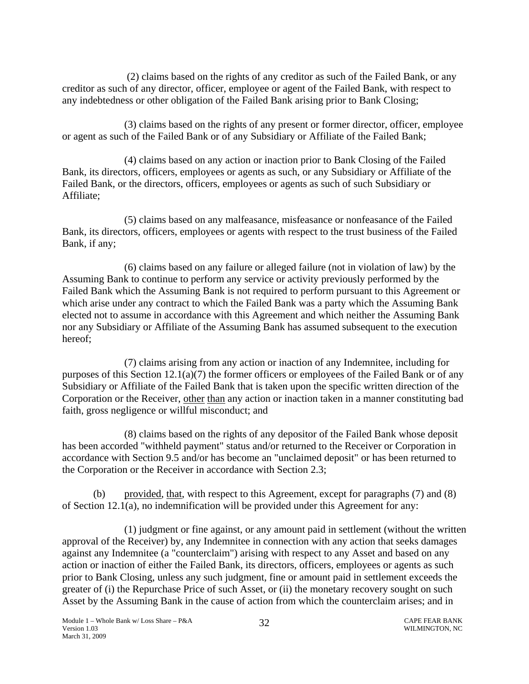(2) claims based on the rights of any creditor as such of the Failed Bank, or any creditor as such of any director, officer, employee or agent of the Failed Bank, with respect to any indebtedness or other obligation of the Failed Bank arising prior to Bank Closing;

(3) claims based on the rights of any present or former director, officer, employee or agent as such of the Failed Bank or of any Subsidiary or Affiliate of the Failed Bank;

(4) claims based on any action or inaction prior to Bank Closing of the Failed Bank, its directors, officers, employees or agents as such, or any Subsidiary or Affiliate of the Failed Bank, or the directors, officers, employees or agents as such of such Subsidiary or Affiliate;

(5) claims based on any malfeasance, misfeasance or nonfeasance of the Failed Bank, its directors, officers, employees or agents with respect to the trust business of the Failed Bank, if any;

(6) claims based on any failure or alleged failure (not in violation of law) by the Assuming Bank to continue to perform any service or activity previously performed by the Failed Bank which the Assuming Bank is not required to perform pursuant to this Agreement or which arise under any contract to which the Failed Bank was a party which the Assuming Bank elected not to assume in accordance with this Agreement and which neither the Assuming Bank nor any Subsidiary or Affiliate of the Assuming Bank has assumed subsequent to the execution hereof;

(7) claims arising from any action or inaction of any Indemnitee, including for purposes of this Section 12.1(a)(7) the former officers or employees of the Failed Bank or of any Subsidiary or Affiliate of the Failed Bank that is taken upon the specific written direction of the Corporation or the Receiver, other than any action or inaction taken in a manner constituting bad faith, gross negligence or willful misconduct; and

(8) claims based on the rights of any depositor of the Failed Bank whose deposit has been accorded "withheld payment" status and/or returned to the Receiver or Corporation in accordance with Section 9.5 and/or has become an "unclaimed deposit" or has been returned to the Corporation or the Receiver in accordance with Section 2.3;

(b) provided, that, with respect to this Agreement, except for paragraphs (7) and (8) of Section 12.1(a), no indemnification will be provided under this Agreement for any:

(1) judgment or fine against, or any amount paid in settlement (without the written approval of the Receiver) by, any Indemnitee in connection with any action that seeks damages against any Indemnitee (a "counterclaim") arising with respect to any Asset and based on any action or inaction of either the Failed Bank, its directors, officers, employees or agents as such prior to Bank Closing, unless any such judgment, fine or amount paid in settlement exceeds the greater of (i) the Repurchase Price of such Asset, or (ii) the monetary recovery sought on such Asset by the Assuming Bank in the cause of action from which the counterclaim arises; and in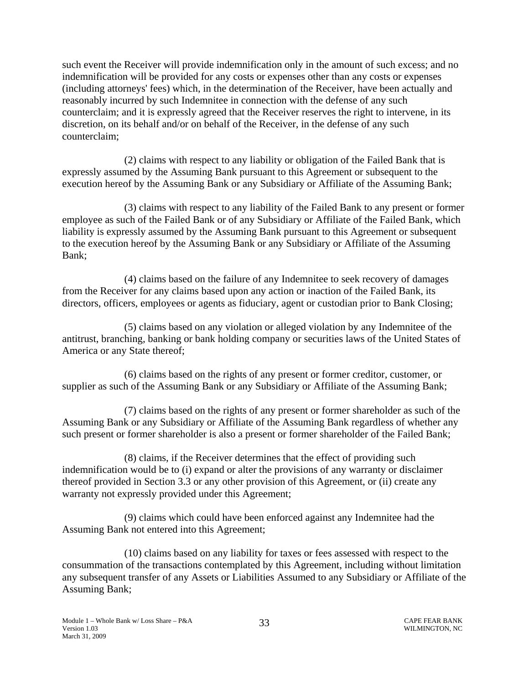such event the Receiver will provide indemnification only in the amount of such excess; and no indemnification will be provided for any costs or expenses other than any costs or expenses (including attorneys' fees) which, in the determination of the Receiver, have been actually and reasonably incurred by such Indemnitee in connection with the defense of any such counterclaim; and it is expressly agreed that the Receiver reserves the right to intervene, in its discretion, on its behalf and/or on behalf of the Receiver, in the defense of any such counterclaim;

(2) claims with respect to any liability or obligation of the Failed Bank that is expressly assumed by the Assuming Bank pursuant to this Agreement or subsequent to the execution hereof by the Assuming Bank or any Subsidiary or Affiliate of the Assuming Bank;

(3) claims with respect to any liability of the Failed Bank to any present or former employee as such of the Failed Bank or of any Subsidiary or Affiliate of the Failed Bank, which liability is expressly assumed by the Assuming Bank pursuant to this Agreement or subsequent to the execution hereof by the Assuming Bank or any Subsidiary or Affiliate of the Assuming Bank;

(4) claims based on the failure of any Indemnitee to seek recovery of damages from the Receiver for any claims based upon any action or inaction of the Failed Bank, its directors, officers, employees or agents as fiduciary, agent or custodian prior to Bank Closing;

(5) claims based on any violation or alleged violation by any Indemnitee of the antitrust, branching, banking or bank holding company or securities laws of the United States of America or any State thereof;

(6) claims based on the rights of any present or former creditor, customer, or supplier as such of the Assuming Bank or any Subsidiary or Affiliate of the Assuming Bank;

(7) claims based on the rights of any present or former shareholder as such of the Assuming Bank or any Subsidiary or Affiliate of the Assuming Bank regardless of whether any such present or former shareholder is also a present or former shareholder of the Failed Bank;

(8) claims, if the Receiver determines that the effect of providing such indemnification would be to (i) expand or alter the provisions of any warranty or disclaimer thereof provided in Section 3.3 or any other provision of this Agreement, or (ii) create any warranty not expressly provided under this Agreement;

(9) claims which could have been enforced against any Indemnitee had the Assuming Bank not entered into this Agreement;

(10) claims based on any liability for taxes or fees assessed with respect to the consummation of the transactions contemplated by this Agreement, including without limitation any subsequent transfer of any Assets or Liabilities Assumed to any Subsidiary or Affiliate of the Assuming Bank;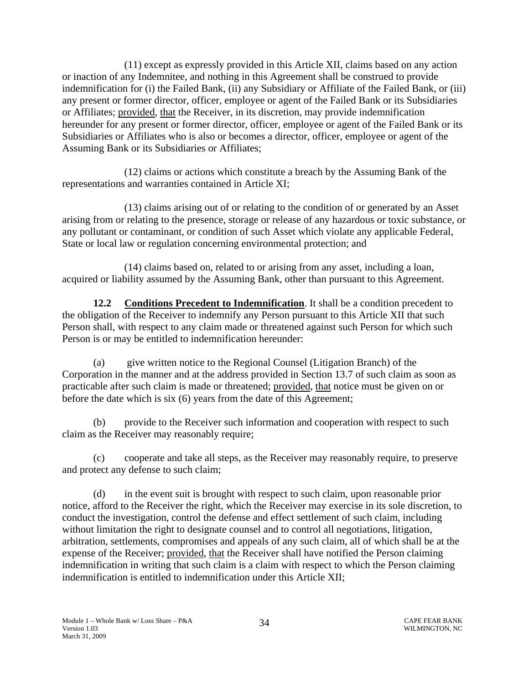(11) except as expressly provided in this Article XII, claims based on any action or inaction of any Indemnitee, and nothing in this Agreement shall be construed to provide indemnification for (i) the Failed Bank, (ii) any Subsidiary or Affiliate of the Failed Bank, or (iii) any present or former director, officer, employee or agent of the Failed Bank or its Subsidiaries or Affiliates; provided, that the Receiver, in its discretion, may provide indemnification hereunder for any present or former director, officer, employee or agent of the Failed Bank or its Subsidiaries or Affiliates who is also or becomes a director, officer, employee or agent of the Assuming Bank or its Subsidiaries or Affiliates;

(12) claims or actions which constitute a breach by the Assuming Bank of the representations and warranties contained in Article XI;

(13) claims arising out of or relating to the condition of or generated by an Asset arising from or relating to the presence, storage or release of any hazardous or toxic substance, or any pollutant or contaminant, or condition of such Asset which violate any applicable Federal, State or local law or regulation concerning environmental protection; and

(14) claims based on, related to or arising from any asset, including a loan, acquired or liability assumed by the Assuming Bank, other than pursuant to this Agreement.

**12.2 Conditions Precedent to Indemnification**. It shall be a condition precedent to the obligation of the Receiver to indemnify any Person pursuant to this Article XII that such Person shall, with respect to any claim made or threatened against such Person for which such Person is or may be entitled to indemnification hereunder:

(a) give written notice to the Regional Counsel (Litigation Branch) of the Corporation in the manner and at the address provided in Section 13.7 of such claim as soon as practicable after such claim is made or threatened; provided, that notice must be given on or before the date which is six (6) years from the date of this Agreement;

(b) provide to the Receiver such information and cooperation with respect to such claim as the Receiver may reasonably require;

(c) cooperate and take all steps, as the Receiver may reasonably require, to preserve and protect any defense to such claim;

(d) in the event suit is brought with respect to such claim, upon reasonable prior notice, afford to the Receiver the right, which the Receiver may exercise in its sole discretion, to conduct the investigation, control the defense and effect settlement of such claim, including without limitation the right to designate counsel and to control all negotiations, litigation, arbitration, settlements, compromises and appeals of any such claim, all of which shall be at the expense of the Receiver; provided, that the Receiver shall have notified the Person claiming indemnification in writing that such claim is a claim with respect to which the Person claiming indemnification is entitled to indemnification under this Article XII;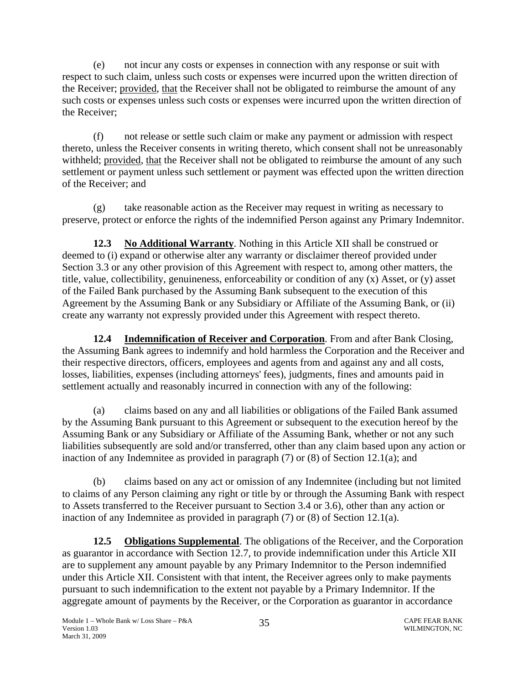(e) not incur any costs or expenses in connection with any response or suit with respect to such claim, unless such costs or expenses were incurred upon the written direction of the Receiver; provided, that the Receiver shall not be obligated to reimburse the amount of any such costs or expenses unless such costs or expenses were incurred upon the written direction of the Receiver;

(f) not release or settle such claim or make any payment or admission with respect thereto, unless the Receiver consents in writing thereto, which consent shall not be unreasonably withheld; provided, that the Receiver shall not be obligated to reimburse the amount of any such settlement or payment unless such settlement or payment was effected upon the written direction of the Receiver; and

(g) take reasonable action as the Receiver may request in writing as necessary to preserve, protect or enforce the rights of the indemnified Person against any Primary Indemnitor.

**12.3 No Additional Warranty**. Nothing in this Article XII shall be construed or deemed to (i) expand or otherwise alter any warranty or disclaimer thereof provided under Section 3.3 or any other provision of this Agreement with respect to, among other matters, the title, value, collectibility, genuineness, enforceability or condition of any (x) Asset, or (y) asset of the Failed Bank purchased by the Assuming Bank subsequent to the execution of this Agreement by the Assuming Bank or any Subsidiary or Affiliate of the Assuming Bank, or (ii) create any warranty not expressly provided under this Agreement with respect thereto.

**12.4 Indemnification of Receiver and Corporation**. From and after Bank Closing, the Assuming Bank agrees to indemnify and hold harmless the Corporation and the Receiver and their respective directors, officers, employees and agents from and against any and all costs, losses, liabilities, expenses (including attorneys' fees), judgments, fines and amounts paid in settlement actually and reasonably incurred in connection with any of the following:

(a) claims based on any and all liabilities or obligations of the Failed Bank assumed by the Assuming Bank pursuant to this Agreement or subsequent to the execution hereof by the Assuming Bank or any Subsidiary or Affiliate of the Assuming Bank, whether or not any such liabilities subsequently are sold and/or transferred, other than any claim based upon any action or inaction of any Indemnitee as provided in paragraph (7) or (8) of Section 12.1(a); and

(b) claims based on any act or omission of any Indemnitee (including but not limited to claims of any Person claiming any right or title by or through the Assuming Bank with respect to Assets transferred to the Receiver pursuant to Section 3.4 or 3.6), other than any action or inaction of any Indemnitee as provided in paragraph (7) or (8) of Section 12.1(a).

**12.5 Obligations Supplemental**. The obligations of the Receiver, and the Corporation as guarantor in accordance with Section 12.7, to provide indemnification under this Article XII are to supplement any amount payable by any Primary Indemnitor to the Person indemnified under this Article XII. Consistent with that intent, the Receiver agrees only to make payments pursuant to such indemnification to the extent not payable by a Primary Indemnitor. If the aggregate amount of payments by the Receiver, or the Corporation as guarantor in accordance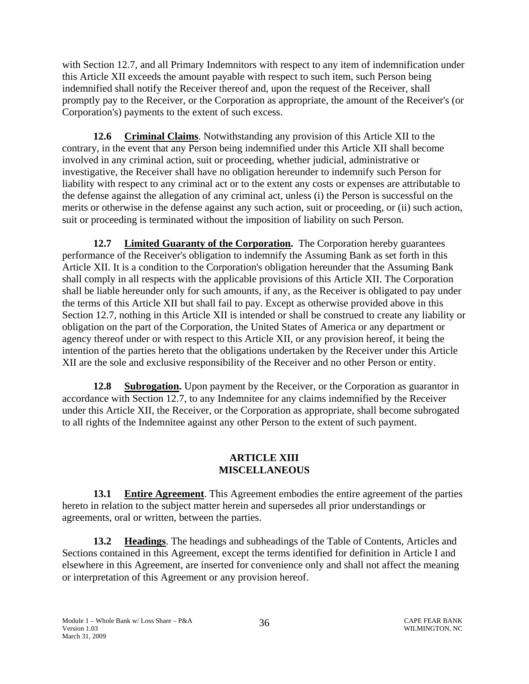with Section 12.7, and all Primary Indemnitors with respect to any item of indemnification under this Article XII exceeds the amount payable with respect to such item, such Person being indemnified shall notify the Receiver thereof and, upon the request of the Receiver, shall promptly pay to the Receiver, or the Corporation as appropriate, the amount of the Receiver's (or Corporation's) payments to the extent of such excess.

**12.6 Criminal Claims**. Notwithstanding any provision of this Article XII to the contrary, in the event that any Person being indemnified under this Article XII shall become involved in any criminal action, suit or proceeding, whether judicial, administrative or investigative, the Receiver shall have no obligation hereunder to indemnify such Person for liability with respect to any criminal act or to the extent any costs or expenses are attributable to the defense against the allegation of any criminal act, unless (i) the Person is successful on the merits or otherwise in the defense against any such action, suit or proceeding, or (ii) such action, suit or proceeding is terminated without the imposition of liability on such Person.

**12.7 Limited Guaranty of the Corporation.** The Corporation hereby guarantees performance of the Receiver's obligation to indemnify the Assuming Bank as set forth in this Article XII. It is a condition to the Corporation's obligation hereunder that the Assuming Bank shall comply in all respects with the applicable provisions of this Article XII. The Corporation shall be liable hereunder only for such amounts, if any, as the Receiver is obligated to pay under the terms of this Article XII but shall fail to pay. Except as otherwise provided above in this Section 12.7, nothing in this Article XII is intended or shall be construed to create any liability or obligation on the part of the Corporation, the United States of America or any department or agency thereof under or with respect to this Article XII, or any provision hereof, it being the intention of the parties hereto that the obligations undertaken by the Receiver under this Article XII are the sole and exclusive responsibility of the Receiver and no other Person or entity.

**12.8 Subrogation.** Upon payment by the Receiver, or the Corporation as guarantor in accordance with Section 12.7, to any Indemnitee for any claims indemnified by the Receiver under this Article XII, the Receiver, or the Corporation as appropriate, shall become subrogated to all rights of the Indemnitee against any other Person to the extent of such payment.

### **ARTICLE XIII MISCELLANEOUS**

**13.1 Entire Agreement**. This Agreement embodies the entire agreement of the parties hereto in relation to the subject matter herein and supersedes all prior understandings or agreements, oral or written, between the parties.

**13.2 Headings**. The headings and subheadings of the Table of Contents, Articles and Sections contained in this Agreement, except the terms identified for definition in Article I and elsewhere in this Agreement, are inserted for convenience only and shall not affect the meaning or interpretation of this Agreement or any provision hereof.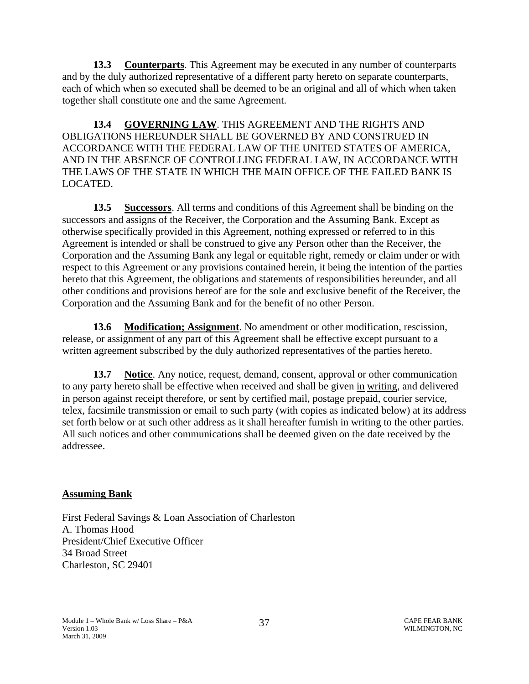**13.3** Counterparts. This Agreement may be executed in any number of counterparts and by the duly authorized representative of a different party hereto on separate counterparts, each of which when so executed shall be deemed to be an original and all of which when taken together shall constitute one and the same Agreement.

**13.4 GOVERNING LAW**. THIS AGREEMENT AND THE RIGHTS AND OBLIGATIONS HEREUNDER SHALL BE GOVERNED BY AND CONSTRUED IN ACCORDANCE WITH THE FEDERAL LAW OF THE UNITED STATES OF AMERICA, AND IN THE ABSENCE OF CONTROLLING FEDERAL LAW, IN ACCORDANCE WITH THE LAWS OF THE STATE IN WHICH THE MAIN OFFICE OF THE FAILED BANK IS LOCATED.

**13.5 Successors.** All terms and conditions of this Agreement shall be binding on the successors and assigns of the Receiver, the Corporation and the Assuming Bank. Except as otherwise specifically provided in this Agreement, nothing expressed or referred to in this Agreement is intended or shall be construed to give any Person other than the Receiver, the Corporation and the Assuming Bank any legal or equitable right, remedy or claim under or with respect to this Agreement or any provisions contained herein, it being the intention of the parties hereto that this Agreement, the obligations and statements of responsibilities hereunder, and all other conditions and provisions hereof are for the sole and exclusive benefit of the Receiver, the Corporation and the Assuming Bank and for the benefit of no other Person.

**13.6 Modification; Assignment**. No amendment or other modification, rescission, release, or assignment of any part of this Agreement shall be effective except pursuant to a written agreement subscribed by the duly authorized representatives of the parties hereto.

**13.7 Notice**. Any notice, request, demand, consent, approval or other communication to any party hereto shall be effective when received and shall be given in writing, and delivered in person against receipt therefore, or sent by certified mail, postage prepaid, courier service, telex, facsimile transmission or email to such party (with copies as indicated below) at its address set forth below or at such other address as it shall hereafter furnish in writing to the other parties. All such notices and other communications shall be deemed given on the date received by the addressee.

### **Assuming Bank**

First Federal Savings & Loan Association of Charleston A. Thomas Hood President/Chief Executive Officer 34 Broad Street Charleston, SC 29401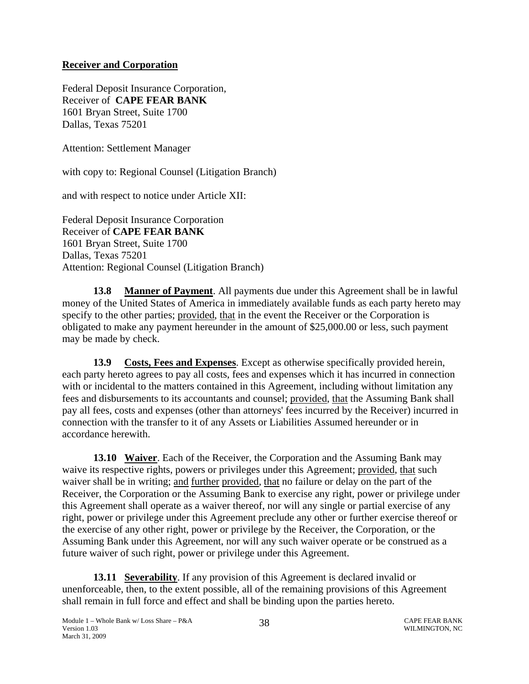### **Receiver and Corporation**

 Receiver of **CAPE FEAR BANK** Federal Deposit Insurance Corporation, 1601 Bryan Street, Suite 1700 Dallas, Texas 75201

Attention: Settlement Manager

with copy to: Regional Counsel (Litigation Branch)

and with respect to notice under Article XII:

Federal Deposit Insurance Corporation Receiver of **CAPE FEAR BANK**  1601 Bryan Street, Suite 1700 Dallas, Texas 75201 Attention: Regional Counsel (Litigation Branch)

 **13.8 Manner of Payment**. All payments due under this Agreement shall be in lawful money of the United States of America in immediately available funds as each party hereto may specify to the other parties; provided, that in the event the Receiver or the Corporation is obligated to make any payment hereunder in the amount of \$25,000.00 or less, such payment may be made by check.

**13.9 Costs, Fees and Expenses**. Except as otherwise specifically provided herein, each party hereto agrees to pay all costs, fees and expenses which it has incurred in connection with or incidental to the matters contained in this Agreement, including without limitation any fees and disbursements to its accountants and counsel; provided, that the Assuming Bank shall pay all fees, costs and expenses (other than attorneys' fees incurred by the Receiver) incurred in connection with the transfer to it of any Assets or Liabilities Assumed hereunder or in accordance herewith.

**13.10 Waiver**. Each of the Receiver, the Corporation and the Assuming Bank may waive its respective rights, powers or privileges under this Agreement; provided, that such waiver shall be in writing; and further provided, that no failure or delay on the part of the Receiver, the Corporation or the Assuming Bank to exercise any right, power or privilege under this Agreement shall operate as a waiver thereof, nor will any single or partial exercise of any right, power or privilege under this Agreement preclude any other or further exercise thereof or the exercise of any other right, power or privilege by the Receiver, the Corporation, or the Assuming Bank under this Agreement, nor will any such waiver operate or be construed as a future waiver of such right, power or privilege under this Agreement.

**13.11 Severability**. If any provision of this Agreement is declared invalid or unenforceable, then, to the extent possible, all of the remaining provisions of this Agreement shall remain in full force and effect and shall be binding upon the parties hereto.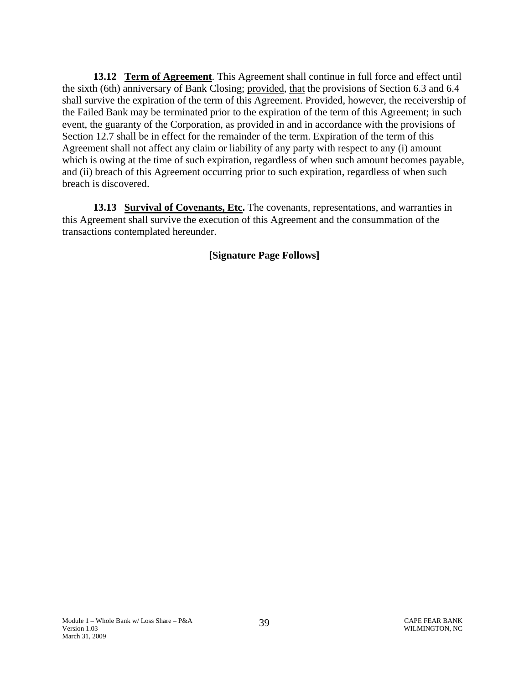**13.12 Term of Agreement**. This Agreement shall continue in full force and effect until the sixth (6th) anniversary of Bank Closing; provided, that the provisions of Section 6.3 and 6.4 shall survive the expiration of the term of this Agreement. Provided, however, the receivership of the Failed Bank may be terminated prior to the expiration of the term of this Agreement; in such event, the guaranty of the Corporation, as provided in and in accordance with the provisions of Section 12.7 shall be in effect for the remainder of the term. Expiration of the term of this Agreement shall not affect any claim or liability of any party with respect to any (i) amount which is owing at the time of such expiration, regardless of when such amount becomes payable, and (ii) breach of this Agreement occurring prior to such expiration, regardless of when such breach is discovered.

**13.13 Survival of Covenants, Etc.** The covenants, representations, and warranties in this Agreement shall survive the execution of this Agreement and the consummation of the transactions contemplated hereunder.

 **[Signature Page Follows]**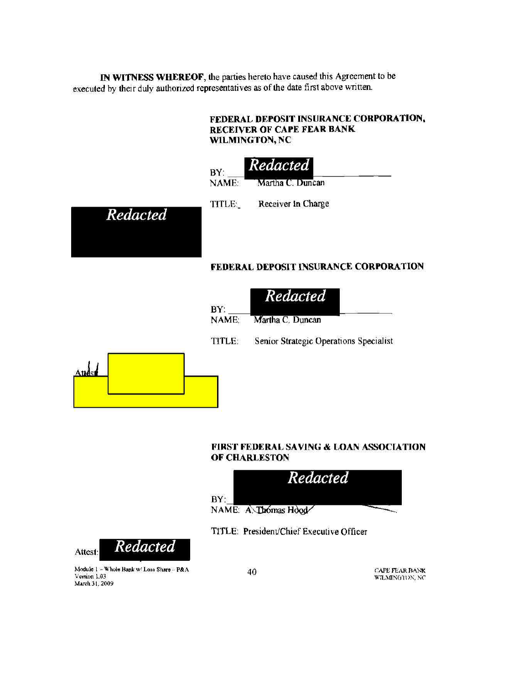IN WITNESS WHEREOF, the parties hereto have caused this Agreement to be executed by their duly authorized representatives as of the date first above written.



#### **FIRST FEDERAL SAVING & LOAN ASSOCIATION** OF CHARLESTON



TITLE: President/Chief Executive Officer



Module 1 - Whole Bank w/ Loss Share - P&A Version 1.03 March 31, 2009

40

CAPE FEAR BANK WILMINGTON, NC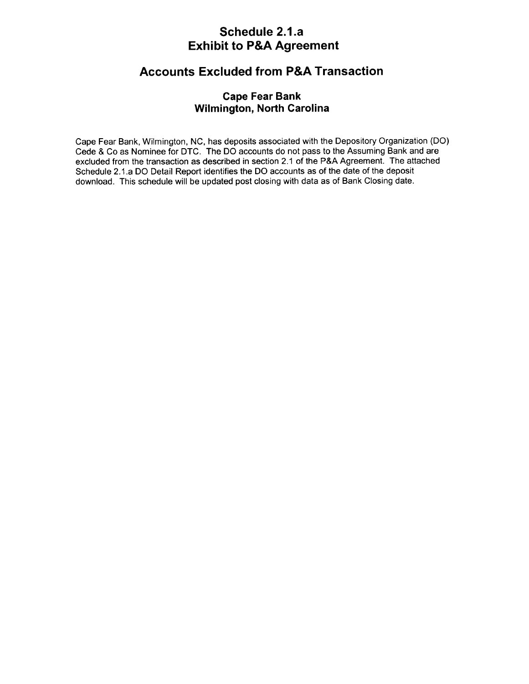## Schedule 2.1.a Exhibit to P&A Agreement

## Accounts Excluded from P&A Transaction

### Cape Fear Bank Wilmington, North Carolina

Cape Fear Bank, Wilmington, NC, has deposits associated with the Depository Organization (DO) Cede & Co as Nominee for DTC. The DO accounts do not pass to the Assuming Bank and are excluded from the transaction as described in section 2.1 of the P&A Agreement. The attached Schedule 2.1.a DO Detail Report identifies the DO accounts as of the date of the deposit download. This schedule will be updated post closing with data as of Bank Closing date.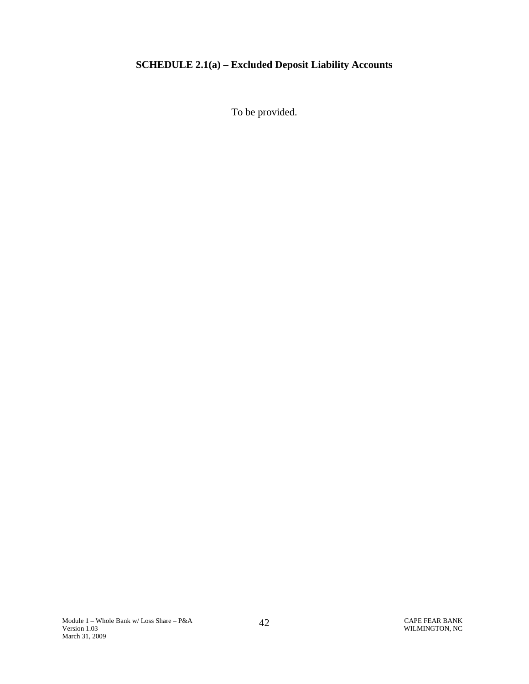# **SCHEDULE 2.1(a) – Excluded Deposit Liability Accounts**

To be provided.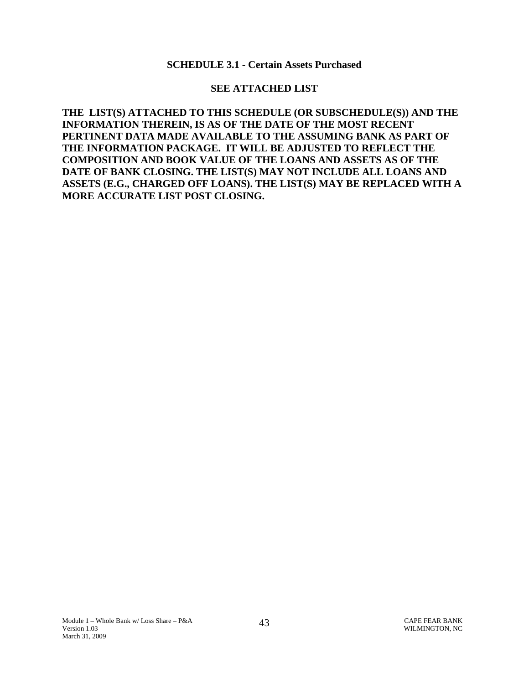#### **SCHEDULE 3.1 - Certain Assets Purchased**

#### **SEE ATTACHED LIST**

THE LIST(S) ATTACHED TO THIS SCHEDULE (OR SUBSCHEDULE(S)) AND THE **INFORMATION THEREIN, IS AS OF THE DATE OF THE MOST RECENT PERTINENT DATA MADE AVAILABLE TO THE ASSUMING BANK AS PART OF THE INFORMATION PACKAGE. IT WILL BE ADJUSTED TO REFLECT THE COMPOSITION AND BOOK VALUE OF THE LOANS AND ASSETS AS OF THE DATE OF BANK CLOSING. THE LIST(S) MAY NOT INCLUDE ALL LOANS AND ASSETS (E.G., CHARGED OFF LOANS). THE LIST(S) MAY BE REPLACED WITH A MORE ACCURATE LIST POST CLOSING.**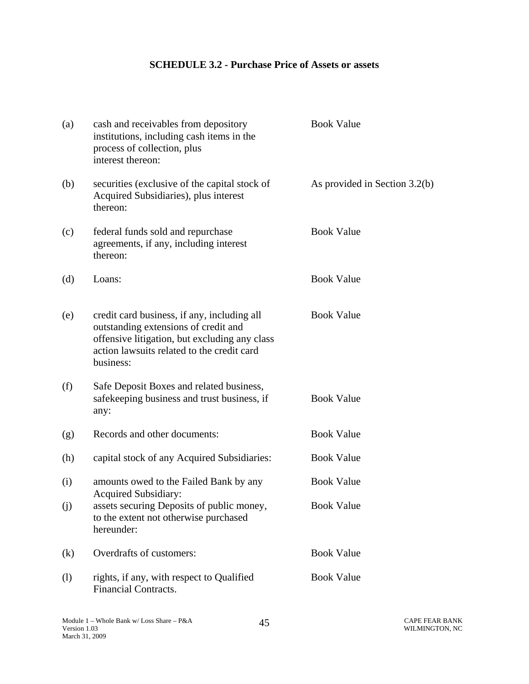## **SCHEDULE 3.2 - Purchase Price of Assets or assets**

| (a) | cash and receivables from depository<br>institutions, including cash items in the<br>process of collection, plus<br>interest thereon:                                                           | <b>Book Value</b>             |
|-----|-------------------------------------------------------------------------------------------------------------------------------------------------------------------------------------------------|-------------------------------|
| (b) | securities (exclusive of the capital stock of<br>Acquired Subsidiaries), plus interest<br>thereon:                                                                                              | As provided in Section 3.2(b) |
| (c) | federal funds sold and repurchase<br>agreements, if any, including interest<br>thereon:                                                                                                         | <b>Book Value</b>             |
| (d) | Loans:                                                                                                                                                                                          | <b>Book Value</b>             |
| (e) | credit card business, if any, including all<br>outstanding extensions of credit and<br>offensive litigation, but excluding any class<br>action lawsuits related to the credit card<br>business: | <b>Book Value</b>             |
| (f) | Safe Deposit Boxes and related business,<br>safekeeping business and trust business, if<br>any:                                                                                                 | <b>Book Value</b>             |
| (g) | Records and other documents:                                                                                                                                                                    | <b>Book Value</b>             |
| (h) | capital stock of any Acquired Subsidiaries:                                                                                                                                                     | <b>Book Value</b>             |
| (i) | amounts owed to the Failed Bank by any<br><b>Acquired Subsidiary:</b>                                                                                                                           | <b>Book Value</b>             |
| (j) | assets securing Deposits of public money,<br>to the extent not otherwise purchased<br>hereunder:                                                                                                | <b>Book Value</b>             |
| (k) | Overdrafts of customers:                                                                                                                                                                        | <b>Book Value</b>             |
| (1) | rights, if any, with respect to Qualified<br><b>Financial Contracts.</b>                                                                                                                        | <b>Book Value</b>             |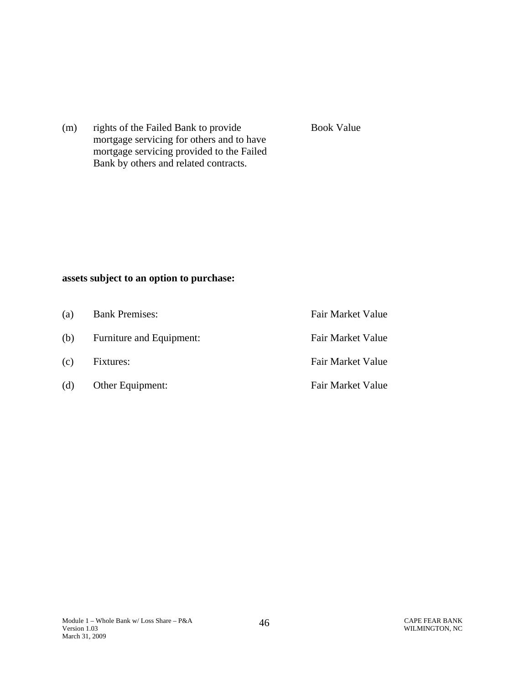(m) rights of the Failed Bank to provide Book Value mortgage servicing for others and to have mortgage servicing provided to the Failed Bank by others and related contracts.

### **assets subject to an option to purchase:**

| (a) | <b>Bank Premises:</b>    | Fair Market Value |
|-----|--------------------------|-------------------|
| (b) | Furniture and Equipment: | Fair Market Value |
| (c) | Fixtures:                | Fair Market Value |
| (d) | Other Equipment:         | Fair Market Value |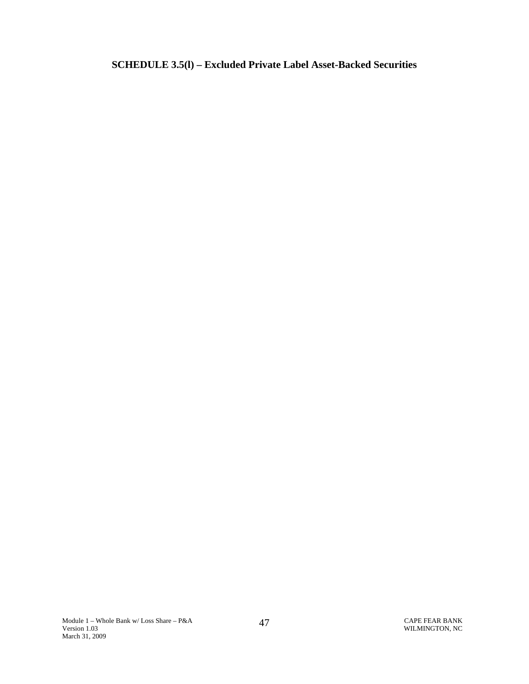## **SCHEDULE 3.5(l) – Excluded Private Label Asset-Backed Securities**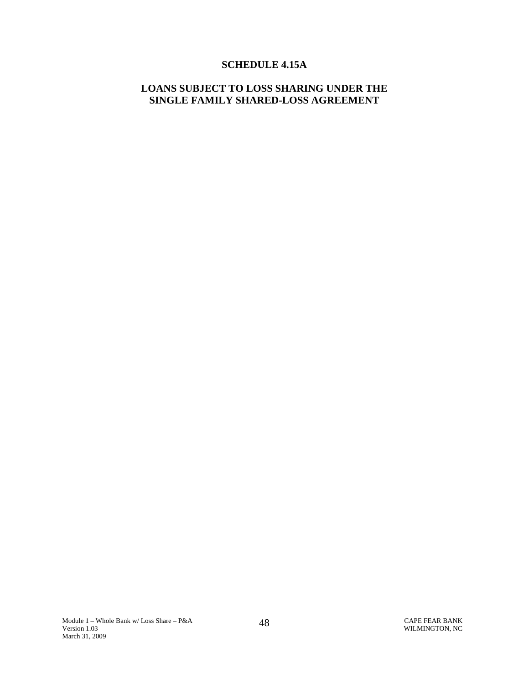#### **SCHEDULE 4.15A**

### **LOANS SUBJECT TO LOSS SHARING UNDER THE SINGLE FAMILY SHARED-LOSS AGREEMENT**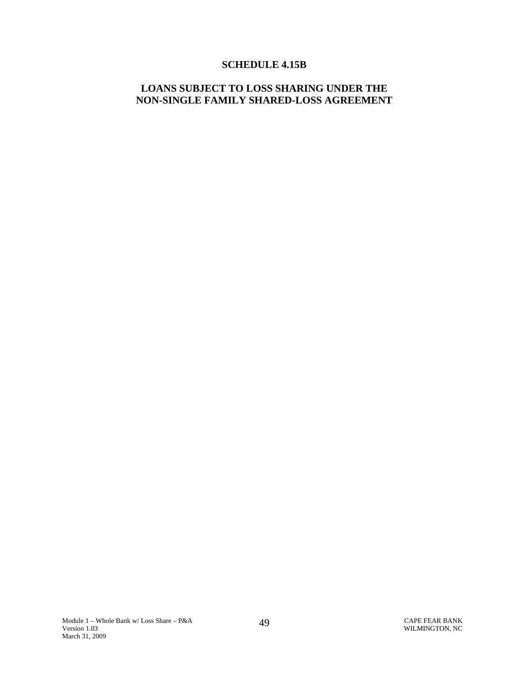#### **SCHEDULE 4.15B**

### **LOANS SUBJECT TO LOSS SHARING UNDER THE NON-SINGLE FAMILY SHARED-LOSS AGREEMENT**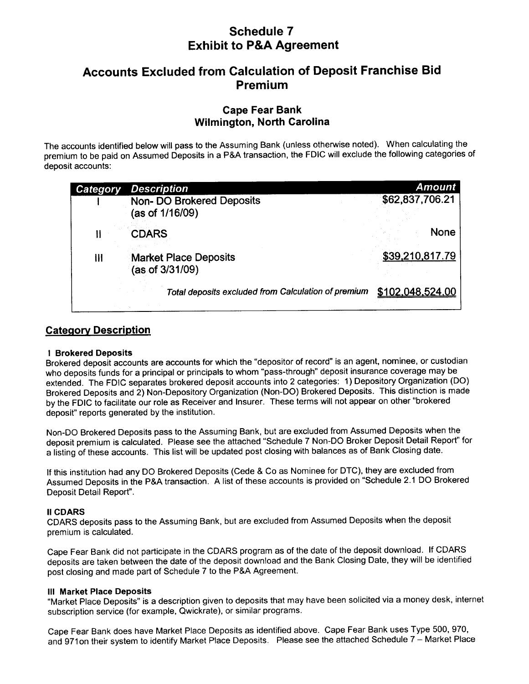## Schedule 7 Exhibit to P&A Agreement

## Accounts Excluded from Calculation of Deposit Franchise Bid Premium

### Cape Fear Bank Wilmington, North Carolina

The accounts identified below wil pass to the Assuming Bank (unless otherwise noted). When calculating the premium to be paid on Assumed Deposits in a P&A transaction, the FDIC will exclude the following categories of deposit accounts:

| Category                                   | <b>Description</b>                                  | <b>Amount</b>    |
|--------------------------------------------|-----------------------------------------------------|------------------|
|                                            | Non-DO Brokered Deposits<br>(as of 1/16/09)         | \$62,837,706.21  |
| Ħ                                          | <b>CDARS</b>                                        | <b>None</b>      |
| $\mathop{1}\mathop{1}\mathop{1}\mathop{1}$ | <b>Market Place Deposits</b><br>(as of 3/31/09)     | \$39,210,817.79  |
|                                            | Total deposits excluded from Calculation of premium | \$102,048,524.00 |

### Category Description

#### I Brokered Deposits

Brokered deposit accounts are accounts for which the "depositor of record" is an agent, nominee, or custodian who deposits funds for a principal or principals to whom "pass-through" deposit insurance coverage may be extended. The FDIC separates brokered deposit accounts into 2 categories: 1) Depository Organization (DO) Brokered Deposits and 2) Non-Depository Organization (Non-DO) Brokered Deposits. This distinction is made by the FDIC to facilitate our role as Receiver and Insurer. These terms will not appear on other "brokered deposit" reports generated by the institution.

Non-DO Brokered Deposits pass to the Assuming Bank, but are excluded from Assumed Deposits when the deposit premium is calculated. Please see the attached "Schedule 7 Non-DO Broker Deposit Detail Report" for a listing of these accounts. This list will be updated post closing with balances as of Bank Closing date.

If this institution had any DO Brokered Deposits (Cede & Co as Nominee for DTC), they are excluded from Assumed Deposits in the P&A transaction. A list of these accounts is provided on "Schedule 2.1 DO Brokered Deposit Detail Report".

#### II CDARS

CDARS deposits pass to the Assuming Bank, but are excluded from Assumed Deposits when the deposit premium is calculated.

Cape Fear Bank did not participate in the CDARS program as of the date of the deposit download. If CDARS deposits are taken between the date of the deposit download and the Bank Closing Date, they will be identified post closing and made part of Schedule 7 to the P&A Agreement.

#### II Market Place Deposits

"Market Place Deposits" is a description given to deposits that may have been solicited via a money desk, internet subscription service (for example, Qwickrate), or similar programs.

Cape Fear Bank does have Market Place Deposits as identified above. Cape Fear Bank uses Type 500, 970, and 971 on their system to identify Market Place Deposits. Please see the attached Schedule 7 - Market Place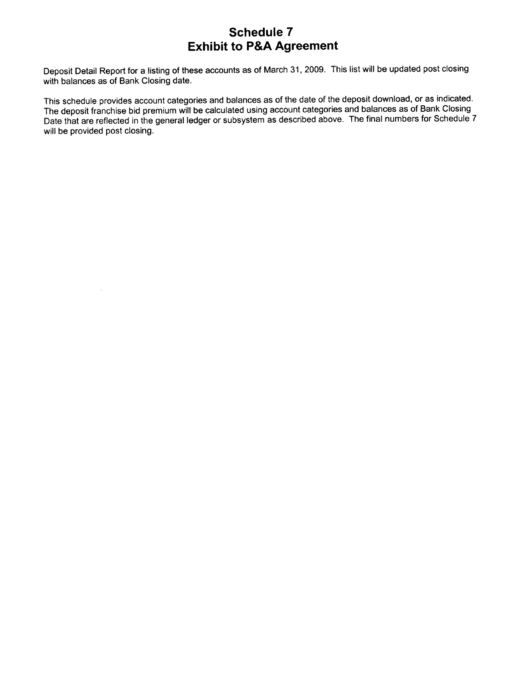## Schedule 7 Exhibit to P&A Agreement

Deposit Detail Report for a listing of these accounts as of March 31, 2009. This list will be updated post closing with balances as of Bank Closing date.

This schedule provides account categories and balances as of the date of the deposit download, or as indicated. The deposit franchise bid premium will be calculated using account categories and balances as of Bank Closing Date that are reflected in the general ledger or subsystem as described above. The final numbers for Schedule 7 will be provided post closing.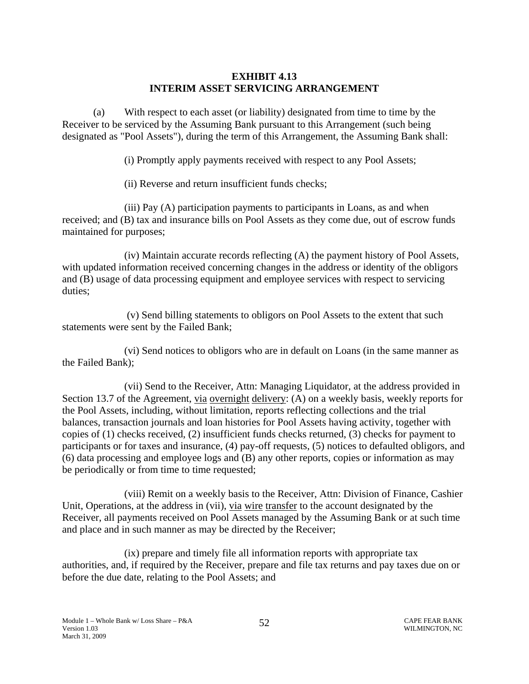### **EXHIBIT 4.13 INTERIM ASSET SERVICING ARRANGEMENT**

(a) With respect to each asset (or liability) designated from time to time by the Receiver to be serviced by the Assuming Bank pursuant to this Arrangement (such being designated as "Pool Assets"), during the term of this Arrangement, the Assuming Bank shall:

(i) Promptly apply payments received with respect to any Pool Assets;

(ii) Reverse and return insufficient funds checks;

(iii) Pay (A) participation payments to participants in Loans, as and when received; and (B) tax and insurance bills on Pool Assets as they come due, out of escrow funds maintained for purposes;

(iv) Maintain accurate records reflecting (A) the payment history of Pool Assets, with updated information received concerning changes in the address or identity of the obligors and (B) usage of data processing equipment and employee services with respect to servicing duties;

 (v) Send billing statements to obligors on Pool Assets to the extent that such statements were sent by the Failed Bank;

(vi) Send notices to obligors who are in default on Loans (in the same manner as the Failed Bank);

(vii) Send to the Receiver, Attn: Managing Liquidator, at the address provided in Section 13.7 of the Agreement, via overnight delivery: (A) on a weekly basis, weekly reports for the Pool Assets, including, without limitation, reports reflecting collections and the trial balances, transaction journals and loan histories for Pool Assets having activity, together with copies of (1) checks received, (2) insufficient funds checks returned, (3) checks for payment to participants or for taxes and insurance, (4) pay-off requests, (5) notices to defaulted obligors, and (6) data processing and employee logs and (B) any other reports, copies or information as may be periodically or from time to time requested;

(viii) Remit on a weekly basis to the Receiver, Attn: Division of Finance, Cashier Unit, Operations, at the address in (vii), via wire transfer to the account designated by the Receiver, all payments received on Pool Assets managed by the Assuming Bank or at such time and place and in such manner as may be directed by the Receiver;

(ix) prepare and timely file all information reports with appropriate tax authorities, and, if required by the Receiver, prepare and file tax returns and pay taxes due on or before the due date, relating to the Pool Assets; and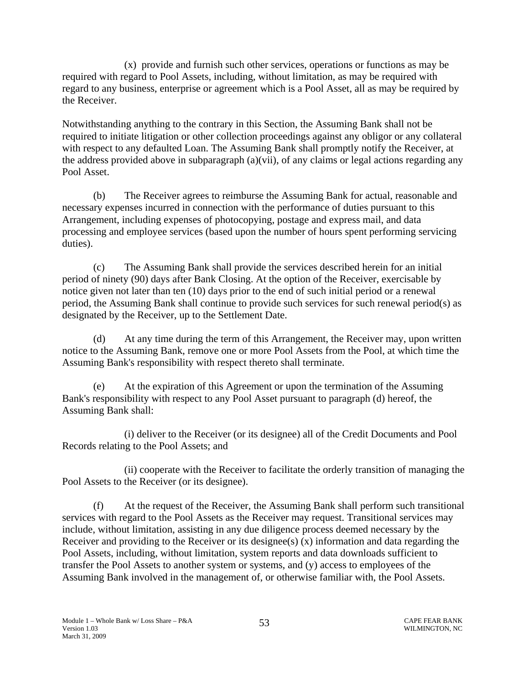(x) provide and furnish such other services, operations or functions as may be required with regard to Pool Assets, including, without limitation, as may be required with regard to any business, enterprise or agreement which is a Pool Asset, all as may be required by the Receiver.

Notwithstanding anything to the contrary in this Section, the Assuming Bank shall not be required to initiate litigation or other collection proceedings against any obligor or any collateral with respect to any defaulted Loan. The Assuming Bank shall promptly notify the Receiver, at the address provided above in subparagraph (a)(vii), of any claims or legal actions regarding any Pool Asset.

(b) The Receiver agrees to reimburse the Assuming Bank for actual, reasonable and necessary expenses incurred in connection with the performance of duties pursuant to this Arrangement, including expenses of photocopying, postage and express mail, and data processing and employee services (based upon the number of hours spent performing servicing duties).

(c) The Assuming Bank shall provide the services described herein for an initial period of ninety (90) days after Bank Closing. At the option of the Receiver, exercisable by notice given not later than ten (10) days prior to the end of such initial period or a renewal period, the Assuming Bank shall continue to provide such services for such renewal period(s) as designated by the Receiver, up to the Settlement Date.

(d) At any time during the term of this Arrangement, the Receiver may, upon written notice to the Assuming Bank, remove one or more Pool Assets from the Pool, at which time the Assuming Bank's responsibility with respect thereto shall terminate.

(e) At the expiration of this Agreement or upon the termination of the Assuming Bank's responsibility with respect to any Pool Asset pursuant to paragraph (d) hereof, the Assuming Bank shall:

(i) deliver to the Receiver (or its designee) all of the Credit Documents and Pool Records relating to the Pool Assets; and

(ii) cooperate with the Receiver to facilitate the orderly transition of managing the Pool Assets to the Receiver (or its designee).

(f) At the request of the Receiver, the Assuming Bank shall perform such transitional services with regard to the Pool Assets as the Receiver may request. Transitional services may include, without limitation, assisting in any due diligence process deemed necessary by the Receiver and providing to the Receiver or its designee(s) (x) information and data regarding the Pool Assets, including, without limitation, system reports and data downloads sufficient to transfer the Pool Assets to another system or systems, and (y) access to employees of the Assuming Bank involved in the management of, or otherwise familiar with, the Pool Assets.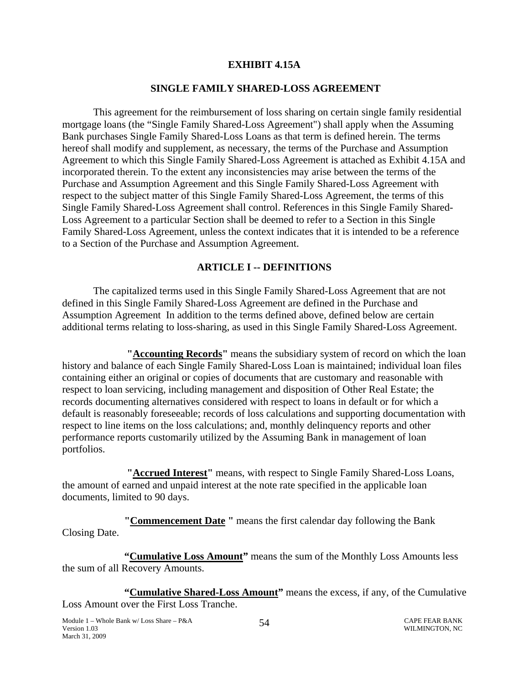#### **EXHIBIT 4.15A**

#### **SINGLE FAMILY SHARED-LOSS AGREEMENT**

This agreement for the reimbursement of loss sharing on certain single family residential mortgage loans (the "Single Family Shared-Loss Agreement") shall apply when the Assuming Bank purchases Single Family Shared-Loss Loans as that term is defined herein. The terms hereof shall modify and supplement, as necessary, the terms of the Purchase and Assumption Agreement to which this Single Family Shared-Loss Agreement is attached as Exhibit 4.15A and incorporated therein. To the extent any inconsistencies may arise between the terms of the Purchase and Assumption Agreement and this Single Family Shared-Loss Agreement with respect to the subject matter of this Single Family Shared-Loss Agreement, the terms of this Single Family Shared-Loss Agreement shall control. References in this Single Family Shared-Loss Agreement to a particular Section shall be deemed to refer to a Section in this Single Family Shared-Loss Agreement, unless the context indicates that it is intended to be a reference to a Section of the Purchase and Assumption Agreement.

#### **ARTICLE I -- DEFINITIONS**

The capitalized terms used in this Single Family Shared-Loss Agreement that are not defined in this Single Family Shared-Loss Agreement are defined in the Purchase and Assumption Agreement In addition to the terms defined above, defined below are certain additional terms relating to loss-sharing, as used in this Single Family Shared-Loss Agreement.

**"Accounting Records"** means the subsidiary system of record on which the loan history and balance of each Single Family Shared-Loss Loan is maintained; individual loan files containing either an original or copies of documents that are customary and reasonable with respect to loan servicing, including management and disposition of Other Real Estate; the records documenting alternatives considered with respect to loans in default or for which a default is reasonably foreseeable; records of loss calculations and supporting documentation with respect to line items on the loss calculations; and, monthly delinquency reports and other performance reports customarily utilized by the Assuming Bank in management of loan portfolios.

**"Accrued Interest"** means, with respect to Single Family Shared-Loss Loans, the amount of earned and unpaid interest at the note rate specified in the applicable loan documents, limited to 90 days.

**"Commencement Date "** means the first calendar day following the Bank Closing Date.

**"Cumulative Loss Amount"** means the sum of the Monthly Loss Amounts less the sum of all Recovery Amounts.

**"Cumulative Shared-Loss Amount"** means the excess, if any, of the Cumulative Loss Amount over the First Loss Tranche.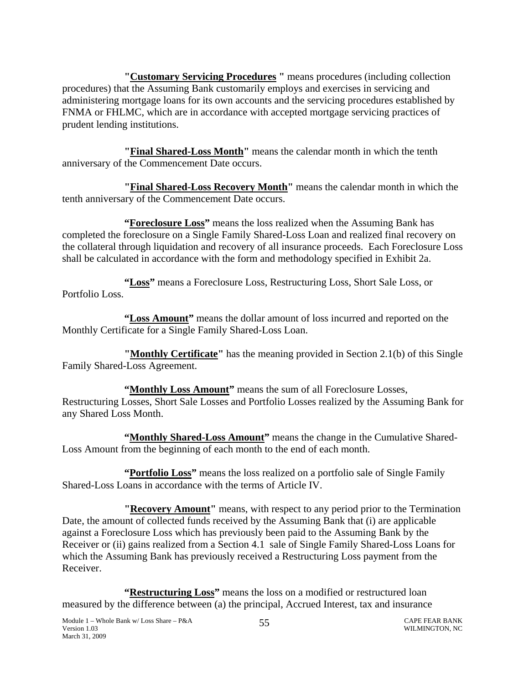**"Customary Servicing Procedures "** means procedures (including collection procedures) that the Assuming Bank customarily employs and exercises in servicing and administering mortgage loans for its own accounts and the servicing procedures established by FNMA or FHLMC, which are in accordance with accepted mortgage servicing practices of prudent lending institutions.

 anniversary of the Commencement Date occurs. **"Final Shared-Loss Month"** means the calendar month in which the tenth

**"Final Shared-Loss Recovery Month"** means the calendar month in which the tenth anniversary of the Commencement Date occurs.

**"Foreclosure Loss"** means the loss realized when the Assuming Bank has completed the foreclosure on a Single Family Shared-Loss Loan and realized final recovery on the collateral through liquidation and recovery of all insurance proceeds. Each Foreclosure Loss shall be calculated in accordance with the form and methodology specified in Exhibit 2a.

**"Loss"** means a Foreclosure Loss, Restructuring Loss, Short Sale Loss, or Portfolio Loss.

**"Loss Amount"** means the dollar amount of loss incurred and reported on the Monthly Certificate for a Single Family Shared-Loss Loan.

**"Monthly Certificate"** has the meaning provided in Section 2.1(b) of this Single Family Shared-Loss Agreement.

**"Monthly Loss Amount"** means the sum of all Foreclosure Losses, Restructuring Losses, Short Sale Losses and Portfolio Losses realized by the Assuming Bank for any Shared Loss Month.

**"Monthly Shared-Loss Amount"** means the change in the Cumulative Shared-Loss Amount from the beginning of each month to the end of each month.

**"Portfolio Loss"** means the loss realized on a portfolio sale of Single Family Shared-Loss Loans in accordance with the terms of Article IV.

**"Recovery Amount"** means, with respect to any period prior to the Termination Date, the amount of collected funds received by the Assuming Bank that (i) are applicable against a Foreclosure Loss which has previously been paid to the Assuming Bank by the Receiver or (ii) gains realized from a Section 4.1 sale of Single Family Shared-Loss Loans for which the Assuming Bank has previously received a Restructuring Loss payment from the Receiver.

"Restructuring Loss" means the loss on a modified or restructured loan measured by the difference between (a) the principal, Accrued Interest, tax and insurance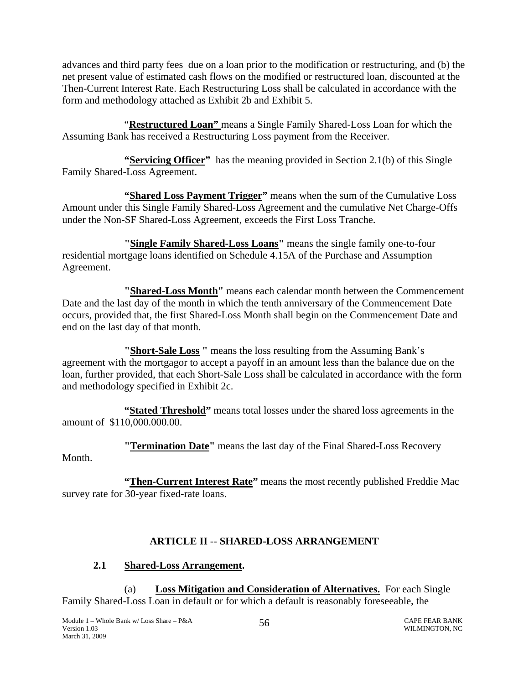advances and third party fees due on a loan prior to the modification or restructuring, and (b) the net present value of estimated cash flows on the modified or restructured loan, discounted at the Then-Current Interest Rate. Each Restructuring Loss shall be calculated in accordance with the form and methodology attached as Exhibit 2b and Exhibit 5.

"**Restructured Loan"** means a Single Family Shared-Loss Loan for which the Assuming Bank has received a Restructuring Loss payment from the Receiver.

**"Servicing Officer"** has the meaning provided in Section 2.1(b) of this Single Family Shared-Loss Agreement.

**"Shared Loss Payment Trigger"** means when the sum of the Cumulative Loss Amount under this Single Family Shared-Loss Agreement and the cumulative Net Charge-Offs under the Non-SF Shared-Loss Agreement, exceeds the First Loss Tranche.

**"Single Family Shared-Loss Loans"** means the single family one-to-four residential mortgage loans identified on Schedule 4.15A of the Purchase and Assumption Agreement.

**"Shared-Loss Month"** means each calendar month between the Commencement Date and the last day of the month in which the tenth anniversary of the Commencement Date occurs, provided that, the first Shared-Loss Month shall begin on the Commencement Date and end on the last day of that month.

**"Short-Sale Loss "** means the loss resulting from the Assuming Bank's agreement with the mortgagor to accept a payoff in an amount less than the balance due on the loan, further provided, that each Short-Sale Loss shall be calculated in accordance with the form and methodology specified in Exhibit 2c.

**"Stated Threshold"** means total losses under the shared loss agreements in the amount of \$110,000.000.00.

**"Termination Date"** means the last day of the Final Shared-Loss Recovery

Month.

**"Then-Current Interest Rate"** means the most recently published Freddie Mac survey rate for 30-year fixed-rate loans.

## **ARTICLE II** -- **SHARED-LOSS ARRANGEMENT**

## **2.1 Shared-Loss Arrangement.**

 (a) **Loss Mitigation and Consideration of Alternatives.** For each Single Family Shared-Loss Loan in default or for which a default is reasonably foreseeable, the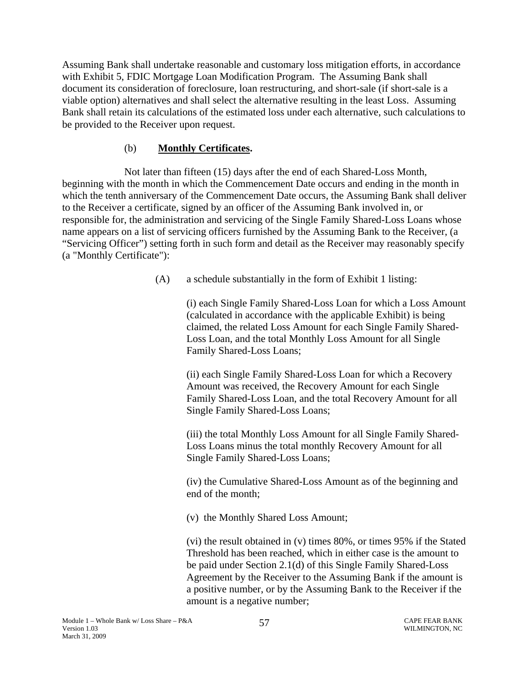Assuming Bank shall undertake reasonable and customary loss mitigation efforts, in accordance with Exhibit 5, FDIC Mortgage Loan Modification Program. The Assuming Bank shall document its consideration of foreclosure, loan restructuring, and short-sale (if short-sale is a viable option) alternatives and shall select the alternative resulting in the least Loss. Assuming Bank shall retain its calculations of the estimated loss under each alternative, such calculations to be provided to the Receiver upon request.

### (b) **Monthly Certificates.**

Not later than fifteen (15) days after the end of each Shared-Loss Month, beginning with the month in which the Commencement Date occurs and ending in the month in which the tenth anniversary of the Commencement Date occurs, the Assuming Bank shall deliver to the Receiver a certificate, signed by an officer of the Assuming Bank involved in, or responsible for, the administration and servicing of the Single Family Shared-Loss Loans whose name appears on a list of servicing officers furnished by the Assuming Bank to the Receiver, (a "Servicing Officer") setting forth in such form and detail as the Receiver may reasonably specify (a "Monthly Certificate"):

(A) a schedule substantially in the form of Exhibit 1 listing:

(i) each Single Family Shared-Loss Loan for which a Loss Amount (calculated in accordance with the applicable Exhibit) is being claimed, the related Loss Amount for each Single Family Shared-Loss Loan, and the total Monthly Loss Amount for all Single Family Shared-Loss Loans;

(ii) each Single Family Shared-Loss Loan for which a Recovery Amount was received, the Recovery Amount for each Single Family Shared-Loss Loan, and the total Recovery Amount for all Single Family Shared-Loss Loans;

(iii) the total Monthly Loss Amount for all Single Family Shared-Loss Loans minus the total monthly Recovery Amount for all Single Family Shared-Loss Loans;

(iv) the Cumulative Shared-Loss Amount as of the beginning and end of the month;

(v) the Monthly Shared Loss Amount;

(vi) the result obtained in (v) times 80%, or times 95% if the Stated Threshold has been reached, which in either case is the amount to be paid under Section 2.1(d) of this Single Family Shared-Loss Agreement by the Receiver to the Assuming Bank if the amount is a positive number, or by the Assuming Bank to the Receiver if the amount is a negative number;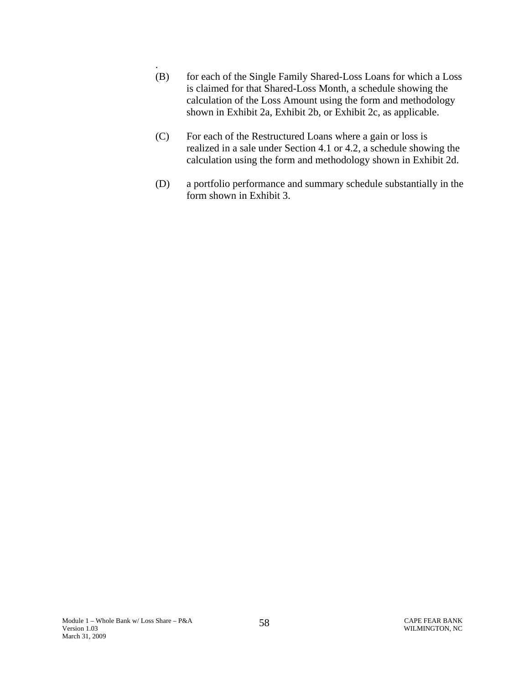- (B) for each of the Single Family Shared-Loss Loans for which a Loss is claimed for that Shared-Loss Month, a schedule showing the calculation of the Loss Amount using the form and methodology shown in Exhibit 2a, Exhibit 2b, or Exhibit 2c, as applicable.
- (C) For each of the Restructured Loans where a gain or loss is realized in a sale under Section 4.1 or 4.2, a schedule showing the calculation using the form and methodology shown in Exhibit 2d.
- (D) a portfolio performance and summary schedule substantially in the form shown in Exhibit 3.

.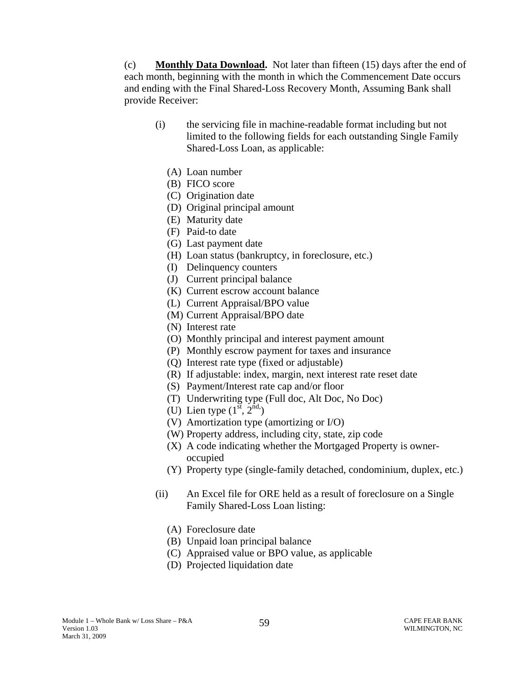(c) **Monthly Data Download.** Not later than fifteen (15) days after the end of each month, beginning with the month in which the Commencement Date occurs and ending with the Final Shared-Loss Recovery Month, Assuming Bank shall provide Receiver:

- (i) the servicing file in machine-readable format including but not limited to the following fields for each outstanding Single Family Shared-Loss Loan, as applicable:
	- (A) Loan number
	- (B) FICO score
	- (C) Origination date
	- (D) Original principal amount
	- (E) Maturity date
	- (F) Paid-to date
	- (G) Last payment date
	- (H) Loan status (bankruptcy, in foreclosure, etc.)
	- (I) Delinquency counters
	- (J) Current principal balance
	- (K) Current escrow account balance
	- (L) Current Appraisal/BPO value
	- (M) Current Appraisal/BPO date
	- (N) Interest rate
	- (O) Monthly principal and interest payment amount
	- (P) Monthly escrow payment for taxes and insurance
	- (Q) Interest rate type (fixed or adjustable)
	- (R) If adjustable: index, margin, next interest rate reset date
	- (S) Payment/Interest rate cap and/or floor
	- (T) Underwriting type (Full doc, Alt Doc, No Doc)
	- (U) Lien type  $(1<sup>st</sup>, 2<sup>nd</sup>)$
	- (V) Amortization type (amortizing or I/O)
	- (W) Property address, including city, state, zip code
	- (X) A code indicating whether the Mortgaged Property is owneroccupied
	- (Y) Property type (single-family detached, condominium, duplex, etc.)
- (ii) An Excel file for ORE held as a result of foreclosure on a Single Family Shared-Loss Loan listing:
	- (A) Foreclosure date
	- (B) Unpaid loan principal balance
	- (C) Appraised value or BPO value, as applicable
	- (D) Projected liquidation date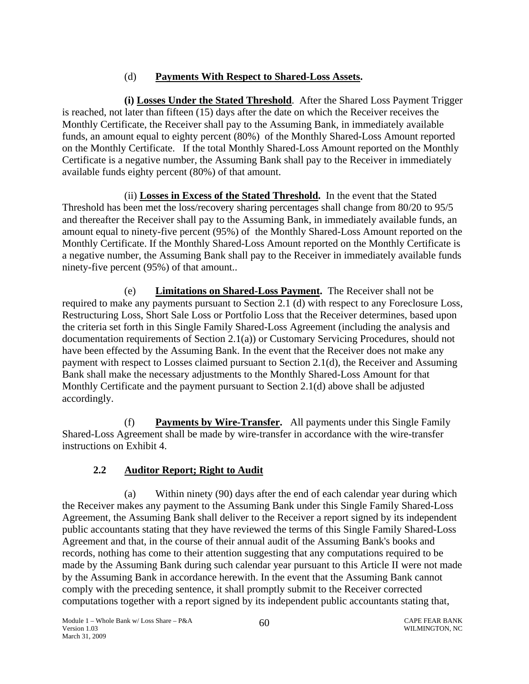## (d) **Payments With Respect to Shared-Loss Assets.**

**(i) Losses Under the Stated Threshold**. After the Shared Loss Payment Trigger is reached, not later than fifteen (15) days after the date on which the Receiver receives the Monthly Certificate, the Receiver shall pay to the Assuming Bank, in immediately available funds, an amount equal to eighty percent (80%) of the Monthly Shared-Loss Amount reported on the Monthly Certificate. If the total Monthly Shared-Loss Amount reported on the Monthly Certificate is a negative number, the Assuming Bank shall pay to the Receiver in immediately available funds eighty percent (80%) of that amount.

(ii) **Losses in Excess of the Stated Threshold.** In the event that the Stated Threshold has been met the loss/recovery sharing percentages shall change from 80/20 to 95/5 and thereafter the Receiver shall pay to the Assuming Bank, in immediately available funds, an amount equal to ninety-five percent (95%) of the Monthly Shared-Loss Amount reported on the Monthly Certificate. If the Monthly Shared-Loss Amount reported on the Monthly Certificate is a negative number, the Assuming Bank shall pay to the Receiver in immediately available funds ninety-five percent (95%) of that amount..

 accordingly. (e) **Limitations on Shared-Loss Payment.** The Receiver shall not be required to make any payments pursuant to Section 2.1 (d) with respect to any Foreclosure Loss, Restructuring Loss, Short Sale Loss or Portfolio Loss that the Receiver determines, based upon the criteria set forth in this Single Family Shared-Loss Agreement (including the analysis and documentation requirements of Section 2.1(a)) or Customary Servicing Procedures, should not have been effected by the Assuming Bank. In the event that the Receiver does not make any payment with respect to Losses claimed pursuant to Section 2.1(d), the Receiver and Assuming Bank shall make the necessary adjustments to the Monthly Shared-Loss Amount for that Monthly Certificate and the payment pursuant to Section 2.1(d) above shall be adjusted

 (f) **Payments by Wire-Transfer.** All payments under this Single Family Shared-Loss Agreement shall be made by wire-transfer in accordance with the wire-transfer instructions on Exhibit 4.

## **2.2 Auditor Report; Right to Audit**

(a) Within ninety (90) days after the end of each calendar year during which the Receiver makes any payment to the Assuming Bank under this Single Family Shared-Loss Agreement, the Assuming Bank shall deliver to the Receiver a report signed by its independent public accountants stating that they have reviewed the terms of this Single Family Shared-Loss Agreement and that, in the course of their annual audit of the Assuming Bank's books and records, nothing has come to their attention suggesting that any computations required to be made by the Assuming Bank during such calendar year pursuant to this Article II were not made by the Assuming Bank in accordance herewith. In the event that the Assuming Bank cannot comply with the preceding sentence, it shall promptly submit to the Receiver corrected computations together with a report signed by its independent public accountants stating that,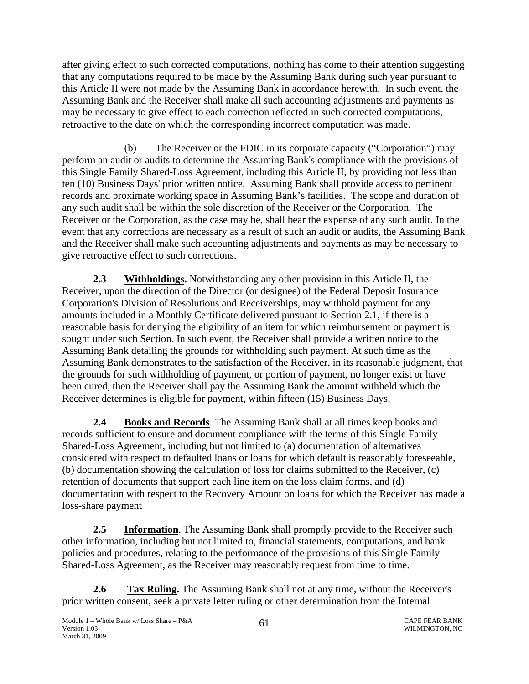after giving effect to such corrected computations, nothing has come to their attention suggesting that any computations required to be made by the Assuming Bank during such year pursuant to this Article II were not made by the Assuming Bank in accordance herewith. In such event, the Assuming Bank and the Receiver shall make all such accounting adjustments and payments as may be necessary to give effect to each correction reflected in such corrected computations, retroactive to the date on which the corresponding incorrect computation was made.

(b) The Receiver or the FDIC in its corporate capacity ("Corporation") may perform an audit or audits to determine the Assuming Bank's compliance with the provisions of this Single Family Shared-Loss Agreement, including this Article II, by providing not less than ten (10) Business Days' prior written notice. Assuming Bank shall provide access to pertinent records and proximate working space in Assuming Bank's facilities. The scope and duration of any such audit shall be within the sole discretion of the Receiver or the Corporation. The Receiver or the Corporation, as the case may be, shall bear the expense of any such audit. In the event that any corrections are necessary as a result of such an audit or audits, the Assuming Bank and the Receiver shall make such accounting adjustments and payments as may be necessary to give retroactive effect to such corrections.

**2.3 Withholdings.** Notwithstanding any other provision in this Article II, the Receiver, upon the direction of the Director (or designee) of the Federal Deposit Insurance Corporation's Division of Resolutions and Receiverships, may withhold payment for any amounts included in a Monthly Certificate delivered pursuant to Section 2.1, if there is a reasonable basis for denying the eligibility of an item for which reimbursement or payment is sought under such Section. In such event, the Receiver shall provide a written notice to the Assuming Bank detailing the grounds for withholding such payment. At such time as the Assuming Bank demonstrates to the satisfaction of the Receiver, in its reasonable judgment, that the grounds for such withholding of payment, or portion of payment, no longer exist or have been cured, then the Receiver shall pay the Assuming Bank the amount withheld which the Receiver determines is eligible for payment, within fifteen (15) Business Days.

**2.4 Books and Records**. The Assuming Bank shall at all times keep books and records sufficient to ensure and document compliance with the terms of this Single Family Shared-Loss Agreement, including but not limited to (a) documentation of alternatives considered with respect to defaulted loans or loans for which default is reasonably foreseeable, (b) documentation showing the calculation of loss for claims submitted to the Receiver, (c) retention of documents that support each line item on the loss claim forms, and (d) documentation with respect to the Recovery Amount on loans for which the Receiver has made a loss-share payment

**2.5 Information**. The Assuming Bank shall promptly provide to the Receiver such other information, including but not limited to, financial statements, computations, and bank policies and procedures, relating to the performance of the provisions of this Single Family Shared-Loss Agreement, as the Receiver may reasonably request from time to time.

**2.6 Tax Ruling.** The Assuming Bank shall not at any time, without the Receiver's prior written consent, seek a private letter ruling or other determination from the Internal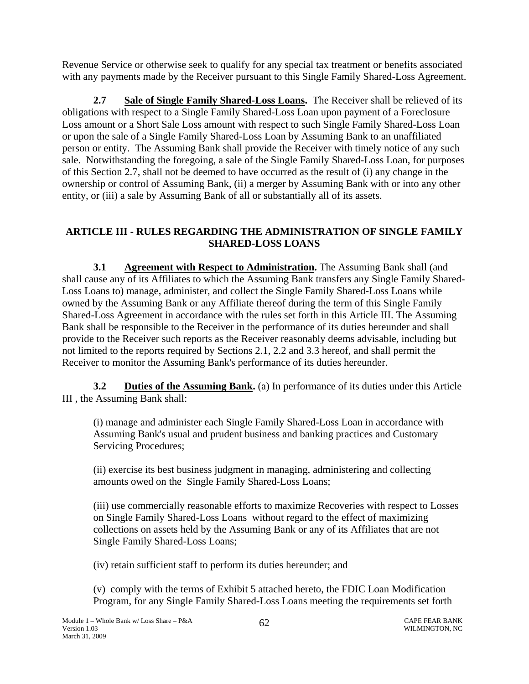Revenue Service or otherwise seek to qualify for any special tax treatment or benefits associated with any payments made by the Receiver pursuant to this Single Family Shared-Loss Agreement.

**2.7 Sale of Single Family Shared-Loss Loans.** The Receiver shall be relieved of its obligations with respect to a Single Family Shared-Loss Loan upon payment of a Foreclosure Loss amount or a Short Sale Loss amount with respect to such Single Family Shared-Loss Loan or upon the sale of a Single Family Shared-Loss Loan by Assuming Bank to an unaffiliated person or entity. The Assuming Bank shall provide the Receiver with timely notice of any such sale. Notwithstanding the foregoing, a sale of the Single Family Shared-Loss Loan, for purposes of this Section 2.7, shall not be deemed to have occurred as the result of (i) any change in the ownership or control of Assuming Bank, (ii) a merger by Assuming Bank with or into any other entity, or (iii) a sale by Assuming Bank of all or substantially all of its assets.

### **ARTICLE III - RULES REGARDING THE ADMINISTRATION OF SINGLE FAMILY SHARED-LOSS LOANS**

**3.1 Agreement with Respect to Administration.** The Assuming Bank shall (and shall cause any of its Affiliates to which the Assuming Bank transfers any Single Family Shared-Loss Loans to) manage, administer, and collect the Single Family Shared-Loss Loans while owned by the Assuming Bank or any Affiliate thereof during the term of this Single Family Shared-Loss Agreement in accordance with the rules set forth in this Article III. The Assuming Bank shall be responsible to the Receiver in the performance of its duties hereunder and shall provide to the Receiver such reports as the Receiver reasonably deems advisable, including but not limited to the reports required by Sections 2.1, 2.2 and 3.3 hereof, and shall permit the Receiver to monitor the Assuming Bank's performance of its duties hereunder.

**3.2 Duties of the Assuming Bank.** (a) In performance of its duties under this Article III , the Assuming Bank shall:

(i) manage and administer each Single Family Shared-Loss Loan in accordance with Assuming Bank's usual and prudent business and banking practices and Customary Servicing Procedures;

(ii) exercise its best business judgment in managing, administering and collecting amounts owed on the Single Family Shared-Loss Loans;

(iii) use commercially reasonable efforts to maximize Recoveries with respect to Losses on Single Family Shared-Loss Loans without regard to the effect of maximizing collections on assets held by the Assuming Bank or any of its Affiliates that are not Single Family Shared-Loss Loans;

(iv) retain sufficient staff to perform its duties hereunder; and

(v) comply with the terms of Exhibit 5 attached hereto, the FDIC Loan Modification Program, for any Single Family Shared-Loss Loans meeting the requirements set forth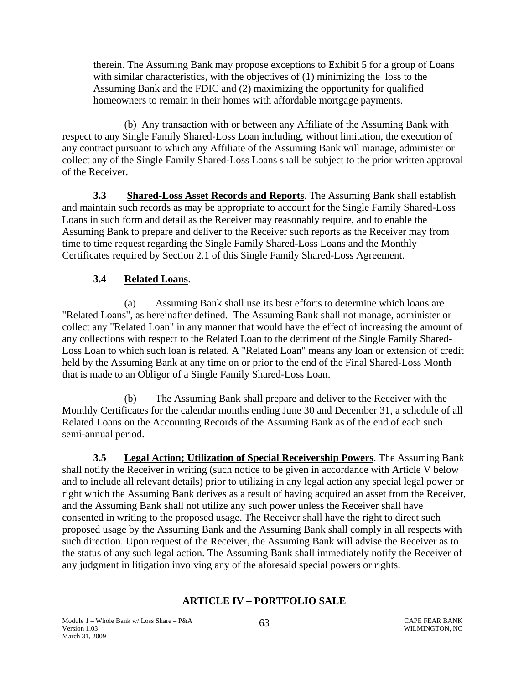therein. The Assuming Bank may propose exceptions to Exhibit 5 for a group of Loans with similar characteristics, with the objectives of (1) minimizing the loss to the Assuming Bank and the FDIC and (2) maximizing the opportunity for qualified homeowners to remain in their homes with affordable mortgage payments.

(b) Any transaction with or between any Affiliate of the Assuming Bank with respect to any Single Family Shared-Loss Loan including, without limitation, the execution of any contract pursuant to which any Affiliate of the Assuming Bank will manage, administer or collect any of the Single Family Shared-Loss Loans shall be subject to the prior written approval of the Receiver.

**3.3 Shared-Loss Asset Records and Reports**. The Assuming Bank shall establish and maintain such records as may be appropriate to account for the Single Family Shared-Loss Loans in such form and detail as the Receiver may reasonably require, and to enable the Assuming Bank to prepare and deliver to the Receiver such reports as the Receiver may from time to time request regarding the Single Family Shared-Loss Loans and the Monthly Certificates required by Section 2.1 of this Single Family Shared-Loss Agreement.

### **3.4 Related Loans**.

(a) Assuming Bank shall use its best efforts to determine which loans are "Related Loans", as hereinafter defined. The Assuming Bank shall not manage, administer or collect any "Related Loan" in any manner that would have the effect of increasing the amount of any collections with respect to the Related Loan to the detriment of the Single Family Shared-Loss Loan to which such loan is related. A "Related Loan" means any loan or extension of credit held by the Assuming Bank at any time on or prior to the end of the Final Shared-Loss Month that is made to an Obligor of a Single Family Shared-Loss Loan.

(b) The Assuming Bank shall prepare and deliver to the Receiver with the Monthly Certificates for the calendar months ending June 30 and December 31, a schedule of all Related Loans on the Accounting Records of the Assuming Bank as of the end of each such semi-annual period.

**3.5 Legal Action; Utilization of Special Receivership Powers**. The Assuming Bank shall notify the Receiver in writing (such notice to be given in accordance with Article V below and to include all relevant details) prior to utilizing in any legal action any special legal power or right which the Assuming Bank derives as a result of having acquired an asset from the Receiver, and the Assuming Bank shall not utilize any such power unless the Receiver shall have consented in writing to the proposed usage. The Receiver shall have the right to direct such proposed usage by the Assuming Bank and the Assuming Bank shall comply in all respects with such direction. Upon request of the Receiver, the Assuming Bank will advise the Receiver as to the status of any such legal action. The Assuming Bank shall immediately notify the Receiver of any judgment in litigation involving any of the aforesaid special powers or rights.

### **ARTICLE IV – PORTFOLIO SALE**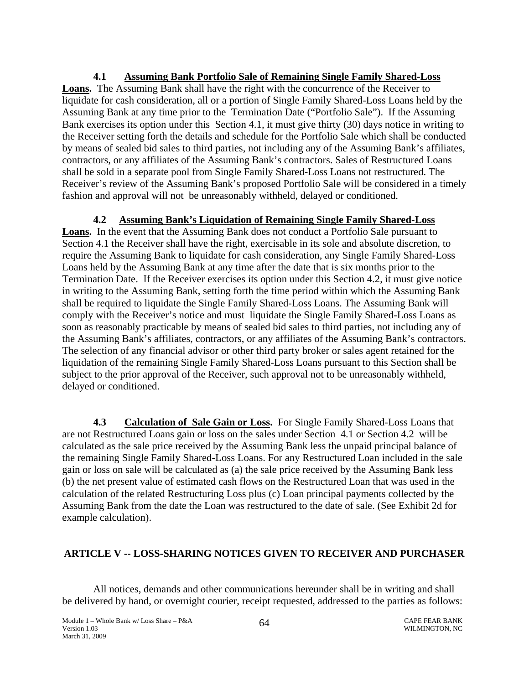**4.1 Assuming Bank Portfolio Sale of Remaining Single Family Shared-Loss Loans.** The Assuming Bank shall have the right with the concurrence of the Receiver to liquidate for cash consideration, all or a portion of Single Family Shared-Loss Loans held by the Assuming Bank at any time prior to the Termination Date ("Portfolio Sale"). If the Assuming Bank exercises its option under this Section 4.1, it must give thirty (30) days notice in writing to the Receiver setting forth the details and schedule for the Portfolio Sale which shall be conducted by means of sealed bid sales to third parties, not including any of the Assuming Bank's affiliates, contractors, or any affiliates of the Assuming Bank's contractors. Sales of Restructured Loans shall be sold in a separate pool from Single Family Shared-Loss Loans not restructured. The Receiver's review of the Assuming Bank's proposed Portfolio Sale will be considered in a timely fashion and approval will not be unreasonably withheld, delayed or conditioned.

## **4.2 Assuming Bank's Liquidation of Remaining Single Family Shared-Loss**

**Loans.** In the event that the Assuming Bank does not conduct a Portfolio Sale pursuant to Section 4.1 the Receiver shall have the right, exercisable in its sole and absolute discretion, to require the Assuming Bank to liquidate for cash consideration, any Single Family Shared-Loss Loans held by the Assuming Bank at any time after the date that is six months prior to the Termination Date. If the Receiver exercises its option under this Section 4.2, it must give notice in writing to the Assuming Bank, setting forth the time period within which the Assuming Bank shall be required to liquidate the Single Family Shared-Loss Loans. The Assuming Bank will comply with the Receiver's notice and must liquidate the Single Family Shared-Loss Loans as soon as reasonably practicable by means of sealed bid sales to third parties, not including any of the Assuming Bank's affiliates, contractors, or any affiliates of the Assuming Bank's contractors. The selection of any financial advisor or other third party broker or sales agent retained for the liquidation of the remaining Single Family Shared-Loss Loans pursuant to this Section shall be subject to the prior approval of the Receiver, such approval not to be unreasonably withheld, delayed or conditioned.

**4.3 Calculation of Sale Gain or Loss.** For Single Family Shared-Loss Loans that are not Restructured Loans gain or loss on the sales under Section 4.1 or Section 4.2 will be calculated as the sale price received by the Assuming Bank less the unpaid principal balance of the remaining Single Family Shared-Loss Loans. For any Restructured Loan included in the sale gain or loss on sale will be calculated as (a) the sale price received by the Assuming Bank less (b) the net present value of estimated cash flows on the Restructured Loan that was used in the calculation of the related Restructuring Loss plus (c) Loan principal payments collected by the Assuming Bank from the date the Loan was restructured to the date of sale. (See Exhibit 2d for example calculation).

## **ARTICLE V -- LOSS-SHARING NOTICES GIVEN TO RECEIVER AND PURCHASER**

All notices, demands and other communications hereunder shall be in writing and shall be delivered by hand, or overnight courier, receipt requested, addressed to the parties as follows: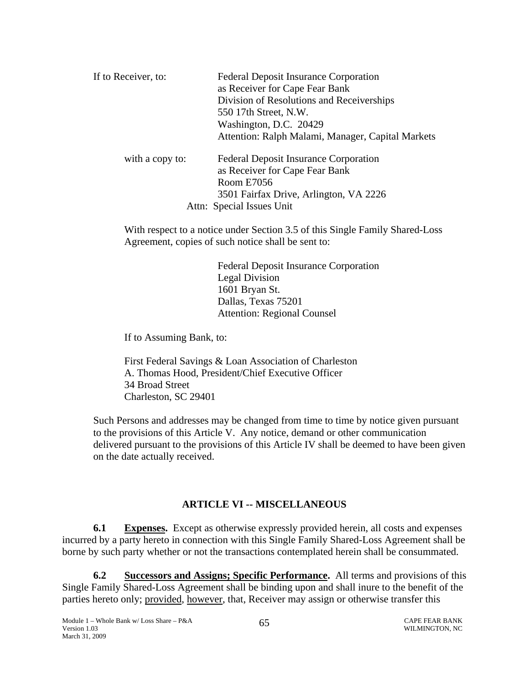| If to Receiver, to: | <b>Federal Deposit Insurance Corporation</b>      |  |  |
|---------------------|---------------------------------------------------|--|--|
|                     | as Receiver for Cape Fear Bank                    |  |  |
|                     | Division of Resolutions and Receiverships         |  |  |
|                     | 550 17th Street, N.W.                             |  |  |
|                     | Washington, D.C. 20429                            |  |  |
|                     | Attention: Ralph Malami, Manager, Capital Markets |  |  |
| with a copy to:     | <b>Federal Deposit Insurance Corporation</b>      |  |  |
|                     | as Receiver for Cape Fear Bank                    |  |  |
|                     | Room E7056                                        |  |  |
|                     | 3501 Fairfax Drive, Arlington, VA 2226            |  |  |
|                     | Attn: Special Issues Unit                         |  |  |
|                     |                                                   |  |  |

With respect to a notice under Section 3.5 of this Single Family Shared-Loss Agreement, copies of such notice shall be sent to:

> Federal Deposit Insurance Corporation Legal Division 1601 Bryan St. Dallas, Texas 75201 Attention: Regional Counsel

If to Assuming Bank, to:

First Federal Savings & Loan Association of Charleston A. Thomas Hood, President/Chief Executive Officer 34 Broad Street Charleston, SC 29401

Such Persons and addresses may be changed from time to time by notice given pursuant to the provisions of this Article V. Any notice, demand or other communication delivered pursuant to the provisions of this Article IV shall be deemed to have been given on the date actually received.

## **ARTICLE VI -- MISCELLANEOUS**

**6.1 Expenses.** Except as otherwise expressly provided herein, all costs and expenses incurred by a party hereto in connection with this Single Family Shared-Loss Agreement shall be borne by such party whether or not the transactions contemplated herein shall be consummated.

**6.2 Successors and Assigns; Specific Performance.** All terms and provisions of this Single Family Shared-Loss Agreement shall be binding upon and shall inure to the benefit of the parties hereto only; provided, however, that, Receiver may assign or otherwise transfer this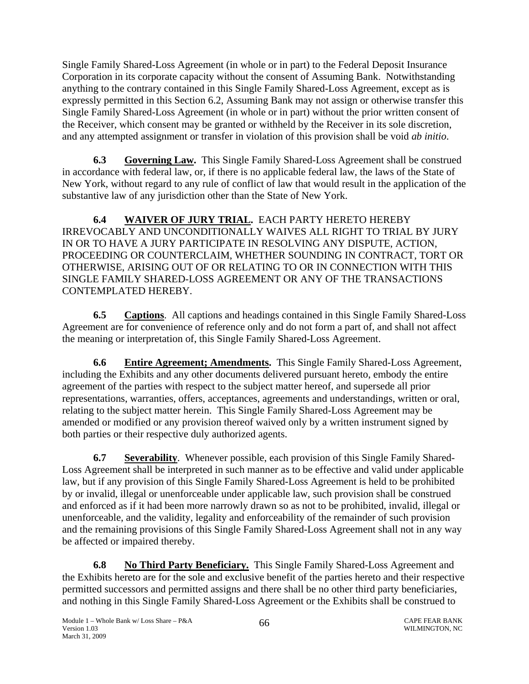Single Family Shared-Loss Agreement (in whole or in part) to the Federal Deposit Insurance Corporation in its corporate capacity without the consent of Assuming Bank. Notwithstanding anything to the contrary contained in this Single Family Shared-Loss Agreement, except as is expressly permitted in this Section 6.2, Assuming Bank may not assign or otherwise transfer this Single Family Shared-Loss Agreement (in whole or in part) without the prior written consent of the Receiver, which consent may be granted or withheld by the Receiver in its sole discretion, and any attempted assignment or transfer in violation of this provision shall be void *ab initio*.

**6.3 Governing Law.** This Single Family Shared-Loss Agreement shall be construed in accordance with federal law, or, if there is no applicable federal law, the laws of the State of New York, without regard to any rule of conflict of law that would result in the application of the substantive law of any jurisdiction other than the State of New York.

**6.4 WAIVER OF JURY TRIAL.** EACH PARTY HERETO HEREBY IRREVOCABLY AND UNCONDITIONALLY WAIVES ALL RIGHT TO TRIAL BY JURY IN OR TO HAVE A JURY PARTICIPATE IN RESOLVING ANY DISPUTE, ACTION, PROCEEDING OR COUNTERCLAIM, WHETHER SOUNDING IN CONTRACT, TORT OR OTHERWISE, ARISING OUT OF OR RELATING TO OR IN CONNECTION WITH THIS SINGLE FAMILY SHARED-LOSS AGREEMENT OR ANY OF THE TRANSACTIONS CONTEMPLATED HEREBY.

**6.5 Captions**. All captions and headings contained in this Single Family Shared-Loss Agreement are for convenience of reference only and do not form a part of, and shall not affect the meaning or interpretation of, this Single Family Shared-Loss Agreement.

**6.6 Entire Agreement; Amendments.** This Single Family Shared-Loss Agreement, including the Exhibits and any other documents delivered pursuant hereto, embody the entire agreement of the parties with respect to the subject matter hereof, and supersede all prior representations, warranties, offers, acceptances, agreements and understandings, written or oral, relating to the subject matter herein. This Single Family Shared-Loss Agreement may be amended or modified or any provision thereof waived only by a written instrument signed by both parties or their respective duly authorized agents.

**6.7 Severability**. Whenever possible, each provision of this Single Family Shared-Loss Agreement shall be interpreted in such manner as to be effective and valid under applicable law, but if any provision of this Single Family Shared-Loss Agreement is held to be prohibited by or invalid, illegal or unenforceable under applicable law, such provision shall be construed and enforced as if it had been more narrowly drawn so as not to be prohibited, invalid, illegal or unenforceable, and the validity, legality and enforceability of the remainder of such provision and the remaining provisions of this Single Family Shared-Loss Agreement shall not in any way be affected or impaired thereby.

**6.8 No Third Party Beneficiary.** This Single Family Shared-Loss Agreement and the Exhibits hereto are for the sole and exclusive benefit of the parties hereto and their respective permitted successors and permitted assigns and there shall be no other third party beneficiaries, and nothing in this Single Family Shared-Loss Agreement or the Exhibits shall be construed to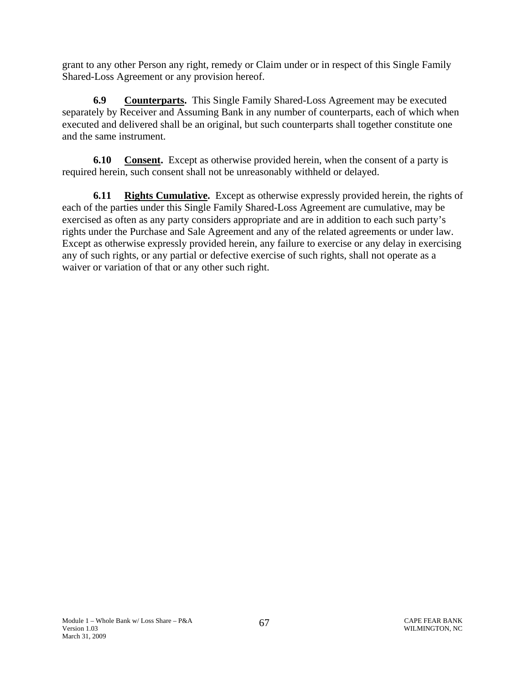grant to any other Person any right, remedy or Claim under or in respect of this Single Family Shared-Loss Agreement or any provision hereof.

**6.9 Counterparts.** This Single Family Shared-Loss Agreement may be executed separately by Receiver and Assuming Bank in any number of counterparts, each of which when executed and delivered shall be an original, but such counterparts shall together constitute one and the same instrument.

**6.10 Consent.** Except as otherwise provided herein, when the consent of a party is required herein, such consent shall not be unreasonably withheld or delayed.

**6.11 Rights Cumulative.** Except as otherwise expressly provided herein, the rights of each of the parties under this Single Family Shared-Loss Agreement are cumulative, may be exercised as often as any party considers appropriate and are in addition to each such party's rights under the Purchase and Sale Agreement and any of the related agreements or under law. Except as otherwise expressly provided herein, any failure to exercise or any delay in exercising any of such rights, or any partial or defective exercise of such rights, shall not operate as a waiver or variation of that or any other such right.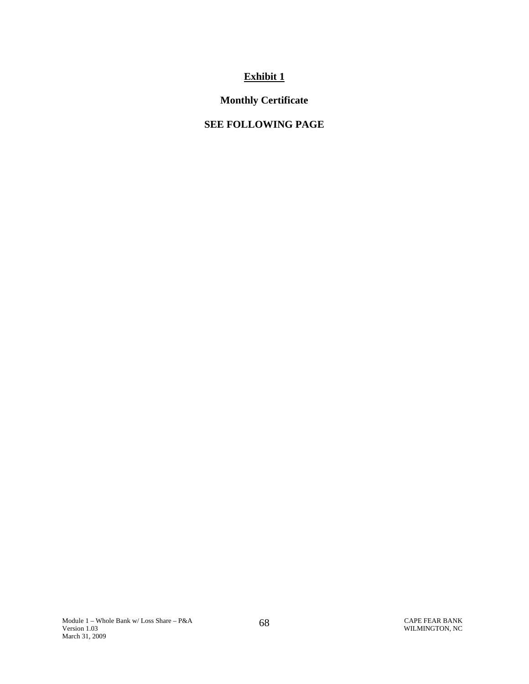## **Exhibit 1**

## **Monthly Certificate**

## **SEE FOLLOWING PAGE**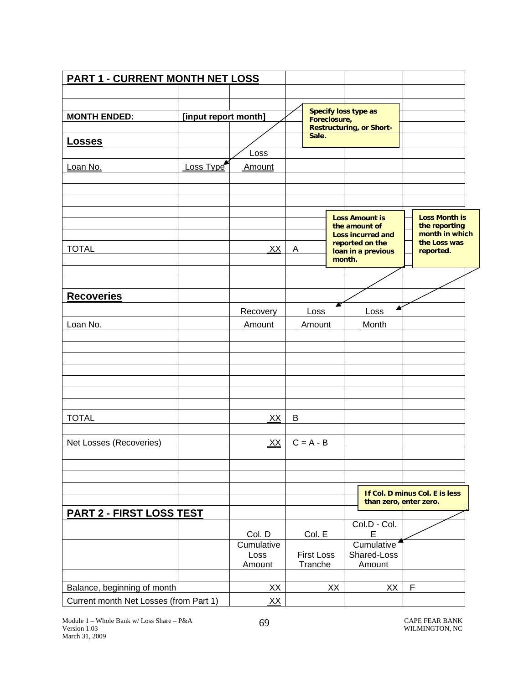| <b>PART 1 - CURRENT MONTH NET LOSS</b> |                      |                    |       |                   |    |                                        |                                       |
|----------------------------------------|----------------------|--------------------|-------|-------------------|----|----------------------------------------|---------------------------------------|
|                                        |                      |                    |       |                   |    |                                        |                                       |
|                                        |                      |                    |       |                   |    |                                        |                                       |
| <b>MONTH ENDED:</b>                    | [input report month] |                    |       | Foreclosure,      |    | Specify loss type as                   |                                       |
|                                        |                      |                    |       |                   |    | <b>Restructuring, or Short-</b>        |                                       |
| <b>Losses</b>                          |                      |                    | Sale. |                   |    |                                        |                                       |
|                                        |                      | Loss               |       |                   |    |                                        |                                       |
| Loan No.                               | Loss Type            | Amount             |       |                   |    |                                        |                                       |
|                                        |                      |                    |       |                   |    |                                        |                                       |
|                                        |                      |                    |       |                   |    |                                        |                                       |
|                                        |                      |                    |       |                   |    |                                        |                                       |
|                                        |                      |                    |       |                   |    |                                        |                                       |
|                                        |                      |                    |       |                   |    | <b>Loss Amount is</b><br>the amount of | <b>Loss Month is</b><br>the reporting |
|                                        |                      |                    |       |                   |    | <b>Loss incurred and</b>               | month in which                        |
| <b>TOTAL</b>                           |                      | XX                 | Α     |                   |    | reported on the<br>loan in a previous  | the Loss was<br>reported.             |
|                                        |                      |                    |       |                   |    | month.                                 |                                       |
|                                        |                      |                    |       |                   |    |                                        |                                       |
|                                        |                      |                    |       |                   |    |                                        |                                       |
| <b>Recoveries</b>                      |                      |                    |       |                   |    |                                        |                                       |
|                                        |                      | Recovery           |       | Loss              |    | ◢<br>Loss                              |                                       |
| Loan No.                               |                      | Amount             |       | Amount            |    | Month                                  |                                       |
|                                        |                      |                    |       |                   |    |                                        |                                       |
|                                        |                      |                    |       |                   |    |                                        |                                       |
|                                        |                      |                    |       |                   |    |                                        |                                       |
|                                        |                      |                    |       |                   |    |                                        |                                       |
|                                        |                      |                    |       |                   |    |                                        |                                       |
|                                        |                      |                    |       |                   |    |                                        |                                       |
|                                        |                      |                    |       |                   |    |                                        |                                       |
| <b>TOTAL</b>                           |                      | XX                 | B     |                   |    |                                        |                                       |
|                                        |                      |                    |       |                   |    |                                        |                                       |
| Net Losses (Recoveries)                |                      | X X                |       | $C = A - B$       |    |                                        |                                       |
|                                        |                      |                    |       |                   |    |                                        |                                       |
|                                        |                      |                    |       |                   |    |                                        |                                       |
|                                        |                      |                    |       |                   |    |                                        |                                       |
|                                        |                      |                    |       |                   |    |                                        | If Col. D minus Col. E is less        |
|                                        |                      |                    |       |                   |    |                                        | than zero, enter zero.                |
| <b>PART 2 - FIRST LOSS TEST</b>        |                      |                    |       |                   |    |                                        |                                       |
|                                        |                      |                    |       |                   |    | $Col.D - Col.$                         |                                       |
|                                        |                      | Col. D             |       | Col. E            |    | E                                      |                                       |
|                                        |                      | Cumulative<br>Loss |       | <b>First Loss</b> |    | Cumulative<br>Shared-Loss              |                                       |
|                                        |                      | Amount             |       | Tranche           |    | Amount                                 |                                       |
|                                        |                      |                    |       |                   |    |                                        |                                       |
| Balance, beginning of month            |                      | XX                 |       |                   | XX | XX                                     | F                                     |
| Current month Net Losses (from Part 1) |                      | XX                 |       |                   |    |                                        |                                       |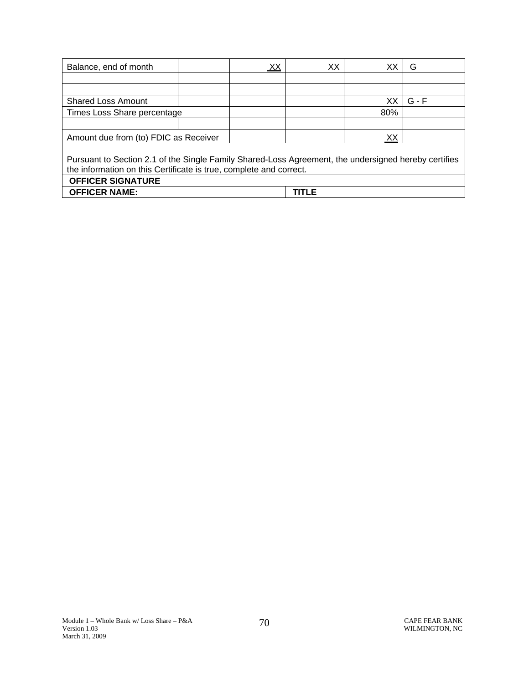| Balance, end of month                                                                                                                                                      |  | XX | XХ |     | G       |  |
|----------------------------------------------------------------------------------------------------------------------------------------------------------------------------|--|----|----|-----|---------|--|
|                                                                                                                                                                            |  |    |    |     |         |  |
|                                                                                                                                                                            |  |    |    |     |         |  |
| <b>Shared Loss Amount</b>                                                                                                                                                  |  |    |    | xх  | $G - F$ |  |
| Times Loss Share percentage                                                                                                                                                |  |    |    | 80% |         |  |
|                                                                                                                                                                            |  |    |    |     |         |  |
| XX<br>Amount due from (to) FDIC as Receiver                                                                                                                                |  |    |    |     |         |  |
| Pursuant to Section 2.1 of the Single Family Shared-Loss Agreement, the undersigned hereby certifies<br>the information on this Certificate is true, complete and correct. |  |    |    |     |         |  |
| <b>OFFICER SIGNATURE</b>                                                                                                                                                   |  |    |    |     |         |  |
| <b>OFFICER NAME:</b><br><b>TITLE</b>                                                                                                                                       |  |    |    |     |         |  |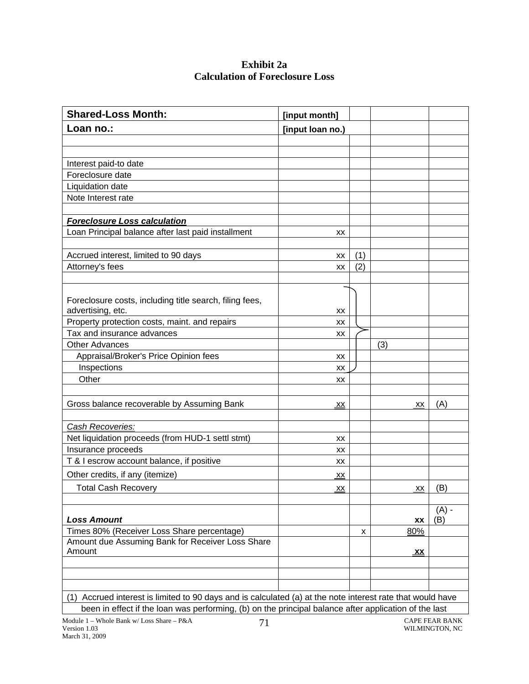# **Exhibit 2a Calculation of Foreclosure Loss**

| <b>Shared-Loss Month:</b>                                                                                  | [input month]    |     |           |         |
|------------------------------------------------------------------------------------------------------------|------------------|-----|-----------|---------|
| Loan no.:                                                                                                  | [input loan no.) |     |           |         |
|                                                                                                            |                  |     |           |         |
|                                                                                                            |                  |     |           |         |
| Interest paid-to date                                                                                      |                  |     |           |         |
| Foreclosure date                                                                                           |                  |     |           |         |
| Liquidation date                                                                                           |                  |     |           |         |
| Note Interest rate                                                                                         |                  |     |           |         |
|                                                                                                            |                  |     |           |         |
| <b>Foreclosure Loss calculation</b>                                                                        |                  |     |           |         |
| Loan Principal balance after last paid installment                                                         | ХX               |     |           |         |
|                                                                                                            |                  |     |           |         |
| Accrued interest, limited to 90 days                                                                       | XХ               | (1) |           |         |
| Attorney's fees                                                                                            |                  | (2) |           |         |
|                                                                                                            | XX               |     |           |         |
|                                                                                                            |                  |     |           |         |
| Foreclosure costs, including title search, filing fees,                                                    |                  |     |           |         |
| advertising, etc.                                                                                          | XХ               |     |           |         |
| Property protection costs, maint. and repairs                                                              | XX               |     |           |         |
| Tax and insurance advances                                                                                 | XX               |     |           |         |
| <b>Other Advances</b>                                                                                      |                  |     | (3)       |         |
| Appraisal/Broker's Price Opinion fees                                                                      | XX               |     |           |         |
| Inspections                                                                                                | XX               |     |           |         |
| Other                                                                                                      |                  |     |           |         |
|                                                                                                            | ХX               |     |           |         |
|                                                                                                            |                  |     |           |         |
| Gross balance recoverable by Assuming Bank                                                                 | <u>xx</u>        |     | ХX        | (A)     |
|                                                                                                            |                  |     |           |         |
| Cash Recoveries:                                                                                           |                  |     |           |         |
| Net liquidation proceeds (from HUD-1 settl stmt)                                                           | XX               |     |           |         |
| Insurance proceeds                                                                                         | XX               |     |           |         |
| T & I escrow account balance, if positive                                                                  | XХ               |     |           |         |
| Other credits, if any (itemize)                                                                            | xх               |     |           |         |
| <b>Total Cash Recovery</b>                                                                                 | <u>XX</u>        |     | <u>XX</u> | (B)     |
|                                                                                                            |                  |     |           |         |
|                                                                                                            |                  |     |           | $(A)$ - |
| <b>Loss Amount</b>                                                                                         |                  |     | XX        | (B)     |
| Times 80% (Receiver Loss Share percentage)                                                                 |                  | x   | 80%       |         |
| Amount due Assuming Bank for Receiver Loss Share                                                           |                  |     |           |         |
| Amount                                                                                                     |                  |     | <u>XX</u> |         |
|                                                                                                            |                  |     |           |         |
|                                                                                                            |                  |     |           |         |
|                                                                                                            |                  |     |           |         |
| (1) Accrued interest is limited to 90 days and is calculated (a) at the note interest rate that would have |                  |     |           |         |
| been in effect if the loan was performing, (b) on the principal balance after application of the last      |                  |     |           |         |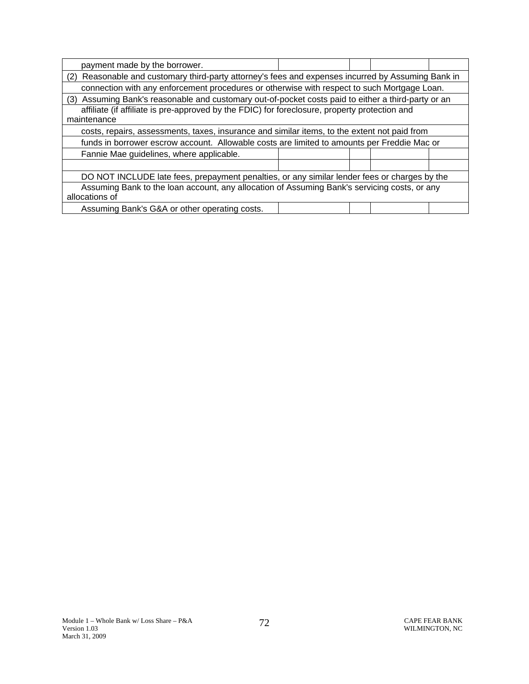| payment made by the borrower.                                                                                |                                                                                                     |  |  |  |  |  |
|--------------------------------------------------------------------------------------------------------------|-----------------------------------------------------------------------------------------------------|--|--|--|--|--|
| (2) Reasonable and customary third-party attorney's fees and expenses incurred by Assuming Bank in           |                                                                                                     |  |  |  |  |  |
| connection with any enforcement procedures or otherwise with respect to such Mortgage Loan.                  |                                                                                                     |  |  |  |  |  |
|                                                                                                              | (3) Assuming Bank's reasonable and customary out-of-pocket costs paid to either a third-party or an |  |  |  |  |  |
| affiliate (if affiliate is pre-approved by the FDIC) for foreclosure, property protection and<br>maintenance |                                                                                                     |  |  |  |  |  |
| costs, repairs, assessments, taxes, insurance and similar items, to the extent not paid from                 |                                                                                                     |  |  |  |  |  |
| funds in borrower escrow account. Allowable costs are limited to amounts per Freddie Mac or                  |                                                                                                     |  |  |  |  |  |
| Fannie Mae guidelines, where applicable.                                                                     |                                                                                                     |  |  |  |  |  |
|                                                                                                              |                                                                                                     |  |  |  |  |  |
| DO NOT INCLUDE late fees, prepayment penalties, or any similar lender fees or charges by the                 |                                                                                                     |  |  |  |  |  |
| Assuming Bank to the loan account, any allocation of Assuming Bank's servicing costs, or any                 |                                                                                                     |  |  |  |  |  |
| allocations of                                                                                               |                                                                                                     |  |  |  |  |  |
| Assuming Bank's G&A or other operating costs.                                                                |                                                                                                     |  |  |  |  |  |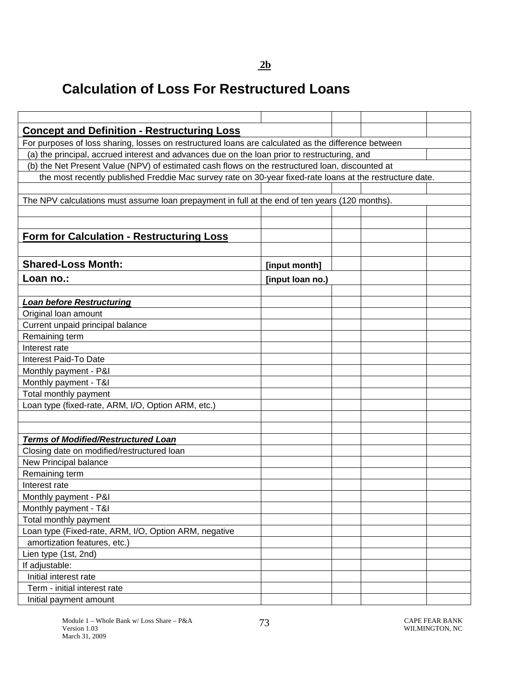# **Calculation of Loss For Restructured Loans**

| <b>Concept and Definition - Restructuring Loss</b>                                                       |                                                                                                 |  |  |  |  |  |  |  |
|----------------------------------------------------------------------------------------------------------|-------------------------------------------------------------------------------------------------|--|--|--|--|--|--|--|
| For purposes of loss sharing, losses on restructured loans are calculated as the difference between      |                                                                                                 |  |  |  |  |  |  |  |
| (a) the principal, accrued interest and advances due on the loan prior to restructuring, and             |                                                                                                 |  |  |  |  |  |  |  |
|                                                                                                          | (b) the Net Present Value (NPV) of estimated cash flows on the restructured loan, discounted at |  |  |  |  |  |  |  |
| the most recently published Freddie Mac survey rate on 30-year fixed-rate loans at the restructure date. |                                                                                                 |  |  |  |  |  |  |  |
|                                                                                                          |                                                                                                 |  |  |  |  |  |  |  |
|                                                                                                          | The NPV calculations must assume loan prepayment in full at the end of ten years (120 months).  |  |  |  |  |  |  |  |
|                                                                                                          |                                                                                                 |  |  |  |  |  |  |  |
|                                                                                                          |                                                                                                 |  |  |  |  |  |  |  |
| <b>Form for Calculation - Restructuring Loss</b>                                                         |                                                                                                 |  |  |  |  |  |  |  |
|                                                                                                          |                                                                                                 |  |  |  |  |  |  |  |
| <b>Shared-Loss Month:</b>                                                                                | [input month]                                                                                   |  |  |  |  |  |  |  |
| Loan no.:                                                                                                | [input loan no.)                                                                                |  |  |  |  |  |  |  |
|                                                                                                          |                                                                                                 |  |  |  |  |  |  |  |
| <b>Loan before Restructuring</b>                                                                         |                                                                                                 |  |  |  |  |  |  |  |
| Original loan amount                                                                                     |                                                                                                 |  |  |  |  |  |  |  |
| Current unpaid principal balance                                                                         |                                                                                                 |  |  |  |  |  |  |  |
| Remaining term                                                                                           |                                                                                                 |  |  |  |  |  |  |  |
| Interest rate                                                                                            |                                                                                                 |  |  |  |  |  |  |  |
| Interest Paid-To Date                                                                                    |                                                                                                 |  |  |  |  |  |  |  |
| Monthly payment - P&I                                                                                    |                                                                                                 |  |  |  |  |  |  |  |
| Monthly payment - T&I                                                                                    |                                                                                                 |  |  |  |  |  |  |  |
| Total monthly payment                                                                                    |                                                                                                 |  |  |  |  |  |  |  |
| Loan type (fixed-rate, ARM, I/O, Option ARM, etc.)                                                       |                                                                                                 |  |  |  |  |  |  |  |
|                                                                                                          |                                                                                                 |  |  |  |  |  |  |  |
|                                                                                                          |                                                                                                 |  |  |  |  |  |  |  |
| <b>Terms of Modified/Restructured Loan</b>                                                               |                                                                                                 |  |  |  |  |  |  |  |
| Closing date on modified/restructured loan                                                               |                                                                                                 |  |  |  |  |  |  |  |
| New Principal balance                                                                                    |                                                                                                 |  |  |  |  |  |  |  |
| Remaining term                                                                                           |                                                                                                 |  |  |  |  |  |  |  |
| Interest rate                                                                                            |                                                                                                 |  |  |  |  |  |  |  |
| Monthly payment - P&I                                                                                    |                                                                                                 |  |  |  |  |  |  |  |
| Monthly payment - T&I                                                                                    |                                                                                                 |  |  |  |  |  |  |  |
| Total monthly payment                                                                                    |                                                                                                 |  |  |  |  |  |  |  |
| Loan type (Fixed-rate, ARM, I/O, Option ARM, negative                                                    |                                                                                                 |  |  |  |  |  |  |  |
| amortization features, etc.)                                                                             |                                                                                                 |  |  |  |  |  |  |  |
| Lien type (1st, 2nd)                                                                                     |                                                                                                 |  |  |  |  |  |  |  |
| If adjustable:                                                                                           |                                                                                                 |  |  |  |  |  |  |  |
| Initial interest rate                                                                                    |                                                                                                 |  |  |  |  |  |  |  |
| Term - initial interest rate                                                                             |                                                                                                 |  |  |  |  |  |  |  |
| Initial payment amount                                                                                   |                                                                                                 |  |  |  |  |  |  |  |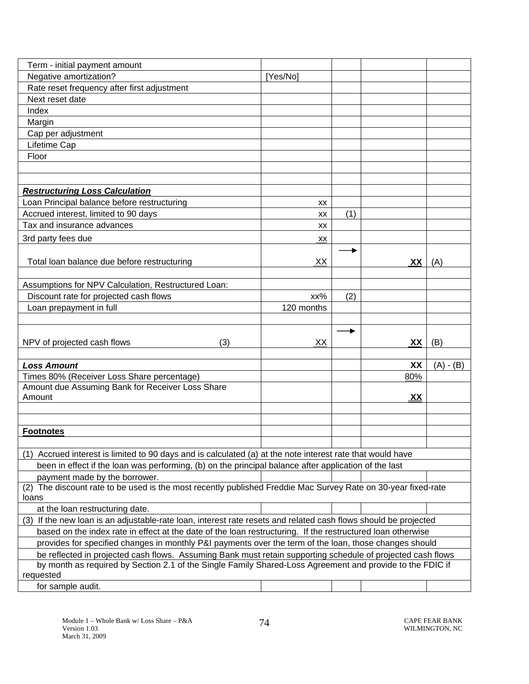| Term - initial payment amount                                                                                   |            |     |     |             |  |  |
|-----------------------------------------------------------------------------------------------------------------|------------|-----|-----|-------------|--|--|
| Negative amortization?                                                                                          | [Yes/No]   |     |     |             |  |  |
| Rate reset frequency after first adjustment                                                                     |            |     |     |             |  |  |
| Next reset date                                                                                                 |            |     |     |             |  |  |
| Index                                                                                                           |            |     |     |             |  |  |
| Margin                                                                                                          |            |     |     |             |  |  |
| Cap per adjustment                                                                                              |            |     |     |             |  |  |
| Lifetime Cap                                                                                                    |            |     |     |             |  |  |
| Floor                                                                                                           |            |     |     |             |  |  |
|                                                                                                                 |            |     |     |             |  |  |
|                                                                                                                 |            |     |     |             |  |  |
| <b>Restructuring Loss Calculation</b>                                                                           |            |     |     |             |  |  |
| Loan Principal balance before restructuring                                                                     | XX         |     |     |             |  |  |
| Accrued interest, limited to 90 days                                                                            | XX         | (1) |     |             |  |  |
| Tax and insurance advances                                                                                      | XX         |     |     |             |  |  |
| 3rd party fees due                                                                                              | XX         |     |     |             |  |  |
|                                                                                                                 |            |     |     |             |  |  |
| Total loan balance due before restructuring                                                                     | XX         |     | XX  | (A)         |  |  |
|                                                                                                                 |            |     |     |             |  |  |
| Assumptions for NPV Calculation, Restructured Loan:                                                             |            |     |     |             |  |  |
| Discount rate for projected cash flows                                                                          | xx%        | (2) |     |             |  |  |
| Loan prepayment in full                                                                                         | 120 months |     |     |             |  |  |
|                                                                                                                 |            |     |     |             |  |  |
|                                                                                                                 |            |     |     |             |  |  |
|                                                                                                                 |            |     |     |             |  |  |
| NPV of projected cash flows<br>(3)                                                                              | XX         |     | XX  | (B)         |  |  |
| <b>Loss Amount</b>                                                                                              |            |     |     | $(A) - (B)$ |  |  |
|                                                                                                                 |            |     | XX  |             |  |  |
| Times 80% (Receiver Loss Share percentage)<br>Amount due Assuming Bank for Receiver Loss Share                  |            |     | 80% |             |  |  |
| Amount                                                                                                          |            |     | XX  |             |  |  |
|                                                                                                                 |            |     |     |             |  |  |
|                                                                                                                 |            |     |     |             |  |  |
| <b>Footnotes</b>                                                                                                |            |     |     |             |  |  |
|                                                                                                                 |            |     |     |             |  |  |
| (1) Accrued interest is limited to 90 days and is calculated (a) at the note interest rate that would have      |            |     |     |             |  |  |
| been in effect if the loan was performing, (b) on the principal balance after application of the last           |            |     |     |             |  |  |
| payment made by the borrower.                                                                                   |            |     |     |             |  |  |
| (2) The discount rate to be used is the most recently published Freddie Mac Survey Rate on 30-year fixed-rate   |            |     |     |             |  |  |
| loans                                                                                                           |            |     |     |             |  |  |
| at the loan restructuring date.                                                                                 |            |     |     |             |  |  |
| (3) If the new loan is an adjustable-rate loan, interest rate resets and related cash flows should be projected |            |     |     |             |  |  |
| based on the index rate in effect at the date of the loan restructuring. If the restructured loan otherwise     |            |     |     |             |  |  |
| provides for specified changes in monthly P&I payments over the term of the loan, those changes should          |            |     |     |             |  |  |
| be reflected in projected cash flows. Assuming Bank must retain supporting schedule of projected cash flows     |            |     |     |             |  |  |
| by month as required by Section 2.1 of the Single Family Shared-Loss Agreement and provide to the FDIC if       |            |     |     |             |  |  |
| requested                                                                                                       |            |     |     |             |  |  |
| for sample audit.                                                                                               |            |     |     |             |  |  |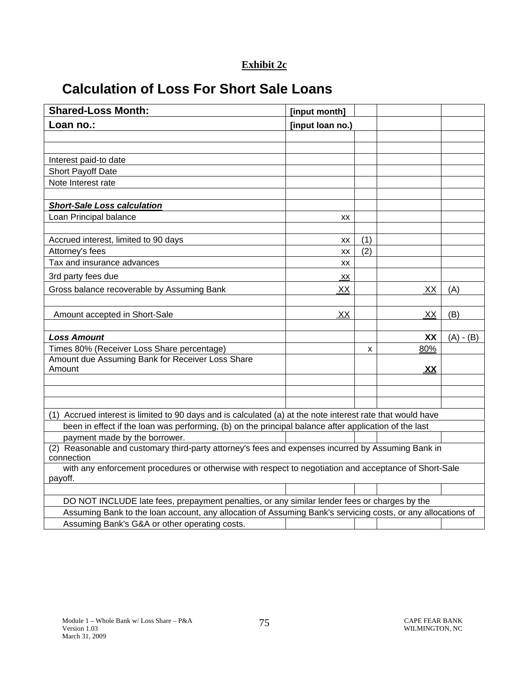| <b>Shared-Loss Month:</b>                                                                                        | [input month]    |     |     |             |
|------------------------------------------------------------------------------------------------------------------|------------------|-----|-----|-------------|
| Loan no.:                                                                                                        | [input loan no.) |     |     |             |
|                                                                                                                  |                  |     |     |             |
|                                                                                                                  |                  |     |     |             |
| Interest paid-to date                                                                                            |                  |     |     |             |
| Short Payoff Date                                                                                                |                  |     |     |             |
| Note Interest rate                                                                                               |                  |     |     |             |
| <b>Short-Sale Loss calculation</b>                                                                               |                  |     |     |             |
| Loan Principal balance                                                                                           | XX               |     |     |             |
|                                                                                                                  |                  |     |     |             |
| Accrued interest, limited to 90 days                                                                             | XX               | (1) |     |             |
| Attorney's fees                                                                                                  | XX               | (2) |     |             |
| Tax and insurance advances                                                                                       | XX               |     |     |             |
| 3rd party fees due                                                                                               | XX               |     |     |             |
| Gross balance recoverable by Assuming Bank                                                                       | XX               |     | XX  | (A)         |
|                                                                                                                  |                  |     |     | (B)         |
| Amount accepted in Short-Sale                                                                                    | XX               |     | XX  |             |
| <b>Loss Amount</b>                                                                                               |                  |     | XX  | $(A) - (B)$ |
| Times 80% (Receiver Loss Share percentage)                                                                       |                  | X   | 80% |             |
| Amount due Assuming Bank for Receiver Loss Share<br>Amount                                                       |                  |     | XX  |             |
|                                                                                                                  |                  |     |     |             |
|                                                                                                                  |                  |     |     |             |
|                                                                                                                  |                  |     |     |             |
| (1) Accrued interest is limited to 90 days and is calculated (a) at the note interest rate that would have       |                  |     |     |             |
| been in effect if the loan was performing, (b) on the principal balance after application of the last            |                  |     |     |             |
| payment made by the borrower.                                                                                    |                  |     |     |             |
| (2) Reasonable and customary third-party attorney's fees and expenses incurred by Assuming Bank in<br>connection |                  |     |     |             |
| with any enforcement procedures or otherwise with respect to negotiation and acceptance of Short-Sale<br>payoff. |                  |     |     |             |
|                                                                                                                  |                  |     |     |             |
| DO NOT INCLUDE late fees, prepayment penalties, or any similar lender fees or charges by the                     |                  |     |     |             |
| Assuming Bank to the loan account, any allocation of Assuming Bank's servicing costs, or any allocations of      |                  |     |     |             |
| Assuming Bank's G&A or other operating costs.                                                                    |                  |     |     |             |

**Exhibit 2c** 

# **Calculation of Loss For Short Sale Loans**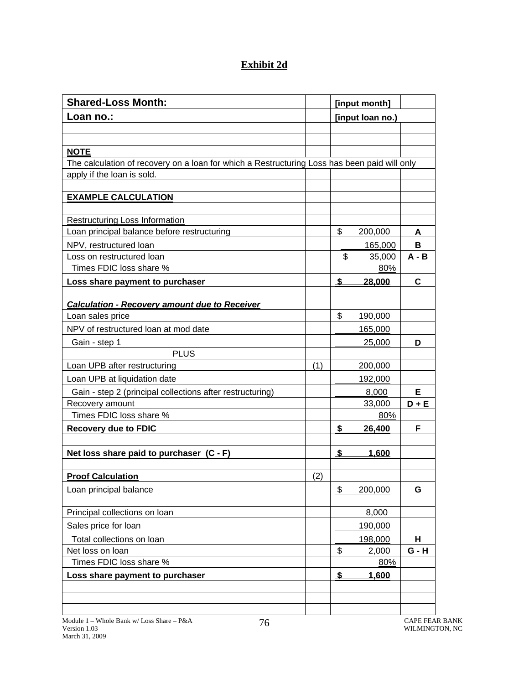# **Exhibit 2d**

| <b>Shared-Loss Month:</b>                                                                    | [input month] |                           |                  |         |
|----------------------------------------------------------------------------------------------|---------------|---------------------------|------------------|---------|
| Loan no.:                                                                                    |               |                           | [input loan no.) |         |
|                                                                                              |               |                           |                  |         |
|                                                                                              |               |                           |                  |         |
| <b>NOTE</b>                                                                                  |               |                           |                  |         |
| The calculation of recovery on a loan for which a Restructuring Loss has been paid will only |               |                           |                  |         |
| apply if the loan is sold.                                                                   |               |                           |                  |         |
|                                                                                              |               |                           |                  |         |
| <b>EXAMPLE CALCULATION</b>                                                                   |               |                           |                  |         |
| Restructuring Loss Information                                                               |               |                           |                  |         |
| Loan principal balance before restructuring                                                  |               | \$                        | 200,000          | A       |
| NPV, restructured loan                                                                       |               |                           | 165,000          | B       |
| Loss on restructured loan                                                                    |               | \$                        | 35,000           | $A - B$ |
| Times FDIC loss share %                                                                      |               |                           | 80%              |         |
| Loss share payment to purchaser                                                              |               | $\mathbf{\mathfrak{L}}$   | 28,000           | C       |
|                                                                                              |               |                           |                  |         |
| <b>Calculation - Recovery amount due to Receiver</b>                                         |               |                           |                  |         |
| Loan sales price                                                                             |               | \$                        | 190,000          |         |
| NPV of restructured loan at mod date                                                         |               |                           | 165,000          |         |
| Gain - step 1                                                                                |               |                           | 25,000           | D       |
| <b>PLUS</b>                                                                                  |               |                           |                  |         |
| Loan UPB after restructuring                                                                 | (1)           |                           | 200,000          |         |
| Loan UPB at liquidation date                                                                 |               |                           | 192,000          |         |
| Gain - step 2 (principal collections after restructuring)                                    |               |                           | 8,000            | Е       |
| Recovery amount                                                                              |               |                           | 33,000           | $D + E$ |
| Times FDIC loss share %                                                                      |               |                           | 80%              |         |
| <b>Recovery due to FDIC</b>                                                                  |               | $\mathbf{\hat{s}}$        | 26,400           | F       |
|                                                                                              |               |                           |                  |         |
| Net loss share paid to purchaser (C - F)                                                     |               | <u>\$</u>                 | 1,600            |         |
| <b>Proof Calculation</b>                                                                     | (2)           |                           |                  |         |
| Loan principal balance                                                                       |               | \$                        | 200,000          | G       |
|                                                                                              |               |                           |                  |         |
| Principal collections on loan                                                                |               |                           | 8,000            |         |
| Sales price for loan                                                                         |               |                           | 190,000          |         |
| Total collections on loan                                                                    |               |                           | 198,000          | н       |
| Net loss on loan                                                                             |               | \$                        | 2,000            | G - H   |
| Times FDIC loss share %                                                                      |               |                           | 80%              |         |
| Loss share payment to purchaser                                                              |               | $\boldsymbol{\mathsf{s}}$ | 1,600            |         |
|                                                                                              |               |                           |                  |         |
|                                                                                              |               |                           |                  |         |
|                                                                                              |               |                           |                  |         |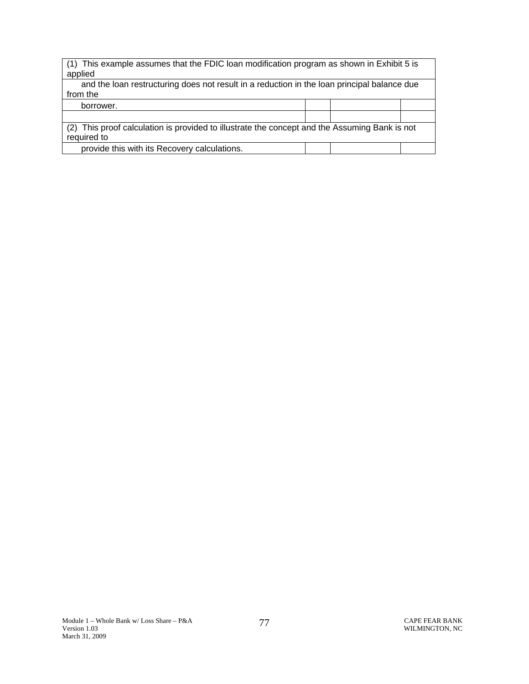| (1) This example assumes that the FDIC loan modification program as shown in Exhibit 5 is<br>applied         |  |  |  |  |  |
|--------------------------------------------------------------------------------------------------------------|--|--|--|--|--|
| and the loan restructuring does not result in a reduction in the loan principal balance due                  |  |  |  |  |  |
| from the                                                                                                     |  |  |  |  |  |
| borrower.                                                                                                    |  |  |  |  |  |
|                                                                                                              |  |  |  |  |  |
| (2) This proof calculation is provided to illustrate the concept and the Assuming Bank is not<br>required to |  |  |  |  |  |
| provide this with its Recovery calculations.                                                                 |  |  |  |  |  |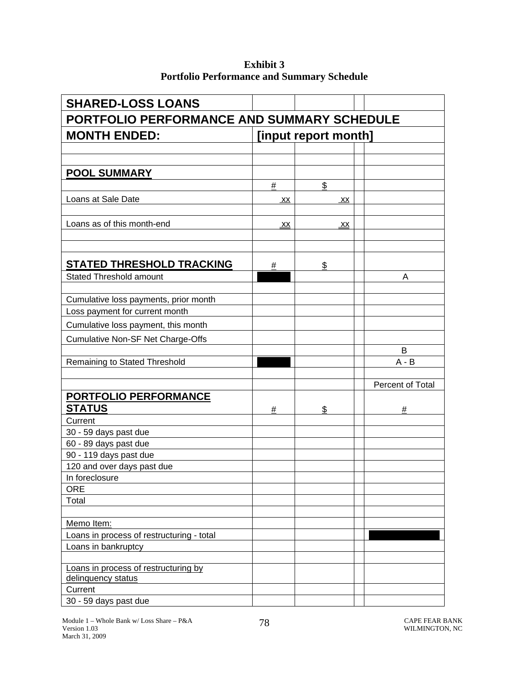| <b>Exhibit 3</b>                                  |
|---------------------------------------------------|
| <b>Portfolio Performance and Summary Schedule</b> |

| <b>SHARED-LOSS LOANS</b>                   |           |                      |                  |
|--------------------------------------------|-----------|----------------------|------------------|
| PORTFOLIO PERFORMANCE AND SUMMARY SCHEDULE |           |                      |                  |
| <b>MONTH ENDED:</b>                        |           | [input report month] |                  |
|                                            |           |                      |                  |
|                                            |           |                      |                  |
| <b>POOL SUMMARY</b>                        |           |                      |                  |
|                                            | $\#$      | \$                   |                  |
| Loans at Sale Date                         | <u>xx</u> | <u>xx</u>            |                  |
|                                            |           |                      |                  |
| Loans as of this month-end                 | ХX        | XX                   |                  |
|                                            |           |                      |                  |
|                                            |           |                      |                  |
|                                            |           |                      |                  |
| STATED THRESHOLD TRACKING                  | #         | $\frac{2}{3}$        |                  |
| <b>Stated Threshold amount</b>             |           |                      | A                |
| Cumulative loss payments, prior month      |           |                      |                  |
| Loss payment for current month             |           |                      |                  |
|                                            |           |                      |                  |
| Cumulative loss payment, this month        |           |                      |                  |
| <b>Cumulative Non-SF Net Charge-Offs</b>   |           |                      |                  |
|                                            |           |                      | B                |
| Remaining to Stated Threshold              |           |                      | $A - B$          |
|                                            |           |                      | Percent of Total |
| <b>PORTFOLIO PERFORMANCE</b>               |           |                      |                  |
| <b>STATUS</b>                              | #         | \$                   | #                |
| Current                                    |           |                      |                  |
| 30 - 59 days past due                      |           |                      |                  |
| 60 - 89 days past due                      |           |                      |                  |
| 90 - 119 days past due                     |           |                      |                  |
| 120 and over days past due                 |           |                      |                  |
| In foreclosure                             |           |                      |                  |
| <b>ORE</b>                                 |           |                      |                  |
| Total                                      |           |                      |                  |
|                                            |           |                      |                  |
| Memo Item:                                 |           |                      |                  |
| Loans in process of restructuring - total  |           |                      |                  |
| Loans in bankruptcy                        |           |                      |                  |
| Loans in process of restructuring by       |           |                      |                  |
| delinquency status                         |           |                      |                  |
| Current                                    |           |                      |                  |
| 30 - 59 days past due                      |           |                      |                  |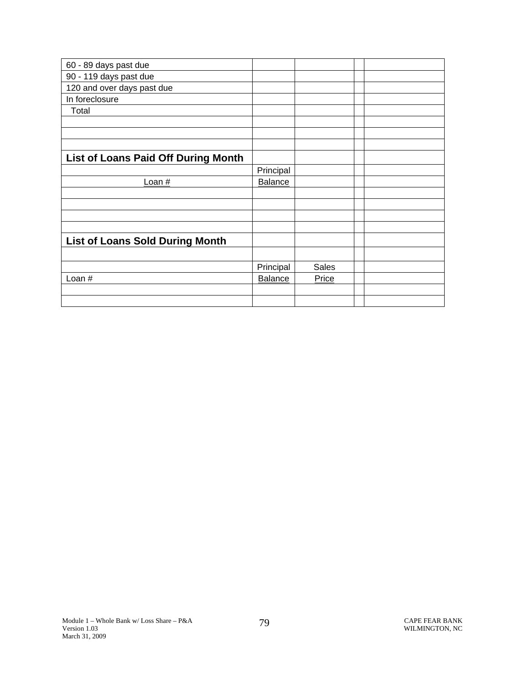| 60 - 89 days past due                      |           |              |  |
|--------------------------------------------|-----------|--------------|--|
| 90 - 119 days past due                     |           |              |  |
| 120 and over days past due                 |           |              |  |
| In foreclosure                             |           |              |  |
| Total                                      |           |              |  |
|                                            |           |              |  |
|                                            |           |              |  |
|                                            |           |              |  |
| <b>List of Loans Paid Off During Month</b> |           |              |  |
|                                            | Principal |              |  |
| Loan $#$                                   | Balance   |              |  |
|                                            |           |              |  |
|                                            |           |              |  |
|                                            |           |              |  |
|                                            |           |              |  |
| <b>List of Loans Sold During Month</b>     |           |              |  |
|                                            |           |              |  |
|                                            | Principal | <b>Sales</b> |  |
| Loan $#$                                   | Balance   | Price        |  |
|                                            |           |              |  |
|                                            |           |              |  |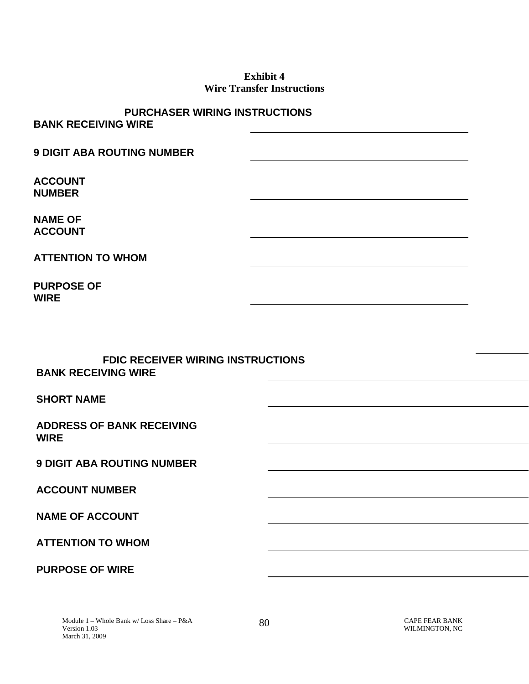#### **Exhibit 4 Wire Transfer Instructions**

#### **PURCHASER WIRING INSTRUCTIONS BANK RECEIVING WIRE**

**9 DIGIT ABA ROUTING NUMBER ACCOUNT NUMBER NAME OF ACCOUNT ATTENTION TO WHOM** 

**PURPOSE OF WIRE** 

### **FDIC RECEIVER WIRING INSTRUCTIONS BANK RECEIVING WIRE**

**SHORT NAME** 

**ADDRESS OF BANK RECEIVING WIRE** 

**9 DIGIT ABA ROUTING NUMBER** 

**ACCOUNT NUMBER** 

**NAME OF ACCOUNT** 

**ATTENTION TO WHOM** 

**PURPOSE OF WIRE**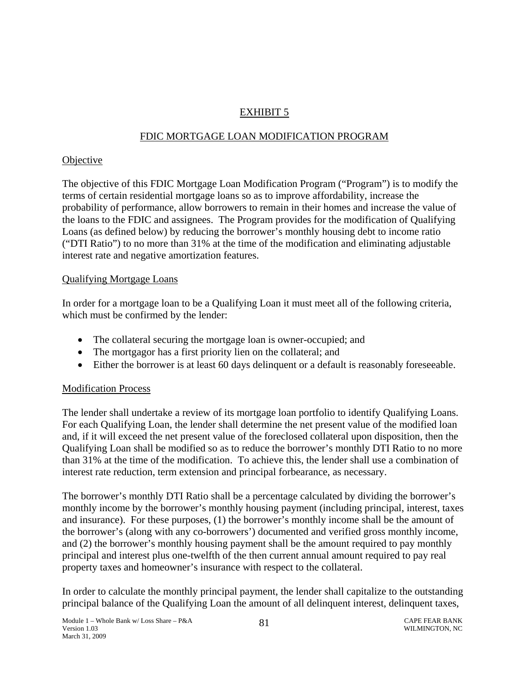# EXHIBIT 5

# FDIC MORTGAGE LOAN MODIFICATION PROGRAM

# **Objective**

The objective of this FDIC Mortgage Loan Modification Program ("Program") is to modify the terms of certain residential mortgage loans so as to improve affordability, increase the probability of performance, allow borrowers to remain in their homes and increase the value of the loans to the FDIC and assignees. The Program provides for the modification of Qualifying Loans (as defined below) by reducing the borrower's monthly housing debt to income ratio ("DTI Ratio") to no more than 31% at the time of the modification and eliminating adjustable interest rate and negative amortization features.

## Qualifying Mortgage Loans

In order for a mortgage loan to be a Qualifying Loan it must meet all of the following criteria, which must be confirmed by the lender:

- The collateral securing the mortgage loan is owner-occupied; and
- The mortgagor has a first priority lien on the collateral; and
- Either the borrower is at least 60 days delinquent or a default is reasonably foreseeable. Modification Process

The lender shall undertake a review of its mortgage loan portfolio to identify Qualifying Loans. For each Qualifying Loan, the lender shall determine the net present value of the modified loan and, if it will exceed the net present value of the foreclosed collateral upon disposition, then the Qualifying Loan shall be modified so as to reduce the borrower's monthly DTI Ratio to no more than 31% at the time of the modification. To achieve this, the lender shall use a combination of interest rate reduction, term extension and principal forbearance, as necessary.

The borrower's monthly DTI Ratio shall be a percentage calculated by dividing the borrower's monthly income by the borrower's monthly housing payment (including principal, interest, taxes and insurance). For these purposes, (1) the borrower's monthly income shall be the amount of the borrower's (along with any co-borrowers') documented and verified gross monthly income, and (2) the borrower's monthly housing payment shall be the amount required to pay monthly principal and interest plus one-twelfth of the then current annual amount required to pay real property taxes and homeowner's insurance with respect to the collateral.

In order to calculate the monthly principal payment, the lender shall capitalize to the outstanding principal balance of the Qualifying Loan the amount of all delinquent interest, delinquent taxes,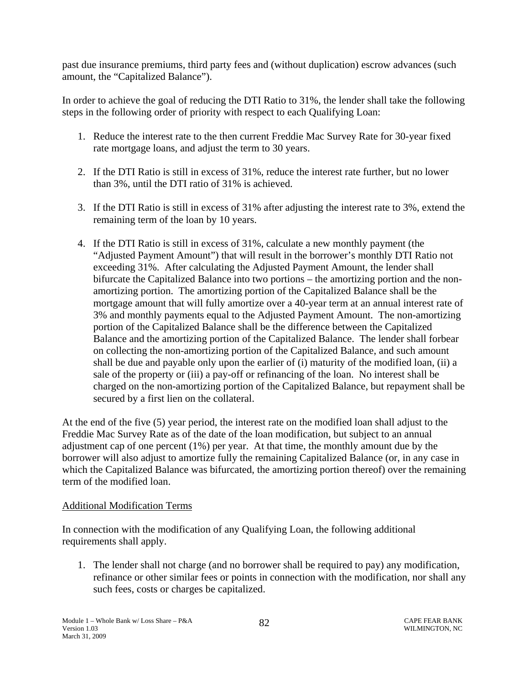past due insurance premiums, third party fees and (without duplication) escrow advances (such amount, the "Capitalized Balance").

In order to achieve the goal of reducing the DTI Ratio to 31%, the lender shall take the following steps in the following order of priority with respect to each Qualifying Loan:

- 1. Reduce the interest rate to the then current Freddie Mac Survey Rate for 30-year fixed rate mortgage loans, and adjust the term to 30 years.
- 2. If the DTI Ratio is still in excess of 31%, reduce the interest rate further, but no lower than 3%, until the DTI ratio of 31% is achieved.
- 3. If the DTI Ratio is still in excess of 31% after adjusting the interest rate to 3%, extend the remaining term of the loan by 10 years.
- 4. If the DTI Ratio is still in excess of 31%, calculate a new monthly payment (the "Adjusted Payment Amount") that will result in the borrower's monthly DTI Ratio not exceeding 31%. After calculating the Adjusted Payment Amount, the lender shall bifurcate the Capitalized Balance into two portions – the amortizing portion and the nonamortizing portion. The amortizing portion of the Capitalized Balance shall be the mortgage amount that will fully amortize over a 40-year term at an annual interest rate of 3% and monthly payments equal to the Adjusted Payment Amount. The non-amortizing portion of the Capitalized Balance shall be the difference between the Capitalized Balance and the amortizing portion of the Capitalized Balance. The lender shall forbear on collecting the non-amortizing portion of the Capitalized Balance, and such amount shall be due and payable only upon the earlier of (i) maturity of the modified loan, (ii) a sale of the property or (iii) a pay-off or refinancing of the loan. No interest shall be charged on the non-amortizing portion of the Capitalized Balance, but repayment shall be secured by a first lien on the collateral.

At the end of the five (5) year period, the interest rate on the modified loan shall adjust to the Freddie Mac Survey Rate as of the date of the loan modification, but subject to an annual adjustment cap of one percent (1%) per year. At that time, the monthly amount due by the borrower will also adjust to amortize fully the remaining Capitalized Balance (or, in any case in which the Capitalized Balance was bifurcated, the amortizing portion thereof) over the remaining term of the modified loan.

### Additional Modification Terms

In connection with the modification of any Qualifying Loan, the following additional requirements shall apply.

1. The lender shall not charge (and no borrower shall be required to pay) any modification, refinance or other similar fees or points in connection with the modification, nor shall any such fees, costs or charges be capitalized.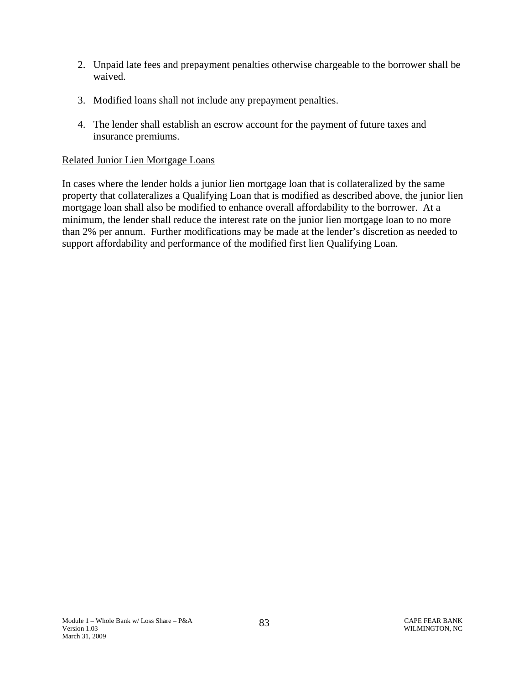- 2. Unpaid late fees and prepayment penalties otherwise chargeable to the borrower shall be waived.
- 3. Modified loans shall not include any prepayment penalties.
- 4. The lender shall establish an escrow account for the payment of future taxes and insurance premiums.

#### Related Junior Lien Mortgage Loans

In cases where the lender holds a junior lien mortgage loan that is collateralized by the same property that collateralizes a Qualifying Loan that is modified as described above, the junior lien mortgage loan shall also be modified to enhance overall affordability to the borrower. At a minimum, the lender shall reduce the interest rate on the junior lien mortgage loan to no more than 2% per annum. Further modifications may be made at the lender's discretion as needed to support affordability and performance of the modified first lien Qualifying Loan.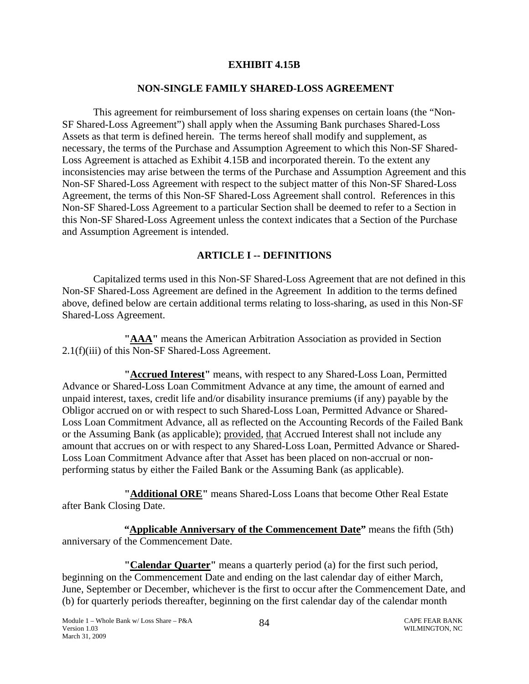#### **EXHIBIT 4.15B**

#### **NON-SINGLE FAMILY SHARED-LOSS AGREEMENT**

This agreement for reimbursement of loss sharing expenses on certain loans (the "Non-SF Shared-Loss Agreement") shall apply when the Assuming Bank purchases Shared-Loss Assets as that term is defined herein. The terms hereof shall modify and supplement, as necessary, the terms of the Purchase and Assumption Agreement to which this Non-SF Shared-Loss Agreement is attached as Exhibit 4.15B and incorporated therein. To the extent any inconsistencies may arise between the terms of the Purchase and Assumption Agreement and this Non-SF Shared-Loss Agreement with respect to the subject matter of this Non-SF Shared-Loss Agreement, the terms of this Non-SF Shared-Loss Agreement shall control. References in this Non-SF Shared-Loss Agreement to a particular Section shall be deemed to refer to a Section in this Non-SF Shared-Loss Agreement unless the context indicates that a Section of the Purchase and Assumption Agreement is intended.

### **ARTICLE I -- DEFINITIONS**

Capitalized terms used in this Non-SF Shared-Loss Agreement that are not defined in this Non-SF Shared-Loss Agreement are defined in the Agreement In addition to the terms defined above, defined below are certain additional terms relating to loss-sharing, as used in this Non-SF Shared-Loss Agreement.

**"AAA"** means the American Arbitration Association as provided in Section 2.1(f)(iii) of this Non-SF Shared-Loss Agreement.

**"Accrued Interest"** means, with respect to any Shared-Loss Loan, Permitted Advance or Shared-Loss Loan Commitment Advance at any time, the amount of earned and unpaid interest, taxes, credit life and/or disability insurance premiums (if any) payable by the Obligor accrued on or with respect to such Shared-Loss Loan, Permitted Advance or Shared-Loss Loan Commitment Advance, all as reflected on the Accounting Records of the Failed Bank or the Assuming Bank (as applicable); provided, that Accrued Interest shall not include any amount that accrues on or with respect to any Shared-Loss Loan, Permitted Advance or Shared-Loss Loan Commitment Advance after that Asset has been placed on non-accrual or nonperforming status by either the Failed Bank or the Assuming Bank (as applicable).

**"Additional ORE"** means Shared-Loss Loans that become Other Real Estate after Bank Closing Date.

**Examplicable Anniversary of the Commencement Date**" means the fifth (5th) anniversary of the Commencement Date.

**"Calendar Quarter"** means a quarterly period (a) for the first such period, beginning on the Commencement Date and ending on the last calendar day of either March, June, September or December, whichever is the first to occur after the Commencement Date, and (b) for quarterly periods thereafter, beginning on the first calendar day of the calendar month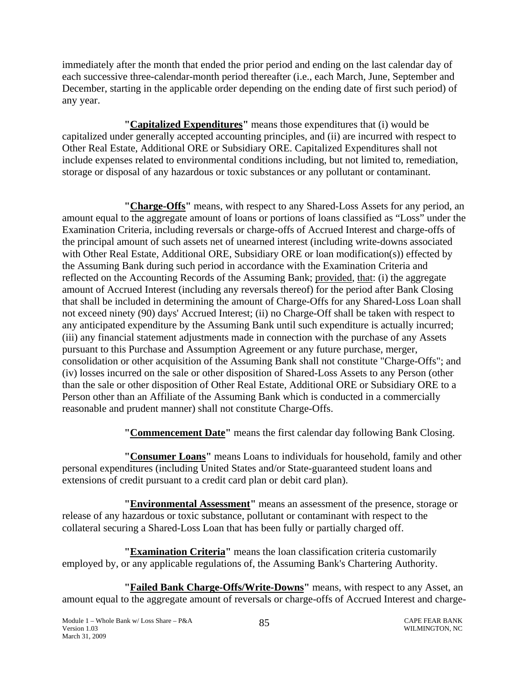immediately after the month that ended the prior period and ending on the last calendar day of each successive three-calendar-month period thereafter (i.e., each March, June, September and December, starting in the applicable order depending on the ending date of first such period) of any year.

**"Capitalized Expenditures"** means those expenditures that (i) would be capitalized under generally accepted accounting principles, and (ii) are incurred with respect to Other Real Estate, Additional ORE or Subsidiary ORE. Capitalized Expenditures shall not include expenses related to environmental conditions including, but not limited to, remediation, storage or disposal of any hazardous or toxic substances or any pollutant or contaminant.

**"Charge-Offs"** means, with respect to any Shared-Loss Assets for any period, an amount equal to the aggregate amount of loans or portions of loans classified as "Loss" under the Examination Criteria, including reversals or charge-offs of Accrued Interest and charge-offs of the principal amount of such assets net of unearned interest (including write-downs associated with Other Real Estate, Additional ORE, Subsidiary ORE or loan modification(s)) effected by the Assuming Bank during such period in accordance with the Examination Criteria and reflected on the Accounting Records of the Assuming Bank; provided, that: (i) the aggregate amount of Accrued Interest (including any reversals thereof) for the period after Bank Closing that shall be included in determining the amount of Charge-Offs for any Shared-Loss Loan shall not exceed ninety (90) days' Accrued Interest; (ii) no Charge-Off shall be taken with respect to any anticipated expenditure by the Assuming Bank until such expenditure is actually incurred; (iii) any financial statement adjustments made in connection with the purchase of any Assets pursuant to this Purchase and Assumption Agreement or any future purchase, merger, consolidation or other acquisition of the Assuming Bank shall not constitute "Charge-Offs"; and (iv) losses incurred on the sale or other disposition of Shared-Loss Assets to any Person (other than the sale or other disposition of Other Real Estate, Additional ORE or Subsidiary ORE to a Person other than an Affiliate of the Assuming Bank which is conducted in a commercially reasonable and prudent manner) shall not constitute Charge-Offs.

**"Commencement Date"** means the first calendar day following Bank Closing.

**"Consumer Loans"** means Loans to individuals for household, family and other personal expenditures (including United States and/or State-guaranteed student loans and extensions of credit pursuant to a credit card plan or debit card plan).

**"Environmental Assessment"** means an assessment of the presence, storage or release of any hazardous or toxic substance, pollutant or contaminant with respect to the collateral securing a Shared-Loss Loan that has been fully or partially charged off.

**"Examination Criteria"** means the loan classification criteria customarily employed by, or any applicable regulations of, the Assuming Bank's Chartering Authority.

**"Failed Bank Charge-Offs/Write-Downs"** means, with respect to any Asset, an amount equal to the aggregate amount of reversals or charge-offs of Accrued Interest and charge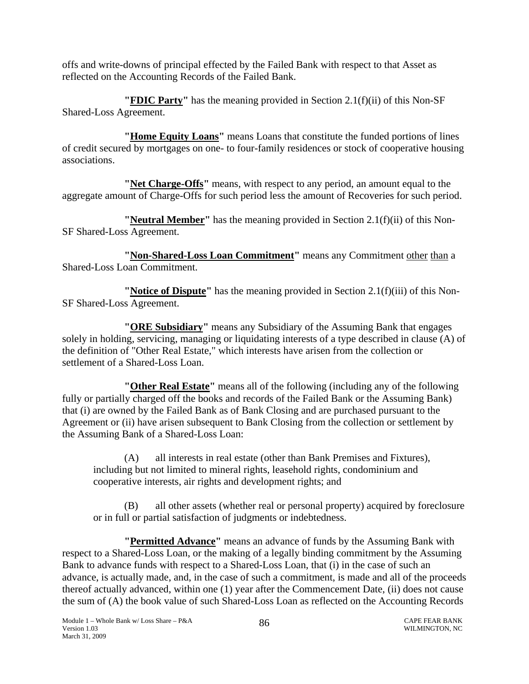offs and write-downs of principal effected by the Failed Bank with respect to that Asset as reflected on the Accounting Records of the Failed Bank.

**"FDIC Party"** has the meaning provided in Section 2.1(f)(ii) of this Non-SF Shared-Loss Agreement.

**"Home Equity Loans"** means Loans that constitute the funded portions of lines of credit secured by mortgages on one- to four-family residences or stock of cooperative housing associations.

**"Net Charge-Offs"** means, with respect to any period, an amount equal to the aggregate amount of Charge-Offs for such period less the amount of Recoveries for such period.

 SF Shared-Loss Agreement. **"Neutral Member"** has the meaning provided in Section 2.1(f)(ii) of this Non-

**"Non-Shared-Loss Loan Commitment"** means any Commitment other than a Shared-Loss Loan Commitment.

**"Notice of Dispute"** has the meaning provided in Section 2.1(f)(iii) of this Non-SF Shared-Loss Agreement.

**"ORE Subsidiary"** means any Subsidiary of the Assuming Bank that engages solely in holding, servicing, managing or liquidating interests of a type described in clause (A) of the definition of "Other Real Estate," which interests have arisen from the collection or settlement of a Shared-Loss Loan.

**"Other Real Estate"** means all of the following (including any of the following fully or partially charged off the books and records of the Failed Bank or the Assuming Bank) that (i) are owned by the Failed Bank as of Bank Closing and are purchased pursuant to the Agreement or (ii) have arisen subsequent to Bank Closing from the collection or settlement by the Assuming Bank of a Shared-Loss Loan:

(A) all interests in real estate (other than Bank Premises and Fixtures), including but not limited to mineral rights, leasehold rights, condominium and cooperative interests, air rights and development rights; and

(B) all other assets (whether real or personal property) acquired by foreclosure or in full or partial satisfaction of judgments or indebtedness.

**"Permitted Advance"** means an advance of funds by the Assuming Bank with respect to a Shared-Loss Loan, or the making of a legally binding commitment by the Assuming Bank to advance funds with respect to a Shared-Loss Loan, that (i) in the case of such an advance, is actually made, and, in the case of such a commitment, is made and all of the proceeds thereof actually advanced, within one (1) year after the Commencement Date, (ii) does not cause the sum of (A) the book value of such Shared-Loss Loan as reflected on the Accounting Records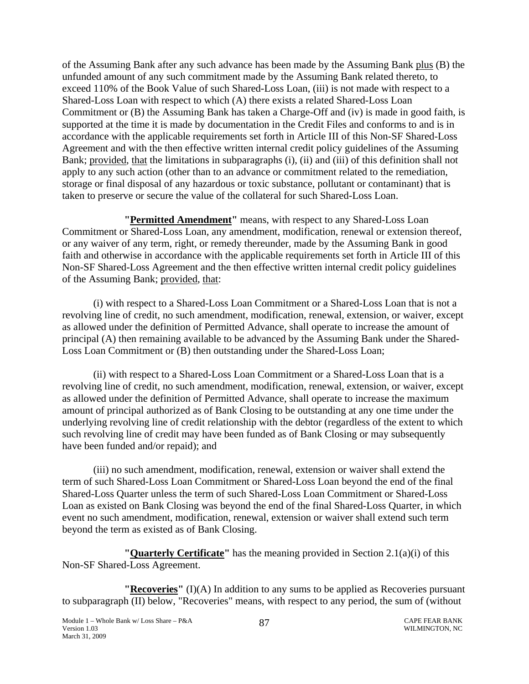of the Assuming Bank after any such advance has been made by the Assuming Bank plus (B) the unfunded amount of any such commitment made by the Assuming Bank related thereto, to exceed 110% of the Book Value of such Shared-Loss Loan, (iii) is not made with respect to a Shared-Loss Loan with respect to which (A) there exists a related Shared-Loss Loan Commitment or (B) the Assuming Bank has taken a Charge-Off and (iv) is made in good faith, is supported at the time it is made by documentation in the Credit Files and conforms to and is in accordance with the applicable requirements set forth in Article III of this Non-SF Shared-Loss Agreement and with the then effective written internal credit policy guidelines of the Assuming Bank; provided, that the limitations in subparagraphs (i), (ii) and (iii) of this definition shall not apply to any such action (other than to an advance or commitment related to the remediation, storage or final disposal of any hazardous or toxic substance, pollutant or contaminant) that is taken to preserve or secure the value of the collateral for such Shared-Loss Loan.

**"Permitted Amendment"** means, with respect to any Shared-Loss Loan Commitment or Shared-Loss Loan, any amendment, modification, renewal or extension thereof, or any waiver of any term, right, or remedy thereunder, made by the Assuming Bank in good faith and otherwise in accordance with the applicable requirements set forth in Article III of this Non-SF Shared-Loss Agreement and the then effective written internal credit policy guidelines of the Assuming Bank; provided, that:

(i) with respect to a Shared-Loss Loan Commitment or a Shared-Loss Loan that is not a revolving line of credit, no such amendment, modification, renewal, extension, or waiver, except as allowed under the definition of Permitted Advance, shall operate to increase the amount of principal (A) then remaining available to be advanced by the Assuming Bank under the Shared-Loss Loan Commitment or (B) then outstanding under the Shared-Loss Loan;

(ii) with respect to a Shared-Loss Loan Commitment or a Shared-Loss Loan that is a revolving line of credit, no such amendment, modification, renewal, extension, or waiver, except as allowed under the definition of Permitted Advance, shall operate to increase the maximum amount of principal authorized as of Bank Closing to be outstanding at any one time under the underlying revolving line of credit relationship with the debtor (regardless of the extent to which such revolving line of credit may have been funded as of Bank Closing or may subsequently have been funded and/or repaid); and

(iii) no such amendment, modification, renewal, extension or waiver shall extend the term of such Shared-Loss Loan Commitment or Shared-Loss Loan beyond the end of the final Shared-Loss Quarter unless the term of such Shared-Loss Loan Commitment or Shared-Loss Loan as existed on Bank Closing was beyond the end of the final Shared-Loss Quarter, in which event no such amendment, modification, renewal, extension or waiver shall extend such term beyond the term as existed as of Bank Closing.

**"Quarterly Certificate"** has the meaning provided in Section 2.1(a)(i) of this Non-SF Shared-Loss Agreement.

**"Recoveries"** (I)(A) In addition to any sums to be applied as Recoveries pursuant to subparagraph (II) below, "Recoveries" means, with respect to any period, the sum of (without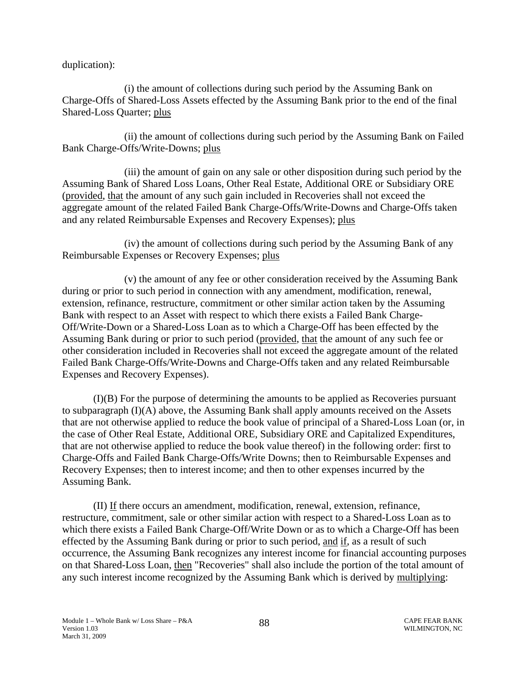duplication):

Shared-Loss Quarter; plus (i) the amount of collections during such period by the Assuming Bank on Charge-Offs of Shared-Loss Assets effected by the Assuming Bank prior to the end of the final

(ii) the amount of collections during such period by the Assuming Bank on Failed Bank Charge-Offs/Write-Downs; plus

(iii) the amount of gain on any sale or other disposition during such period by the Assuming Bank of Shared Loss Loans, Other Real Estate, Additional ORE or Subsidiary ORE (provided, that the amount of any such gain included in Recoveries shall not exceed the aggregate amount of the related Failed Bank Charge-Offs/Write-Downs and Charge-Offs taken and any related Reimbursable Expenses and Recovery Expenses); plus

(iv) the amount of collections during such period by the Assuming Bank of any Reimbursable Expenses or Recovery Expenses; plus

(v) the amount of any fee or other consideration received by the Assuming Bank during or prior to such period in connection with any amendment, modification, renewal, extension, refinance, restructure, commitment or other similar action taken by the Assuming Bank with respect to an Asset with respect to which there exists a Failed Bank Charge-Off/Write-Down or a Shared-Loss Loan as to which a Charge-Off has been effected by the Assuming Bank during or prior to such period (provided, that the amount of any such fee or other consideration included in Recoveries shall not exceed the aggregate amount of the related Failed Bank Charge-Offs/Write-Downs and Charge-Offs taken and any related Reimbursable Expenses and Recovery Expenses).

(I)(B) For the purpose of determining the amounts to be applied as Recoveries pursuant to subparagraph (I)(A) above, the Assuming Bank shall apply amounts received on the Assets that are not otherwise applied to reduce the book value of principal of a Shared-Loss Loan (or, in the case of Other Real Estate, Additional ORE, Subsidiary ORE and Capitalized Expenditures, that are not otherwise applied to reduce the book value thereof) in the following order: first to Charge-Offs and Failed Bank Charge-Offs/Write Downs; then to Reimbursable Expenses and Recovery Expenses; then to interest income; and then to other expenses incurred by the Assuming Bank.

(II) If there occurs an amendment, modification, renewal, extension, refinance, restructure, commitment, sale or other similar action with respect to a Shared-Loss Loan as to which there exists a Failed Bank Charge-Off/Write Down or as to which a Charge-Off has been effected by the Assuming Bank during or prior to such period, and if, as a result of such occurrence, the Assuming Bank recognizes any interest income for financial accounting purposes on that Shared-Loss Loan, then "Recoveries" shall also include the portion of the total amount of any such interest income recognized by the Assuming Bank which is derived by multiplying: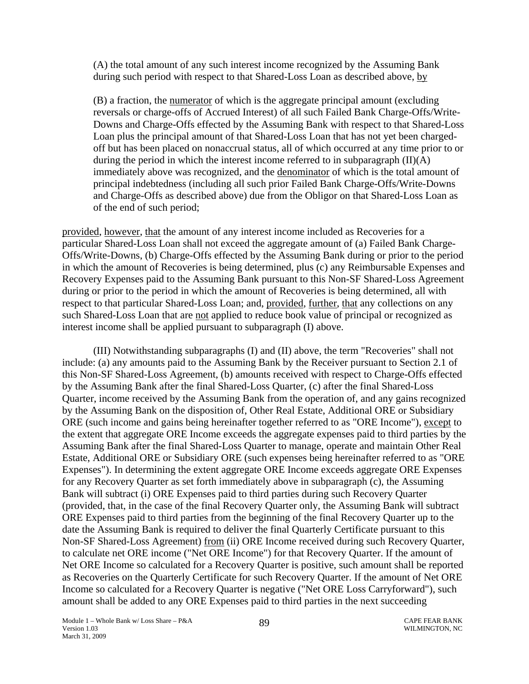(A) the total amount of any such interest income recognized by the Assuming Bank during such period with respect to that Shared-Loss Loan as described above, by

(B) a fraction, the numerator of which is the aggregate principal amount (excluding reversals or charge-offs of Accrued Interest) of all such Failed Bank Charge-Offs/Write-Downs and Charge-Offs effected by the Assuming Bank with respect to that Shared-Loss Loan plus the principal amount of that Shared-Loss Loan that has not yet been chargedoff but has been placed on nonaccrual status, all of which occurred at any time prior to or during the period in which the interest income referred to in subparagraph  $(II)(A)$ immediately above was recognized, and the denominator of which is the total amount of principal indebtedness (including all such prior Failed Bank Charge-Offs/Write-Downs and Charge-Offs as described above) due from the Obligor on that Shared-Loss Loan as of the end of such period;

provided, however, that the amount of any interest income included as Recoveries for a particular Shared-Loss Loan shall not exceed the aggregate amount of (a) Failed Bank Charge-Offs/Write-Downs, (b) Charge-Offs effected by the Assuming Bank during or prior to the period in which the amount of Recoveries is being determined, plus (c) any Reimbursable Expenses and Recovery Expenses paid to the Assuming Bank pursuant to this Non-SF Shared-Loss Agreement during or prior to the period in which the amount of Recoveries is being determined, all with respect to that particular Shared-Loss Loan; and, provided, further, that any collections on any such Shared-Loss Loan that are not applied to reduce book value of principal or recognized as interest income shall be applied pursuant to subparagraph (I) above.

(III) Notwithstanding subparagraphs (I) and (II) above, the term "Recoveries" shall not include: (a) any amounts paid to the Assuming Bank by the Receiver pursuant to Section 2.1 of this Non-SF Shared-Loss Agreement, (b) amounts received with respect to Charge-Offs effected by the Assuming Bank after the final Shared-Loss Quarter, (c) after the final Shared-Loss Quarter, income received by the Assuming Bank from the operation of, and any gains recognized by the Assuming Bank on the disposition of, Other Real Estate, Additional ORE or Subsidiary ORE (such income and gains being hereinafter together referred to as "ORE Income"), except to the extent that aggregate ORE Income exceeds the aggregate expenses paid to third parties by the Assuming Bank after the final Shared-Loss Quarter to manage, operate and maintain Other Real Estate, Additional ORE or Subsidiary ORE (such expenses being hereinafter referred to as "ORE Expenses"). In determining the extent aggregate ORE Income exceeds aggregate ORE Expenses for any Recovery Quarter as set forth immediately above in subparagraph (c), the Assuming Bank will subtract (i) ORE Expenses paid to third parties during such Recovery Quarter (provided, that, in the case of the final Recovery Quarter only, the Assuming Bank will subtract ORE Expenses paid to third parties from the beginning of the final Recovery Quarter up to the date the Assuming Bank is required to deliver the final Quarterly Certificate pursuant to this Non-SF Shared-Loss Agreement) from (ii) ORE Income received during such Recovery Quarter, to calculate net ORE income ("Net ORE Income") for that Recovery Quarter. If the amount of Net ORE Income so calculated for a Recovery Quarter is positive, such amount shall be reported as Recoveries on the Quarterly Certificate for such Recovery Quarter. If the amount of Net ORE Income so calculated for a Recovery Quarter is negative ("Net ORE Loss Carryforward"), such amount shall be added to any ORE Expenses paid to third parties in the next succeeding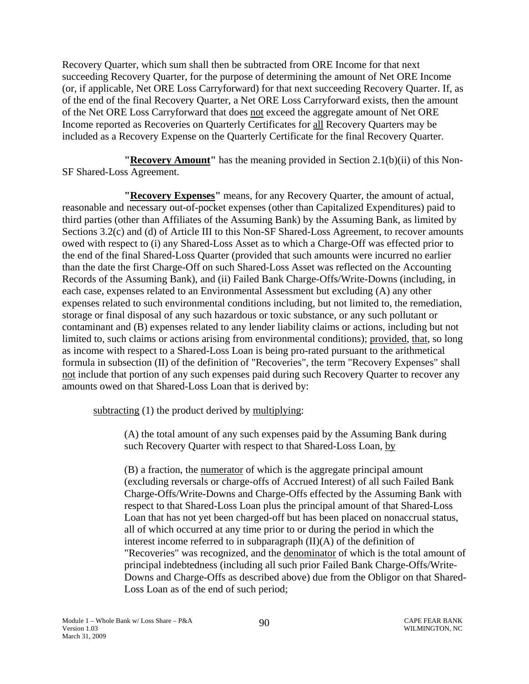Recovery Quarter, which sum shall then be subtracted from ORE Income for that next succeeding Recovery Quarter, for the purpose of determining the amount of Net ORE Income (or, if applicable, Net ORE Loss Carryforward) for that next succeeding Recovery Quarter. If, as of the end of the final Recovery Quarter, a Net ORE Loss Carryforward exists, then the amount of the Net ORE Loss Carryforward that does not exceed the aggregate amount of Net ORE Income reported as Recoveries on Quarterly Certificates for all Recovery Quarters may be included as a Recovery Expense on the Quarterly Certificate for the final Recovery Quarter.

**"Recovery Amount"** has the meaning provided in Section 2.1(b)(ii) of this Non-SF Shared-Loss Agreement.

**"Recovery Expenses"** means, for any Recovery Quarter, the amount of actual, reasonable and necessary out-of-pocket expenses (other than Capitalized Expenditures) paid to third parties (other than Affiliates of the Assuming Bank) by the Assuming Bank, as limited by Sections 3.2(c) and (d) of Article III to this Non-SF Shared-Loss Agreement, to recover amounts owed with respect to (i) any Shared-Loss Asset as to which a Charge-Off was effected prior to the end of the final Shared-Loss Quarter (provided that such amounts were incurred no earlier than the date the first Charge-Off on such Shared-Loss Asset was reflected on the Accounting Records of the Assuming Bank), and (ii) Failed Bank Charge-Offs/Write-Downs (including, in each case, expenses related to an Environmental Assessment but excluding (A) any other expenses related to such environmental conditions including, but not limited to, the remediation, storage or final disposal of any such hazardous or toxic substance, or any such pollutant or contaminant and (B) expenses related to any lender liability claims or actions, including but not limited to, such claims or actions arising from environmental conditions); provided, that, so long as income with respect to a Shared-Loss Loan is being pro-rated pursuant to the arithmetical formula in subsection (II) of the definition of "Recoveries", the term "Recovery Expenses" shall not include that portion of any such expenses paid during such Recovery Quarter to recover any amounts owed on that Shared-Loss Loan that is derived by:

subtracting (1) the product derived by multiplying:

(A) the total amount of any such expenses paid by the Assuming Bank during such Recovery Quarter with respect to that Shared-Loss Loan, by

(B) a fraction, the numerator of which is the aggregate principal amount (excluding reversals or charge-offs of Accrued Interest) of all such Failed Bank Charge-Offs/Write-Downs and Charge-Offs effected by the Assuming Bank with respect to that Shared-Loss Loan plus the principal amount of that Shared-Loss Loan that has not yet been charged-off but has been placed on nonaccrual status, all of which occurred at any time prior to or during the period in which the interest income referred to in subparagraph (II)(A) of the definition of "Recoveries" was recognized, and the denominator of which is the total amount of principal indebtedness (including all such prior Failed Bank Charge-Offs/Write-Downs and Charge-Offs as described above) due from the Obligor on that Shared-Loss Loan as of the end of such period;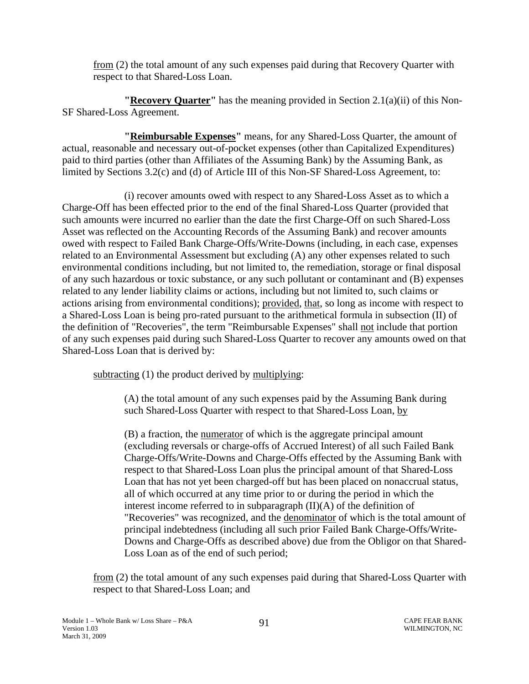from (2) the total amount of any such expenses paid during that Recovery Quarter with respect to that Shared-Loss Loan.

**"Recovery Quarter"** has the meaning provided in Section 2.1(a)(ii) of this Non-SF Shared-Loss Agreement.

**"Reimbursable Expenses"** means, for any Shared-Loss Quarter, the amount of actual, reasonable and necessary out-of-pocket expenses (other than Capitalized Expenditures) paid to third parties (other than Affiliates of the Assuming Bank) by the Assuming Bank, as limited by Sections 3.2(c) and (d) of Article III of this Non-SF Shared-Loss Agreement, to:

(i) recover amounts owed with respect to any Shared-Loss Asset as to which a Charge-Off has been effected prior to the end of the final Shared-Loss Quarter (provided that such amounts were incurred no earlier than the date the first Charge-Off on such Shared-Loss Asset was reflected on the Accounting Records of the Assuming Bank) and recover amounts owed with respect to Failed Bank Charge-Offs/Write-Downs (including, in each case, expenses related to an Environmental Assessment but excluding (A) any other expenses related to such environmental conditions including, but not limited to, the remediation, storage or final disposal of any such hazardous or toxic substance, or any such pollutant or contaminant and (B) expenses related to any lender liability claims or actions, including but not limited to, such claims or actions arising from environmental conditions); provided, that, so long as income with respect to a Shared-Loss Loan is being pro-rated pursuant to the arithmetical formula in subsection (II) of the definition of "Recoveries", the term "Reimbursable Expenses" shall not include that portion of any such expenses paid during such Shared-Loss Quarter to recover any amounts owed on that Shared-Loss Loan that is derived by:

subtracting (1) the product derived by multiplying:

(A) the total amount of any such expenses paid by the Assuming Bank during such Shared-Loss Quarter with respect to that Shared-Loss Loan, by

(B) a fraction, the numerator of which is the aggregate principal amount (excluding reversals or charge-offs of Accrued Interest) of all such Failed Bank Charge-Offs/Write-Downs and Charge-Offs effected by the Assuming Bank with respect to that Shared-Loss Loan plus the principal amount of that Shared-Loss Loan that has not yet been charged-off but has been placed on nonaccrual status, all of which occurred at any time prior to or during the period in which the interest income referred to in subparagraph  $(II)(A)$  of the definition of "Recoveries" was recognized, and the denominator of which is the total amount of principal indebtedness (including all such prior Failed Bank Charge-Offs/Write-Downs and Charge-Offs as described above) due from the Obligor on that Shared-Loss Loan as of the end of such period;

from (2) the total amount of any such expenses paid during that Shared-Loss Quarter with respect to that Shared-Loss Loan; and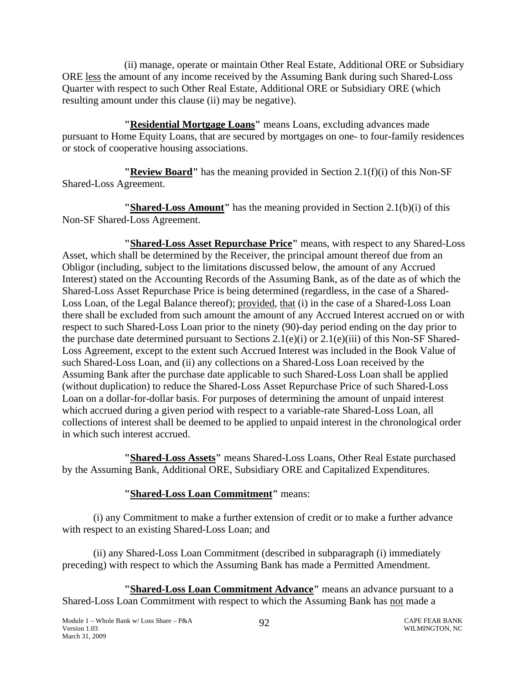(ii) manage, operate or maintain Other Real Estate, Additional ORE or Subsidiary ORE less the amount of any income received by the Assuming Bank during such Shared-Loss Quarter with respect to such Other Real Estate, Additional ORE or Subsidiary ORE (which resulting amount under this clause (ii) may be negative).

**"Residential Mortgage Loans"** means Loans, excluding advances made pursuant to Home Equity Loans, that are secured by mortgages on one- to four-family residences or stock of cooperative housing associations.

**"Review Board"** has the meaning provided in Section 2.1(f)(i) of this Non-SF Shared-Loss Agreement.

**"Shared-Loss Amount"** has the meaning provided in Section 2.1(b)(i) of this Non-SF Shared-Loss Agreement.

 in which such interest accrued. **"Shared-Loss Asset Repurchase Price"** means, with respect to any Shared-Loss Asset, which shall be determined by the Receiver, the principal amount thereof due from an Obligor (including, subject to the limitations discussed below, the amount of any Accrued Interest) stated on the Accounting Records of the Assuming Bank, as of the date as of which the Shared-Loss Asset Repurchase Price is being determined (regardless, in the case of a Shared-Loss Loan, of the Legal Balance thereof); provided, that (i) in the case of a Shared-Loss Loan there shall be excluded from such amount the amount of any Accrued Interest accrued on or with respect to such Shared-Loss Loan prior to the ninety (90)-day period ending on the day prior to the purchase date determined pursuant to Sections  $2.1(e)(i)$  or  $2.1(e)(iii)$  of this Non-SF Shared-Loss Agreement, except to the extent such Accrued Interest was included in the Book Value of such Shared-Loss Loan, and (ii) any collections on a Shared-Loss Loan received by the Assuming Bank after the purchase date applicable to such Shared-Loss Loan shall be applied (without duplication) to reduce the Shared-Loss Asset Repurchase Price of such Shared-Loss Loan on a dollar-for-dollar basis. For purposes of determining the amount of unpaid interest which accrued during a given period with respect to a variable-rate Shared-Loss Loan, all collections of interest shall be deemed to be applied to unpaid interest in the chronological order

**"Shared-Loss Assets"** means Shared-Loss Loans, Other Real Estate purchased by the Assuming Bank, Additional ORE, Subsidiary ORE and Capitalized Expenditures.

# **"Shared-Loss Loan Commitment"** means:

(i) any Commitment to make a further extension of credit or to make a further advance with respect to an existing Shared-Loss Loan; and

(ii) any Shared-Loss Loan Commitment (described in subparagraph (i) immediately preceding) with respect to which the Assuming Bank has made a Permitted Amendment.

**"Shared-Loss Loan Commitment Advance"** means an advance pursuant to a Shared-Loss Loan Commitment with respect to which the Assuming Bank has not made a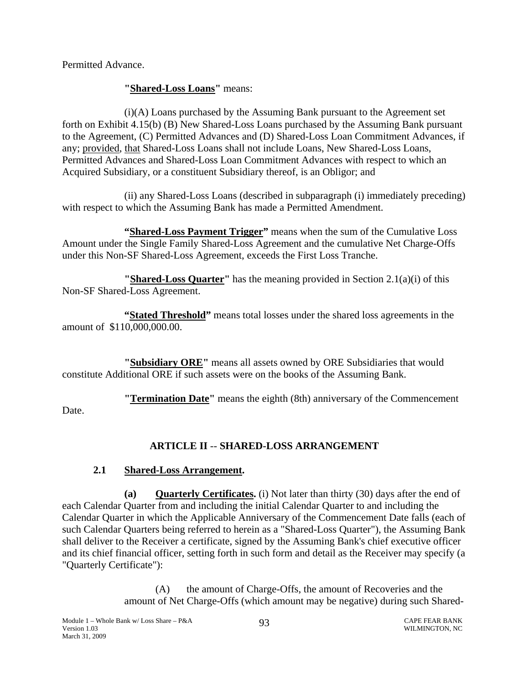Permitted Advance.

#### **"Shared-Loss Loans"** means:

(i)(A) Loans purchased by the Assuming Bank pursuant to the Agreement set forth on Exhibit 4.15(b) (B) New Shared-Loss Loans purchased by the Assuming Bank pursuant to the Agreement, (C) Permitted Advances and (D) Shared-Loss Loan Commitment Advances, if any; provided, that Shared-Loss Loans shall not include Loans, New Shared-Loss Loans, Permitted Advances and Shared-Loss Loan Commitment Advances with respect to which an Acquired Subsidiary, or a constituent Subsidiary thereof, is an Obligor; and

(ii) any Shared-Loss Loans (described in subparagraph (i) immediately preceding) with respect to which the Assuming Bank has made a Permitted Amendment.

**"Shared-Loss Payment Trigger"** means when the sum of the Cumulative Loss Amount under the Single Family Shared-Loss Agreement and the cumulative Net Charge-Offs under this Non-SF Shared-Loss Agreement, exceeds the First Loss Tranche.

**"Shared-Loss Quarter"** has the meaning provided in Section 2.1(a)(i) of this Non-SF Shared-Loss Agreement.

**"Stated Threshold"** means total losses under the shared loss agreements in the amount of \$110,000,000.00.

**"Subsidiary ORE"** means all assets owned by ORE Subsidiaries that would constitute Additional ORE if such assets were on the books of the Assuming Bank.

**"Termination Date"** means the eighth (8th) anniversary of the Commencement Date.

# **ARTICLE II** -- **SHARED-LOSS ARRANGEMENT**

### **2.1 Shared-Loss Arrangement.**

**(a) Quarterly Certificates.** (i) Not later than thirty (30) days after the end of each Calendar Quarter from and including the initial Calendar Quarter to and including the Calendar Quarter in which the Applicable Anniversary of the Commencement Date falls (each of such Calendar Quarters being referred to herein as a "Shared-Loss Quarter"), the Assuming Bank shall deliver to the Receiver a certificate, signed by the Assuming Bank's chief executive officer and its chief financial officer, setting forth in such form and detail as the Receiver may specify (a "Quarterly Certificate"):

> (A) the amount of Charge-Offs, the amount of Recoveries and the amount of Net Charge-Offs (which amount may be negative) during such Shared-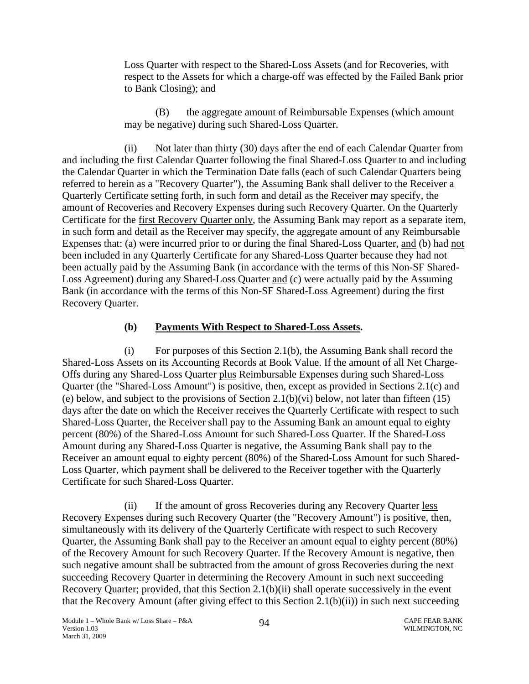Loss Quarter with respect to the Shared-Loss Assets (and for Recoveries, with respect to the Assets for which a charge-off was effected by the Failed Bank prior to Bank Closing); and

(B) the aggregate amount of Reimbursable Expenses (which amount may be negative) during such Shared-Loss Quarter.

(ii) Not later than thirty (30) days after the end of each Calendar Quarter from and including the first Calendar Quarter following the final Shared-Loss Quarter to and including the Calendar Quarter in which the Termination Date falls (each of such Calendar Quarters being referred to herein as a "Recovery Quarter"), the Assuming Bank shall deliver to the Receiver a Quarterly Certificate setting forth, in such form and detail as the Receiver may specify, the amount of Recoveries and Recovery Expenses during such Recovery Quarter. On the Quarterly Certificate for the first Recovery Quarter only, the Assuming Bank may report as a separate item, in such form and detail as the Receiver may specify, the aggregate amount of any Reimbursable Expenses that: (a) were incurred prior to or during the final Shared-Loss Quarter, and (b) had not been included in any Quarterly Certificate for any Shared-Loss Quarter because they had not been actually paid by the Assuming Bank (in accordance with the terms of this Non-SF Shared-Loss Agreement) during any Shared-Loss Quarter and (c) were actually paid by the Assuming Bank (in accordance with the terms of this Non-SF Shared-Loss Agreement) during the first Recovery Quarter.

### **(b) Payments With Respect to Shared-Loss Assets.**

 $(i)$  For purposes of this Section 2.1(b), the Assuming Bank shall record the Shared-Loss Assets on its Accounting Records at Book Value. If the amount of all Net Charge-Offs during any Shared-Loss Quarter plus Reimbursable Expenses during such Shared-Loss Quarter (the "Shared-Loss Amount") is positive, then, except as provided in Sections 2.1(c) and (e) below, and subject to the provisions of Section 2.1(b)(vi) below, not later than fifteen (15) days after the date on which the Receiver receives the Quarterly Certificate with respect to such Shared-Loss Quarter, the Receiver shall pay to the Assuming Bank an amount equal to eighty percent (80%) of the Shared-Loss Amount for such Shared-Loss Quarter. If the Shared-Loss Amount during any Shared-Loss Quarter is negative, the Assuming Bank shall pay to the Receiver an amount equal to eighty percent (80%) of the Shared-Loss Amount for such Shared-Loss Quarter, which payment shall be delivered to the Receiver together with the Quarterly Certificate for such Shared-Loss Quarter.

(ii) If the amount of gross Recoveries during any Recovery Quarter less Recovery Expenses during such Recovery Quarter (the "Recovery Amount") is positive, then, simultaneously with its delivery of the Quarterly Certificate with respect to such Recovery Quarter, the Assuming Bank shall pay to the Receiver an amount equal to eighty percent (80%) of the Recovery Amount for such Recovery Quarter. If the Recovery Amount is negative, then such negative amount shall be subtracted from the amount of gross Recoveries during the next succeeding Recovery Quarter in determining the Recovery Amount in such next succeeding Recovery Quarter; provided, that this Section 2.1(b)(ii) shall operate successively in the event that the Recovery Amount (after giving effect to this Section 2.1(b)(ii)) in such next succeeding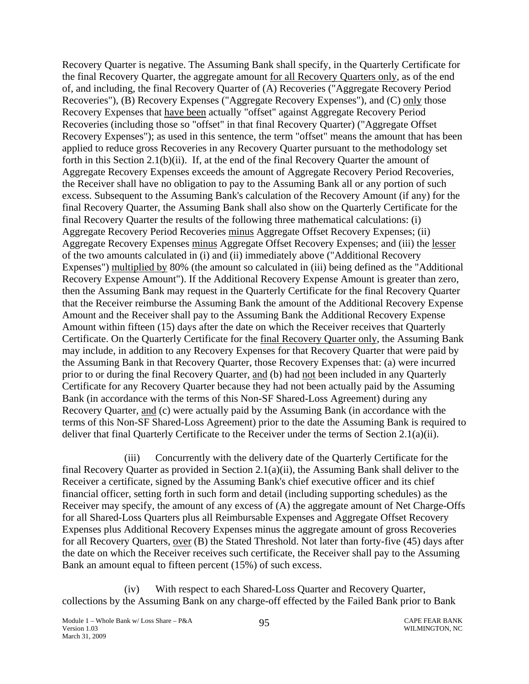Recovery Quarter is negative. The Assuming Bank shall specify, in the Quarterly Certificate for the final Recovery Quarter, the aggregate amount for all Recovery Quarters only, as of the end of, and including, the final Recovery Quarter of (A) Recoveries ("Aggregate Recovery Period Recoveries"), (B) Recovery Expenses ("Aggregate Recovery Expenses"), and (C) only those Recovery Expenses that have been actually "offset" against Aggregate Recovery Period Recoveries (including those so "offset" in that final Recovery Quarter) ("Aggregate Offset Recovery Expenses"); as used in this sentence, the term "offset" means the amount that has been applied to reduce gross Recoveries in any Recovery Quarter pursuant to the methodology set forth in this Section 2.1(b)(ii). If, at the end of the final Recovery Quarter the amount of Aggregate Recovery Expenses exceeds the amount of Aggregate Recovery Period Recoveries, the Receiver shall have no obligation to pay to the Assuming Bank all or any portion of such excess. Subsequent to the Assuming Bank's calculation of the Recovery Amount (if any) for the final Recovery Quarter, the Assuming Bank shall also show on the Quarterly Certificate for the final Recovery Quarter the results of the following three mathematical calculations: (i) Aggregate Recovery Period Recoveries minus Aggregate Offset Recovery Expenses; (ii) Aggregate Recovery Expenses minus Aggregate Offset Recovery Expenses; and (iii) the lesser of the two amounts calculated in (i) and (ii) immediately above ("Additional Recovery Expenses") multiplied by 80% (the amount so calculated in (iii) being defined as the "Additional Recovery Expense Amount"). If the Additional Recovery Expense Amount is greater than zero, then the Assuming Bank may request in the Quarterly Certificate for the final Recovery Quarter that the Receiver reimburse the Assuming Bank the amount of the Additional Recovery Expense Amount and the Receiver shall pay to the Assuming Bank the Additional Recovery Expense Amount within fifteen (15) days after the date on which the Receiver receives that Quarterly Certificate. On the Quarterly Certificate for the final Recovery Quarter only, the Assuming Bank may include, in addition to any Recovery Expenses for that Recovery Quarter that were paid by the Assuming Bank in that Recovery Quarter, those Recovery Expenses that: (a) were incurred prior to or during the final Recovery Quarter, and (b) had not been included in any Quarterly Certificate for any Recovery Quarter because they had not been actually paid by the Assuming Bank (in accordance with the terms of this Non-SF Shared-Loss Agreement) during any Recovery Quarter, and (c) were actually paid by the Assuming Bank (in accordance with the terms of this Non-SF Shared-Loss Agreement) prior to the date the Assuming Bank is required to deliver that final Quarterly Certificate to the Receiver under the terms of Section 2.1(a)(ii).

(iii) Concurrently with the delivery date of the Quarterly Certificate for the final Recovery Quarter as provided in Section 2.1(a)(ii), the Assuming Bank shall deliver to the Receiver a certificate, signed by the Assuming Bank's chief executive officer and its chief financial officer, setting forth in such form and detail (including supporting schedules) as the Receiver may specify, the amount of any excess of (A) the aggregate amount of Net Charge-Offs for all Shared-Loss Quarters plus all Reimbursable Expenses and Aggregate Offset Recovery Expenses plus Additional Recovery Expenses minus the aggregate amount of gross Recoveries for all Recovery Quarters, over (B) the Stated Threshold. Not later than forty-five (45) days after the date on which the Receiver receives such certificate, the Receiver shall pay to the Assuming Bank an amount equal to fifteen percent (15%) of such excess.

(iv) With respect to each Shared-Loss Quarter and Recovery Quarter, collections by the Assuming Bank on any charge-off effected by the Failed Bank prior to Bank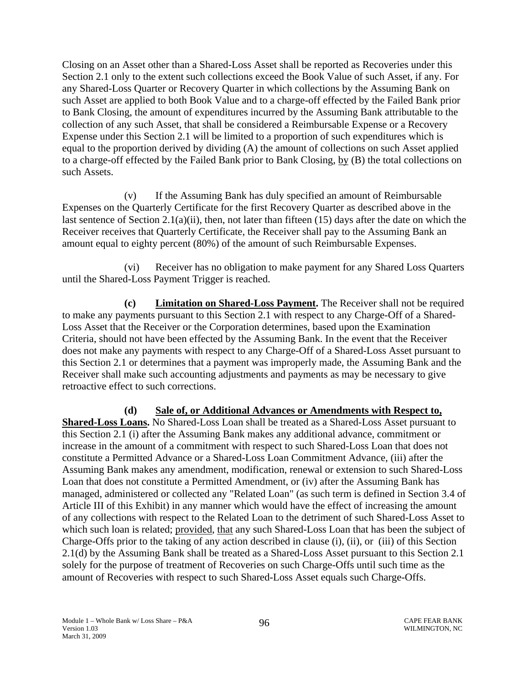Closing on an Asset other than a Shared-Loss Asset shall be reported as Recoveries under this Section 2.1 only to the extent such collections exceed the Book Value of such Asset, if any. For any Shared-Loss Quarter or Recovery Quarter in which collections by the Assuming Bank on such Asset are applied to both Book Value and to a charge-off effected by the Failed Bank prior to Bank Closing, the amount of expenditures incurred by the Assuming Bank attributable to the collection of any such Asset, that shall be considered a Reimbursable Expense or a Recovery Expense under this Section 2.1 will be limited to a proportion of such expenditures which is equal to the proportion derived by dividing (A) the amount of collections on such Asset applied to a charge-off effected by the Failed Bank prior to Bank Closing, by (B) the total collections on such Assets.

(v) If the Assuming Bank has duly specified an amount of Reimbursable Expenses on the Quarterly Certificate for the first Recovery Quarter as described above in the last sentence of Section 2.1(a)(ii), then, not later than fifteen (15) days after the date on which the Receiver receives that Quarterly Certificate, the Receiver shall pay to the Assuming Bank an amount equal to eighty percent (80%) of the amount of such Reimbursable Expenses.

(vi) Receiver has no obligation to make payment for any Shared Loss Quarters until the Shared-Loss Payment Trigger is reached.

**(c) Limitation on Shared-Loss Payment.** The Receiver shall not be required to make any payments pursuant to this Section 2.1 with respect to any Charge-Off of a Shared-Loss Asset that the Receiver or the Corporation determines, based upon the Examination Criteria, should not have been effected by the Assuming Bank. In the event that the Receiver does not make any payments with respect to any Charge-Off of a Shared-Loss Asset pursuant to this Section 2.1 or determines that a payment was improperly made, the Assuming Bank and the Receiver shall make such accounting adjustments and payments as may be necessary to give retroactive effect to such corrections.

**(d) Sale of, or Additional Advances or Amendments with Respect to, Shared-Loss Loans.** No Shared-Loss Loan shall be treated as a Shared-Loss Asset pursuant to this Section 2.1 (i) after the Assuming Bank makes any additional advance, commitment or increase in the amount of a commitment with respect to such Shared-Loss Loan that does not constitute a Permitted Advance or a Shared-Loss Loan Commitment Advance, (iii) after the Assuming Bank makes any amendment, modification, renewal or extension to such Shared-Loss Loan that does not constitute a Permitted Amendment, or (iv) after the Assuming Bank has managed, administered or collected any "Related Loan" (as such term is defined in Section 3.4 of Article III of this Exhibit) in any manner which would have the effect of increasing the amount of any collections with respect to the Related Loan to the detriment of such Shared-Loss Asset to which such loan is related; provided, that any such Shared-Loss Loan that has been the subject of Charge-Offs prior to the taking of any action described in clause (i), (ii), or (iii) of this Section 2.1(d) by the Assuming Bank shall be treated as a Shared-Loss Asset pursuant to this Section 2.1 solely for the purpose of treatment of Recoveries on such Charge-Offs until such time as the amount of Recoveries with respect to such Shared-Loss Asset equals such Charge-Offs.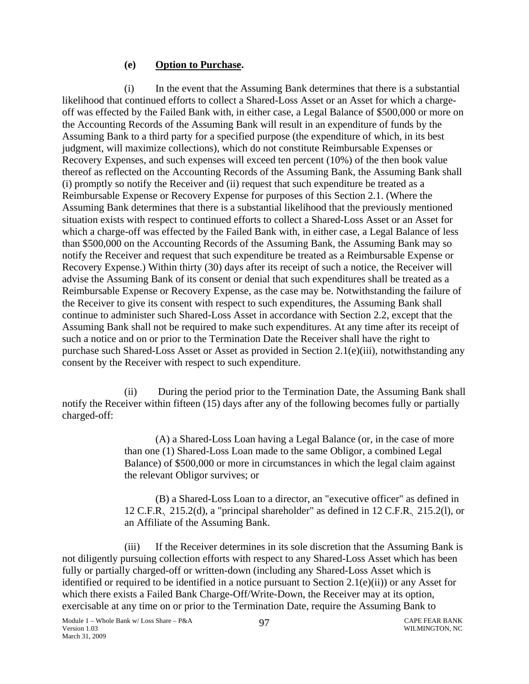### **(e) Option to Purchase.**

(i) In the event that the Assuming Bank determines that there is a substantial likelihood that continued efforts to collect a Shared-Loss Asset or an Asset for which a chargeoff was effected by the Failed Bank with, in either case, a Legal Balance of \$500,000 or more on the Accounting Records of the Assuming Bank will result in an expenditure of funds by the Assuming Bank to a third party for a specified purpose (the expenditure of which, in its best judgment, will maximize collections), which do not constitute Reimbursable Expenses or Recovery Expenses, and such expenses will exceed ten percent (10%) of the then book value thereof as reflected on the Accounting Records of the Assuming Bank, the Assuming Bank shall (i) promptly so notify the Receiver and (ii) request that such expenditure be treated as a Reimbursable Expense or Recovery Expense for purposes of this Section 2.1. (Where the Assuming Bank determines that there is a substantial likelihood that the previously mentioned situation exists with respect to continued efforts to collect a Shared-Loss Asset or an Asset for which a charge-off was effected by the Failed Bank with, in either case, a Legal Balance of less than \$500,000 on the Accounting Records of the Assuming Bank, the Assuming Bank may so notify the Receiver and request that such expenditure be treated as a Reimbursable Expense or Recovery Expense.) Within thirty (30) days after its receipt of such a notice, the Receiver will advise the Assuming Bank of its consent or denial that such expenditures shall be treated as a Reimbursable Expense or Recovery Expense, as the case may be. Notwithstanding the failure of the Receiver to give its consent with respect to such expenditures, the Assuming Bank shall continue to administer such Shared-Loss Asset in accordance with Section 2.2, except that the Assuming Bank shall not be required to make such expenditures. At any time after its receipt of such a notice and on or prior to the Termination Date the Receiver shall have the right to purchase such Shared-Loss Asset or Asset as provided in Section 2.1(e)(iii), notwithstanding any consent by the Receiver with respect to such expenditure.

(ii) During the period prior to the Termination Date, the Assuming Bank shall notify the Receiver within fifteen (15) days after any of the following becomes fully or partially charged-off:

> (A) a Shared-Loss Loan having a Legal Balance (or, in the case of more than one (1) Shared-Loss Loan made to the same Obligor, a combined Legal Balance) of \$500,000 or more in circumstances in which the legal claim against the relevant Obligor survives; or

(B) a Shared-Loss Loan to a director, an "executive officer" as defined in 12 C.F.R. 215.2(d), a "principal shareholder" as defined in 12 C.F.R. 215.2(l), or an Affiliate of the Assuming Bank.

(iii) If the Receiver determines in its sole discretion that the Assuming Bank is not diligently pursuing collection efforts with respect to any Shared-Loss Asset which has been fully or partially charged-off or written-down (including any Shared-Loss Asset which is identified or required to be identified in a notice pursuant to Section 2.1(e)(ii)) or any Asset for which there exists a Failed Bank Charge-Off/Write-Down, the Receiver may at its option, exercisable at any time on or prior to the Termination Date, require the Assuming Bank to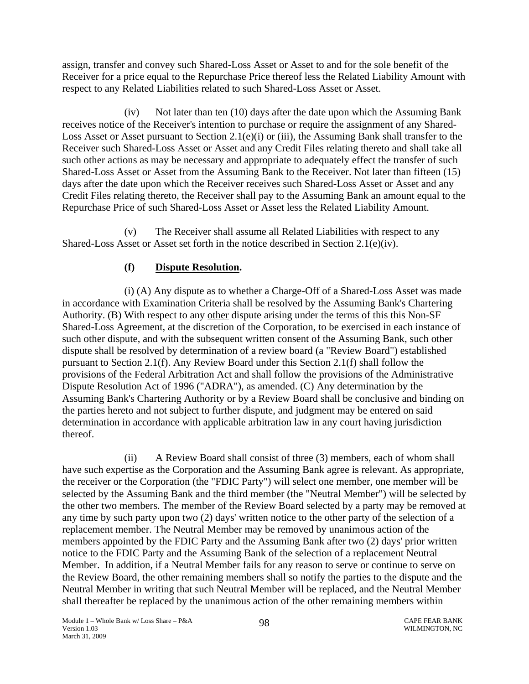assign, transfer and convey such Shared-Loss Asset or Asset to and for the sole benefit of the Receiver for a price equal to the Repurchase Price thereof less the Related Liability Amount with respect to any Related Liabilities related to such Shared-Loss Asset or Asset.

(iv) Not later than ten (10) days after the date upon which the Assuming Bank receives notice of the Receiver's intention to purchase or require the assignment of any Shared-Loss Asset or Asset pursuant to Section 2.1(e)(i) or (iii), the Assuming Bank shall transfer to the Receiver such Shared-Loss Asset or Asset and any Credit Files relating thereto and shall take all such other actions as may be necessary and appropriate to adequately effect the transfer of such Shared-Loss Asset or Asset from the Assuming Bank to the Receiver. Not later than fifteen (15) days after the date upon which the Receiver receives such Shared-Loss Asset or Asset and any Credit Files relating thereto, the Receiver shall pay to the Assuming Bank an amount equal to the Repurchase Price of such Shared-Loss Asset or Asset less the Related Liability Amount.

(v) The Receiver shall assume all Related Liabilities with respect to any Shared-Loss Asset or Asset set forth in the notice described in Section 2.1(e)(iv).

# **(f) Dispute Resolution.**

(i) (A) Any dispute as to whether a Charge-Off of a Shared-Loss Asset was made in accordance with Examination Criteria shall be resolved by the Assuming Bank's Chartering Authority. (B) With respect to any other dispute arising under the terms of this this Non-SF Shared-Loss Agreement, at the discretion of the Corporation, to be exercised in each instance of such other dispute, and with the subsequent written consent of the Assuming Bank, such other dispute shall be resolved by determination of a review board (a "Review Board") established pursuant to Section 2.1(f). Any Review Board under this Section 2.1(f) shall follow the provisions of the Federal Arbitration Act and shall follow the provisions of the Administrative Dispute Resolution Act of 1996 ("ADRA"), as amended. (C) Any determination by the Assuming Bank's Chartering Authority or by a Review Board shall be conclusive and binding on the parties hereto and not subject to further dispute, and judgment may be entered on said determination in accordance with applicable arbitration law in any court having jurisdiction thereof.

(ii) A Review Board shall consist of three (3) members, each of whom shall have such expertise as the Corporation and the Assuming Bank agree is relevant. As appropriate, the receiver or the Corporation (the "FDIC Party") will select one member, one member will be selected by the Assuming Bank and the third member (the "Neutral Member") will be selected by the other two members. The member of the Review Board selected by a party may be removed at any time by such party upon two (2) days' written notice to the other party of the selection of a replacement member. The Neutral Member may be removed by unanimous action of the members appointed by the FDIC Party and the Assuming Bank after two (2) days' prior written notice to the FDIC Party and the Assuming Bank of the selection of a replacement Neutral Member. In addition, if a Neutral Member fails for any reason to serve or continue to serve on the Review Board, the other remaining members shall so notify the parties to the dispute and the Neutral Member in writing that such Neutral Member will be replaced, and the Neutral Member shall thereafter be replaced by the unanimous action of the other remaining members within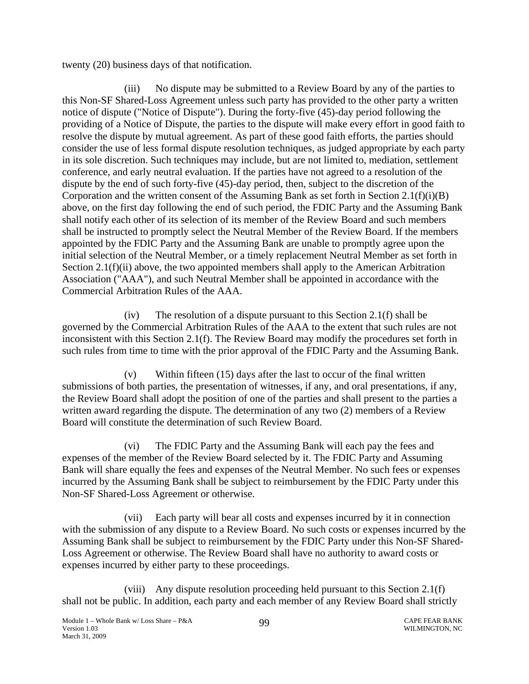twenty (20) business days of that notification.

(iii) No dispute may be submitted to a Review Board by any of the parties to this Non-SF Shared-Loss Agreement unless such party has provided to the other party a written notice of dispute ("Notice of Dispute"). During the forty-five (45)-day period following the providing of a Notice of Dispute, the parties to the dispute will make every effort in good faith to resolve the dispute by mutual agreement. As part of these good faith efforts, the parties should consider the use of less formal dispute resolution techniques, as judged appropriate by each party in its sole discretion. Such techniques may include, but are not limited to, mediation, settlement conference, and early neutral evaluation. If the parties have not agreed to a resolution of the dispute by the end of such forty-five (45)-day period, then, subject to the discretion of the Corporation and the written consent of the Assuming Bank as set forth in Section 2.1(f)(i)(B) above, on the first day following the end of such period, the FDIC Party and the Assuming Bank shall notify each other of its selection of its member of the Review Board and such members shall be instructed to promptly select the Neutral Member of the Review Board. If the members appointed by the FDIC Party and the Assuming Bank are unable to promptly agree upon the initial selection of the Neutral Member, or a timely replacement Neutral Member as set forth in Section 2.1(f)(ii) above, the two appointed members shall apply to the American Arbitration Association ("AAA"), and such Neutral Member shall be appointed in accordance with the Commercial Arbitration Rules of the AAA.

(iv) The resolution of a dispute pursuant to this Section 2.1(f) shall be governed by the Commercial Arbitration Rules of the AAA to the extent that such rules are not inconsistent with this Section 2.1(f). The Review Board may modify the procedures set forth in such rules from time to time with the prior approval of the FDIC Party and the Assuming Bank.

(v) Within fifteen (15) days after the last to occur of the final written submissions of both parties, the presentation of witnesses, if any, and oral presentations, if any, the Review Board shall adopt the position of one of the parties and shall present to the parties a written award regarding the dispute. The determination of any two (2) members of a Review Board will constitute the determination of such Review Board.

(vi) The FDIC Party and the Assuming Bank will each pay the fees and expenses of the member of the Review Board selected by it. The FDIC Party and Assuming Bank will share equally the fees and expenses of the Neutral Member. No such fees or expenses incurred by the Assuming Bank shall be subject to reimbursement by the FDIC Party under this Non-SF Shared-Loss Agreement or otherwise.

(vii) Each party will bear all costs and expenses incurred by it in connection with the submission of any dispute to a Review Board. No such costs or expenses incurred by the Assuming Bank shall be subject to reimbursement by the FDIC Party under this Non-SF Shared-Loss Agreement or otherwise. The Review Board shall have no authority to award costs or expenses incurred by either party to these proceedings.

(viii) Any dispute resolution proceeding held pursuant to this Section 2.1(f) shall not be public. In addition, each party and each member of any Review Board shall strictly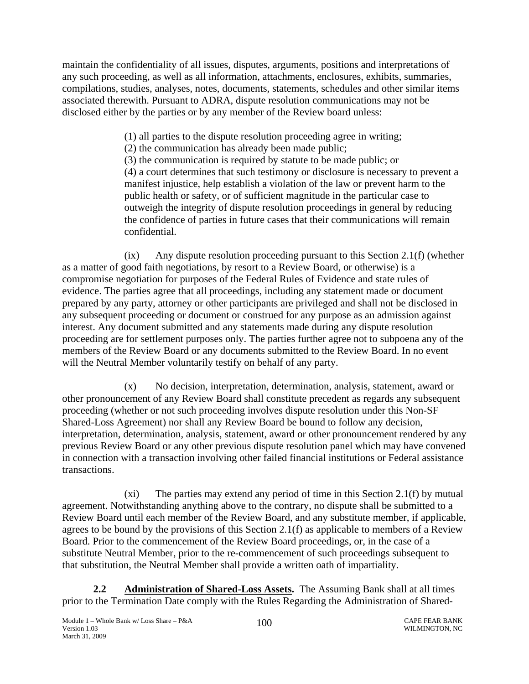maintain the confidentiality of all issues, disputes, arguments, positions and interpretations of any such proceeding, as well as all information, attachments, enclosures, exhibits, summaries, compilations, studies, analyses, notes, documents, statements, schedules and other similar items associated therewith. Pursuant to ADRA, dispute resolution communications may not be disclosed either by the parties or by any member of the Review board unless:

(1) all parties to the dispute resolution proceeding agree in writing;

(2) the communication has already been made public;

(3) the communication is required by statute to be made public; or (4) a court determines that such testimony or disclosure is necessary to prevent a manifest injustice, help establish a violation of the law or prevent harm to the public health or safety, or of sufficient magnitude in the particular case to outweigh the integrity of dispute resolution proceedings in general by reducing the confidence of parties in future cases that their communications will remain confidential.

(ix) Any dispute resolution proceeding pursuant to this Section 2.1(f) (whether as a matter of good faith negotiations, by resort to a Review Board, or otherwise) is a compromise negotiation for purposes of the Federal Rules of Evidence and state rules of evidence. The parties agree that all proceedings, including any statement made or document prepared by any party, attorney or other participants are privileged and shall not be disclosed in any subsequent proceeding or document or construed for any purpose as an admission against interest. Any document submitted and any statements made during any dispute resolution proceeding are for settlement purposes only. The parties further agree not to subpoena any of the members of the Review Board or any documents submitted to the Review Board. In no event will the Neutral Member voluntarily testify on behalf of any party.

(x) No decision, interpretation, determination, analysis, statement, award or other pronouncement of any Review Board shall constitute precedent as regards any subsequent proceeding (whether or not such proceeding involves dispute resolution under this Non-SF Shared-Loss Agreement) nor shall any Review Board be bound to follow any decision, interpretation, determination, analysis, statement, award or other pronouncement rendered by any previous Review Board or any other previous dispute resolution panel which may have convened in connection with a transaction involving other failed financial institutions or Federal assistance transactions.

(xi) The parties may extend any period of time in this Section 2.1(f) by mutual agreement. Notwithstanding anything above to the contrary, no dispute shall be submitted to a Review Board until each member of the Review Board, and any substitute member, if applicable, agrees to be bound by the provisions of this Section 2.1(f) as applicable to members of a Review Board. Prior to the commencement of the Review Board proceedings, or, in the case of a substitute Neutral Member, prior to the re-commencement of such proceedings subsequent to that substitution, the Neutral Member shall provide a written oath of impartiality.

**2.2 Administration of Shared-Loss Assets.** The Assuming Bank shall at all times prior to the Termination Date comply with the Rules Regarding the Administration of Shared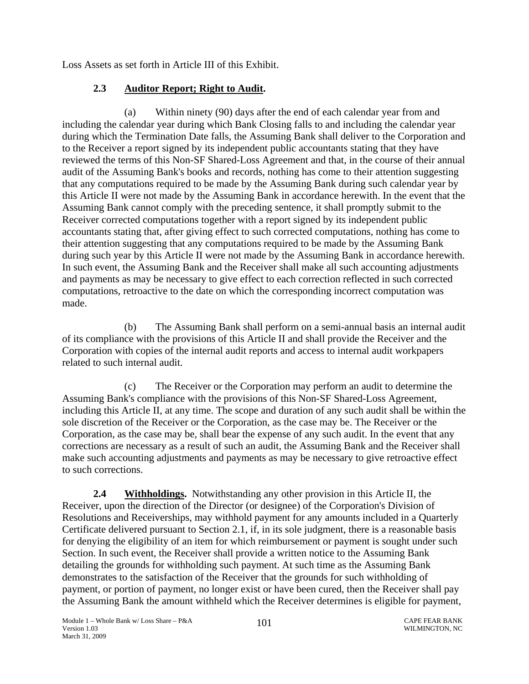Loss Assets as set forth in Article III of this Exhibit.

# **2.3 Auditor Report; Right to Audit.**

(a) Within ninety (90) days after the end of each calendar year from and including the calendar year during which Bank Closing falls to and including the calendar year during which the Termination Date falls, the Assuming Bank shall deliver to the Corporation and to the Receiver a report signed by its independent public accountants stating that they have reviewed the terms of this Non-SF Shared-Loss Agreement and that, in the course of their annual audit of the Assuming Bank's books and records, nothing has come to their attention suggesting that any computations required to be made by the Assuming Bank during such calendar year by this Article II were not made by the Assuming Bank in accordance herewith. In the event that the Assuming Bank cannot comply with the preceding sentence, it shall promptly submit to the Receiver corrected computations together with a report signed by its independent public accountants stating that, after giving effect to such corrected computations, nothing has come to their attention suggesting that any computations required to be made by the Assuming Bank during such year by this Article II were not made by the Assuming Bank in accordance herewith. In such event, the Assuming Bank and the Receiver shall make all such accounting adjustments and payments as may be necessary to give effect to each correction reflected in such corrected computations, retroactive to the date on which the corresponding incorrect computation was made.

(b) The Assuming Bank shall perform on a semi-annual basis an internal audit of its compliance with the provisions of this Article II and shall provide the Receiver and the Corporation with copies of the internal audit reports and access to internal audit workpapers related to such internal audit.

(c) The Receiver or the Corporation may perform an audit to determine the Assuming Bank's compliance with the provisions of this Non-SF Shared-Loss Agreement, including this Article II, at any time. The scope and duration of any such audit shall be within the sole discretion of the Receiver or the Corporation, as the case may be. The Receiver or the Corporation, as the case may be, shall bear the expense of any such audit. In the event that any corrections are necessary as a result of such an audit, the Assuming Bank and the Receiver shall make such accounting adjustments and payments as may be necessary to give retroactive effect to such corrections.

**2.4 Withholdings.** Notwithstanding any other provision in this Article II, the Receiver, upon the direction of the Director (or designee) of the Corporation's Division of Resolutions and Receiverships, may withhold payment for any amounts included in a Quarterly Certificate delivered pursuant to Section 2.1, if, in its sole judgment, there is a reasonable basis for denying the eligibility of an item for which reimbursement or payment is sought under such Section. In such event, the Receiver shall provide a written notice to the Assuming Bank detailing the grounds for withholding such payment. At such time as the Assuming Bank demonstrates to the satisfaction of the Receiver that the grounds for such withholding of payment, or portion of payment, no longer exist or have been cured, then the Receiver shall pay the Assuming Bank the amount withheld which the Receiver determines is eligible for payment,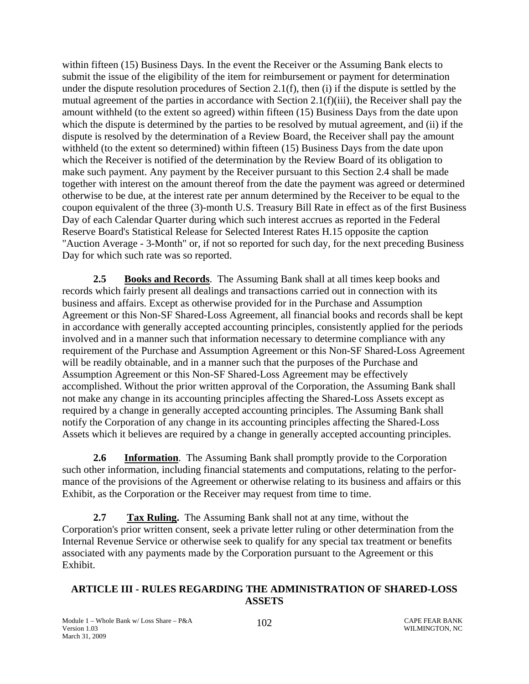within fifteen (15) Business Days. In the event the Receiver or the Assuming Bank elects to submit the issue of the eligibility of the item for reimbursement or payment for determination under the dispute resolution procedures of Section 2.1(f), then (i) if the dispute is settled by the mutual agreement of the parties in accordance with Section 2.1(f)(iii), the Receiver shall pay the amount withheld (to the extent so agreed) within fifteen (15) Business Days from the date upon which the dispute is determined by the parties to be resolved by mutual agreement, and (ii) if the dispute is resolved by the determination of a Review Board, the Receiver shall pay the amount withheld (to the extent so determined) within fifteen (15) Business Days from the date upon which the Receiver is notified of the determination by the Review Board of its obligation to make such payment. Any payment by the Receiver pursuant to this Section 2.4 shall be made together with interest on the amount thereof from the date the payment was agreed or determined otherwise to be due, at the interest rate per annum determined by the Receiver to be equal to the coupon equivalent of the three (3)-month U.S. Treasury Bill Rate in effect as of the first Business Day of each Calendar Quarter during which such interest accrues as reported in the Federal Reserve Board's Statistical Release for Selected Interest Rates H.15 opposite the caption "Auction Average - 3-Month" or, if not so reported for such day, for the next preceding Business Day for which such rate was so reported.

**2.5 Books and Records**. The Assuming Bank shall at all times keep books and records which fairly present all dealings and transactions carried out in connection with its business and affairs. Except as otherwise provided for in the Purchase and Assumption Agreement or this Non-SF Shared-Loss Agreement, all financial books and records shall be kept in accordance with generally accepted accounting principles, consistently applied for the periods involved and in a manner such that information necessary to determine compliance with any requirement of the Purchase and Assumption Agreement or this Non-SF Shared-Loss Agreement will be readily obtainable, and in a manner such that the purposes of the Purchase and Assumption Agreement or this Non-SF Shared-Loss Agreement may be effectively accomplished. Without the prior written approval of the Corporation, the Assuming Bank shall not make any change in its accounting principles affecting the Shared-Loss Assets except as required by a change in generally accepted accounting principles. The Assuming Bank shall notify the Corporation of any change in its accounting principles affecting the Shared-Loss Assets which it believes are required by a change in generally accepted accounting principles.

**2.6 Information**. The Assuming Bank shall promptly provide to the Corporation such other information, including financial statements and computations, relating to the performance of the provisions of the Agreement or otherwise relating to its business and affairs or this Exhibit, as the Corporation or the Receiver may request from time to time.

**2.7 Tax Ruling.** The Assuming Bank shall not at any time, without the Corporation's prior written consent, seek a private letter ruling or other determination from the Internal Revenue Service or otherwise seek to qualify for any special tax treatment or benefits associated with any payments made by the Corporation pursuant to the Agreement or this Exhibit.

## **ARTICLE III - RULES REGARDING THE ADMINISTRATION OF SHARED-LOSS ASSETS**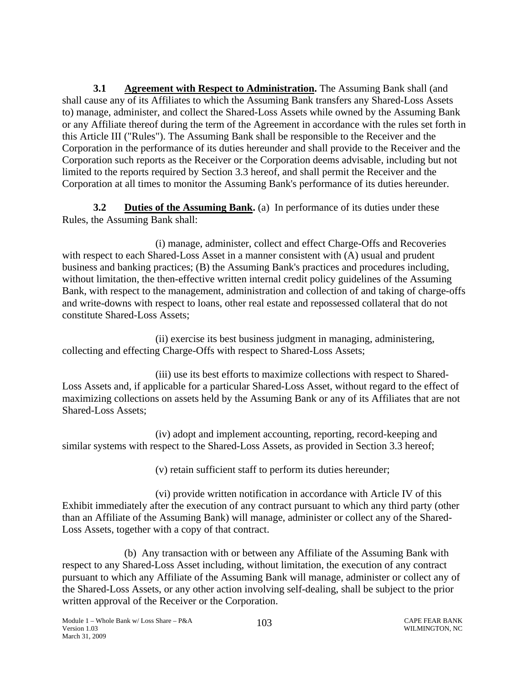**3.1 Agreement with Respect to Administration.** The Assuming Bank shall (and shall cause any of its Affiliates to which the Assuming Bank transfers any Shared-Loss Assets to) manage, administer, and collect the Shared-Loss Assets while owned by the Assuming Bank or any Affiliate thereof during the term of the Agreement in accordance with the rules set forth in this Article III ("Rules"). The Assuming Bank shall be responsible to the Receiver and the Corporation in the performance of its duties hereunder and shall provide to the Receiver and the Corporation such reports as the Receiver or the Corporation deems advisable, including but not limited to the reports required by Section 3.3 hereof, and shall permit the Receiver and the Corporation at all times to monitor the Assuming Bank's performance of its duties hereunder.

**3.2 Duties of the Assuming Bank.** (a) In performance of its duties under these Rules, the Assuming Bank shall:

(i) manage, administer, collect and effect Charge-Offs and Recoveries with respect to each Shared-Loss Asset in a manner consistent with  $(A)$  usual and prudent business and banking practices; (B) the Assuming Bank's practices and procedures including, without limitation, the then-effective written internal credit policy guidelines of the Assuming Bank, with respect to the management, administration and collection of and taking of charge-offs and write-downs with respect to loans, other real estate and repossessed collateral that do not constitute Shared-Loss Assets;

(ii) exercise its best business judgment in managing, administering, collecting and effecting Charge-Offs with respect to Shared-Loss Assets;

(iii) use its best efforts to maximize collections with respect to Shared-Loss Assets and, if applicable for a particular Shared-Loss Asset, without regard to the effect of maximizing collections on assets held by the Assuming Bank or any of its Affiliates that are not Shared-Loss Assets;

(iv) adopt and implement accounting, reporting, record-keeping and similar systems with respect to the Shared-Loss Assets, as provided in Section 3.3 hereof;

(v) retain sufficient staff to perform its duties hereunder;

(vi) provide written notification in accordance with Article IV of this Exhibit immediately after the execution of any contract pursuant to which any third party (other than an Affiliate of the Assuming Bank) will manage, administer or collect any of the Shared-Loss Assets, together with a copy of that contract.

(b) Any transaction with or between any Affiliate of the Assuming Bank with respect to any Shared-Loss Asset including, without limitation, the execution of any contract pursuant to which any Affiliate of the Assuming Bank will manage, administer or collect any of the Shared-Loss Assets, or any other action involving self-dealing, shall be subject to the prior written approval of the Receiver or the Corporation.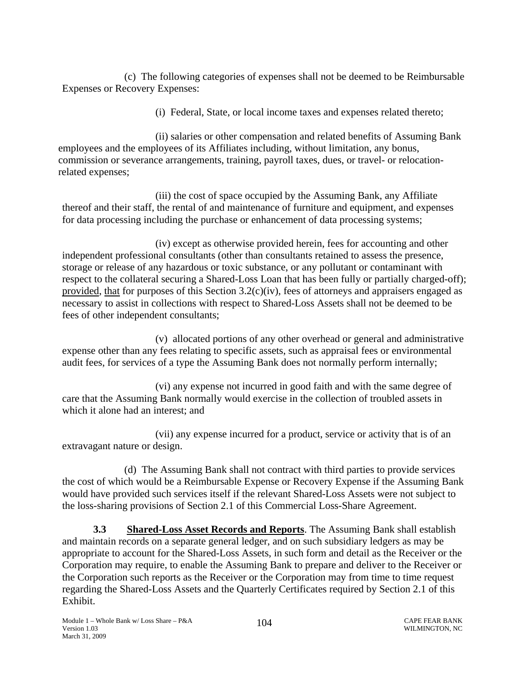(c) The following categories of expenses shall not be deemed to be Reimbursable Expenses or Recovery Expenses:

(i) Federal, State, or local income taxes and expenses related thereto;

(ii) salaries or other compensation and related benefits of Assuming Bank employees and the employees of its Affiliates including, without limitation, any bonus, commission or severance arrangements, training, payroll taxes, dues, or travel- or relocationrelated expenses;

(iii) the cost of space occupied by the Assuming Bank, any Affiliate thereof and their staff, the rental of and maintenance of furniture and equipment, and expenses for data processing including the purchase or enhancement of data processing systems;

(iv) except as otherwise provided herein, fees for accounting and other independent professional consultants (other than consultants retained to assess the presence, storage or release of any hazardous or toxic substance, or any pollutant or contaminant with respect to the collateral securing a Shared-Loss Loan that has been fully or partially charged-off); provided, that for purposes of this Section 3.2(c)(iv), fees of attorneys and appraisers engaged as necessary to assist in collections with respect to Shared-Loss Assets shall not be deemed to be fees of other independent consultants;

(v) allocated portions of any other overhead or general and administrative expense other than any fees relating to specific assets, such as appraisal fees or environmental audit fees, for services of a type the Assuming Bank does not normally perform internally;

(vi) any expense not incurred in good faith and with the same degree of care that the Assuming Bank normally would exercise in the collection of troubled assets in which it alone had an interest; and

(vii) any expense incurred for a product, service or activity that is of an extravagant nature or design.

(d) The Assuming Bank shall not contract with third parties to provide services the cost of which would be a Reimbursable Expense or Recovery Expense if the Assuming Bank would have provided such services itself if the relevant Shared-Loss Assets were not subject to the loss-sharing provisions of Section 2.1 of this Commercial Loss-Share Agreement.

**3.3 Shared-Loss Asset Records and Reports**. The Assuming Bank shall establish and maintain records on a separate general ledger, and on such subsidiary ledgers as may be appropriate to account for the Shared-Loss Assets, in such form and detail as the Receiver or the Corporation may require, to enable the Assuming Bank to prepare and deliver to the Receiver or the Corporation such reports as the Receiver or the Corporation may from time to time request regarding the Shared-Loss Assets and the Quarterly Certificates required by Section 2.1 of this Exhibit.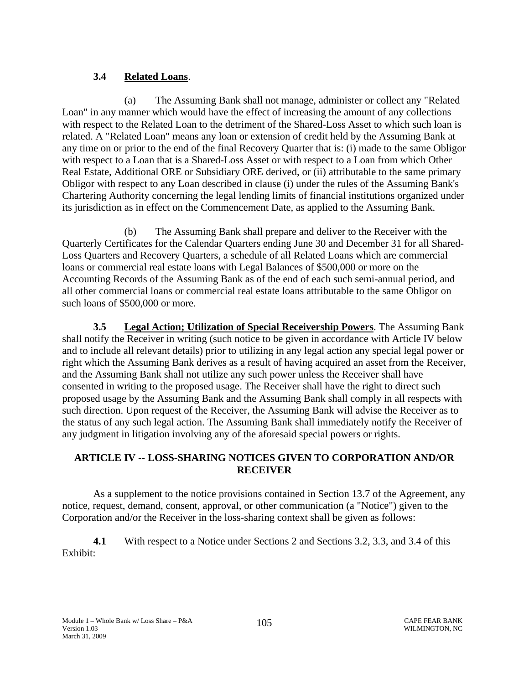## **3.4 Related Loans**.

(a) The Assuming Bank shall not manage, administer or collect any "Related Loan" in any manner which would have the effect of increasing the amount of any collections with respect to the Related Loan to the detriment of the Shared-Loss Asset to which such loan is related. A "Related Loan" means any loan or extension of credit held by the Assuming Bank at any time on or prior to the end of the final Recovery Quarter that is: (i) made to the same Obligor with respect to a Loan that is a Shared-Loss Asset or with respect to a Loan from which Other Real Estate, Additional ORE or Subsidiary ORE derived, or (ii) attributable to the same primary Obligor with respect to any Loan described in clause (i) under the rules of the Assuming Bank's Chartering Authority concerning the legal lending limits of financial institutions organized under its jurisdiction as in effect on the Commencement Date, as applied to the Assuming Bank.

(b) The Assuming Bank shall prepare and deliver to the Receiver with the Quarterly Certificates for the Calendar Quarters ending June 30 and December 31 for all Shared-Loss Quarters and Recovery Quarters, a schedule of all Related Loans which are commercial loans or commercial real estate loans with Legal Balances of \$500,000 or more on the Accounting Records of the Assuming Bank as of the end of each such semi-annual period, and all other commercial loans or commercial real estate loans attributable to the same Obligor on such loans of \$500,000 or more.

**3.5 Legal Action; Utilization of Special Receivership Powers**. The Assuming Bank shall notify the Receiver in writing (such notice to be given in accordance with Article IV below and to include all relevant details) prior to utilizing in any legal action any special legal power or right which the Assuming Bank derives as a result of having acquired an asset from the Receiver, and the Assuming Bank shall not utilize any such power unless the Receiver shall have consented in writing to the proposed usage. The Receiver shall have the right to direct such proposed usage by the Assuming Bank and the Assuming Bank shall comply in all respects with such direction. Upon request of the Receiver, the Assuming Bank will advise the Receiver as to the status of any such legal action. The Assuming Bank shall immediately notify the Receiver of any judgment in litigation involving any of the aforesaid special powers or rights.

## **ARTICLE IV -- LOSS-SHARING NOTICES GIVEN TO CORPORATION AND/OR RECEIVER**

As a supplement to the notice provisions contained in Section 13.7 of the Agreement, any notice, request, demand, consent, approval, or other communication (a "Notice") given to the Corporation and/or the Receiver in the loss-sharing context shall be given as follows:

**4.1** With respect to a Notice under Sections 2 and Sections 3.2, 3.3, and 3.4 of this Exhibit: